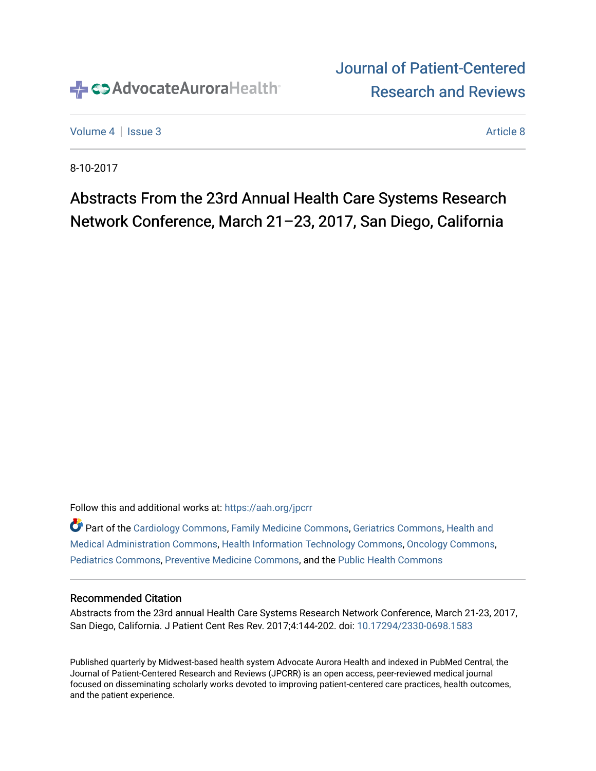

# [Journal of Patient-Centered](https://institutionalrepository.aah.org/jpcrr)  [Research and Reviews](https://institutionalrepository.aah.org/jpcrr)

[Volume 4](https://institutionalrepository.aah.org/jpcrr/vol4) | [Issue 3](https://institutionalrepository.aah.org/jpcrr/vol4/iss3) [Article 8](https://institutionalrepository.aah.org/jpcrr/vol4/iss3/8) Article 8 Article 8 Article 8 Article 8 Article 8 Article 8 Article 8 Article 8 A

8-10-2017

# Abstracts From the 23rd Annual Health Care Systems Research Network Conference, March 21–23, 2017, San Diego, California

Follow this and additional works at: [https://aah.org/jpcrr](https://institutionalrepository.aah.org/jpcrr?utm_source=institutionalrepository.aah.org%2Fjpcrr%2Fvol4%2Fiss3%2F8&utm_medium=PDF&utm_campaign=PDFCoverPages) 

Part of the [Cardiology Commons](http://network.bepress.com/hgg/discipline/683?utm_source=institutionalrepository.aah.org%2Fjpcrr%2Fvol4%2Fiss3%2F8&utm_medium=PDF&utm_campaign=PDFCoverPages), [Family Medicine Commons,](http://network.bepress.com/hgg/discipline/1354?utm_source=institutionalrepository.aah.org%2Fjpcrr%2Fvol4%2Fiss3%2F8&utm_medium=PDF&utm_campaign=PDFCoverPages) [Geriatrics Commons](http://network.bepress.com/hgg/discipline/688?utm_source=institutionalrepository.aah.org%2Fjpcrr%2Fvol4%2Fiss3%2F8&utm_medium=PDF&utm_campaign=PDFCoverPages), [Health and](http://network.bepress.com/hgg/discipline/663?utm_source=institutionalrepository.aah.org%2Fjpcrr%2Fvol4%2Fiss3%2F8&utm_medium=PDF&utm_campaign=PDFCoverPages)  [Medical Administration Commons,](http://network.bepress.com/hgg/discipline/663?utm_source=institutionalrepository.aah.org%2Fjpcrr%2Fvol4%2Fiss3%2F8&utm_medium=PDF&utm_campaign=PDFCoverPages) [Health Information Technology Commons,](http://network.bepress.com/hgg/discipline/1239?utm_source=institutionalrepository.aah.org%2Fjpcrr%2Fvol4%2Fiss3%2F8&utm_medium=PDF&utm_campaign=PDFCoverPages) [Oncology Commons,](http://network.bepress.com/hgg/discipline/694?utm_source=institutionalrepository.aah.org%2Fjpcrr%2Fvol4%2Fiss3%2F8&utm_medium=PDF&utm_campaign=PDFCoverPages) [Pediatrics Commons](http://network.bepress.com/hgg/discipline/700?utm_source=institutionalrepository.aah.org%2Fjpcrr%2Fvol4%2Fiss3%2F8&utm_medium=PDF&utm_campaign=PDFCoverPages), [Preventive Medicine Commons](http://network.bepress.com/hgg/discipline/703?utm_source=institutionalrepository.aah.org%2Fjpcrr%2Fvol4%2Fiss3%2F8&utm_medium=PDF&utm_campaign=PDFCoverPages), and the [Public Health Commons](http://network.bepress.com/hgg/discipline/738?utm_source=institutionalrepository.aah.org%2Fjpcrr%2Fvol4%2Fiss3%2F8&utm_medium=PDF&utm_campaign=PDFCoverPages) 

# Recommended Citation

Abstracts from the 23rd annual Health Care Systems Research Network Conference, March 21-23, 2017, San Diego, California. J Patient Cent Res Rev. 2017;4:144-202. doi: [10.17294/2330-0698.1583](http://dx.doi.org/10.17294/2330-0698.1583) 

Published quarterly by Midwest-based health system Advocate Aurora Health and indexed in PubMed Central, the Journal of Patient-Centered Research and Reviews (JPCRR) is an open access, peer-reviewed medical journal focused on disseminating scholarly works devoted to improving patient-centered care practices, health outcomes, and the patient experience.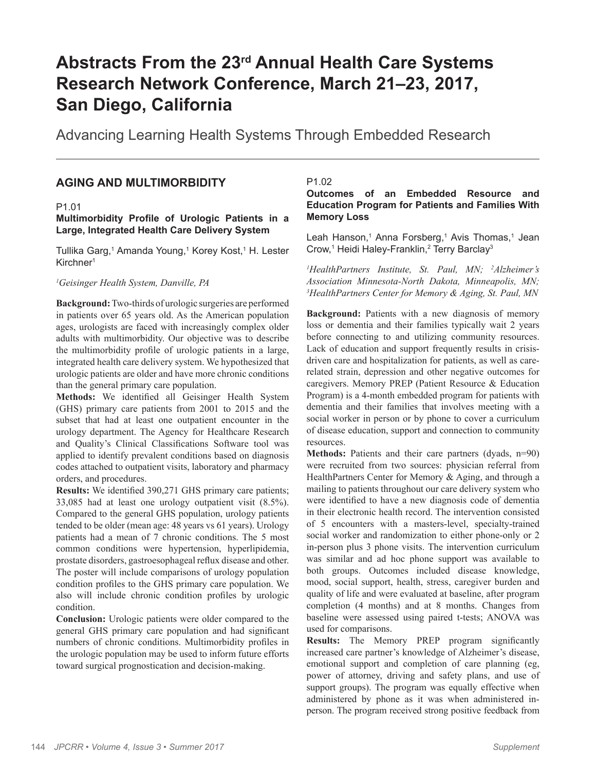# **Abstracts From the 23rd Annual Health Care Systems Research Network Conference, March 21–23, 2017, San Diego, California**

Advancing Learning Health Systems Through Embedded Research

# **AGING AND MULTIMORBIDITY**

# P1.01

# **Multimorbidity Profile of Urologic Patients in a Large, Integrated Health Care Delivery System**

Tullika Garg,<sup>1</sup> Amanda Young,<sup>1</sup> Korey Kost,<sup>1</sup> H. Lester Kirchner1

# *1 Geisinger Health System, Danville, PA*

**Background:** Two-thirds of urologic surgeries are performed in patients over 65 years old. As the American population ages, urologists are faced with increasingly complex older adults with multimorbidity. Our objective was to describe the multimorbidity profile of urologic patients in a large, integrated health care delivery system. We hypothesized that urologic patients are older and have more chronic conditions than the general primary care population.

**Methods:** We identified all Geisinger Health System (GHS) primary care patients from 2001 to 2015 and the subset that had at least one outpatient encounter in the urology department. The Agency for Healthcare Research and Quality's Clinical Classifications Software tool was applied to identify prevalent conditions based on diagnosis codes attached to outpatient visits, laboratory and pharmacy orders, and procedures.

**Results:** We identified 390,271 GHS primary care patients; 33,085 had at least one urology outpatient visit (8.5%). Compared to the general GHS population, urology patients tended to be older (mean age: 48 years vs 61 years). Urology patients had a mean of 7 chronic conditions. The 5 most common conditions were hypertension, hyperlipidemia, prostate disorders, gastroesophageal reflux disease and other. The poster will include comparisons of urology population condition profiles to the GHS primary care population. We also will include chronic condition profiles by urologic condition.

**Conclusion:** Urologic patients were older compared to the general GHS primary care population and had significant numbers of chronic conditions. Multimorbidity profiles in the urologic population may be used to inform future efforts toward surgical prognostication and decision-making.

# P1.02

# **Outcomes of an Embedded Resource and Education Program for Patients and Families With Memory Loss**

Leah Hanson,<sup>1</sup> Anna Forsberg,<sup>1</sup> Avis Thomas,<sup>1</sup> Jean Crow,<sup>1</sup> Heidi Haley-Franklin,<sup>2</sup> Terry Barclay<sup>3</sup>

*1 HealthPartners Institute, St. Paul, MN; 2 Alzheimer's Association Minnesota-North Dakota, Minneapolis, MN; 3 HealthPartners Center for Memory & Aging, St. Paul, MN*

**Background:** Patients with a new diagnosis of memory loss or dementia and their families typically wait 2 years before connecting to and utilizing community resources. Lack of education and support frequently results in crisisdriven care and hospitalization for patients, as well as carerelated strain, depression and other negative outcomes for caregivers. Memory PREP (Patient Resource & Education Program) is a 4-month embedded program for patients with dementia and their families that involves meeting with a social worker in person or by phone to cover a curriculum of disease education, support and connection to community resources.

**Methods:** Patients and their care partners (dyads, n=90) were recruited from two sources: physician referral from HealthPartners Center for Memory & Aging, and through a mailing to patients throughout our care delivery system who were identified to have a new diagnosis code of dementia in their electronic health record. The intervention consisted of 5 encounters with a masters-level, specialty-trained social worker and randomization to either phone-only or 2 in-person plus 3 phone visits. The intervention curriculum was similar and ad hoc phone support was available to both groups. Outcomes included disease knowledge, mood, social support, health, stress, caregiver burden and quality of life and were evaluated at baseline, after program completion (4 months) and at 8 months. Changes from baseline were assessed using paired t-tests; ANOVA was used for comparisons.

**Results:** The Memory PREP program significantly increased care partner's knowledge of Alzheimer's disease, emotional support and completion of care planning (eg, power of attorney, driving and safety plans, and use of support groups). The program was equally effective when administered by phone as it was when administered inperson. The program received strong positive feedback from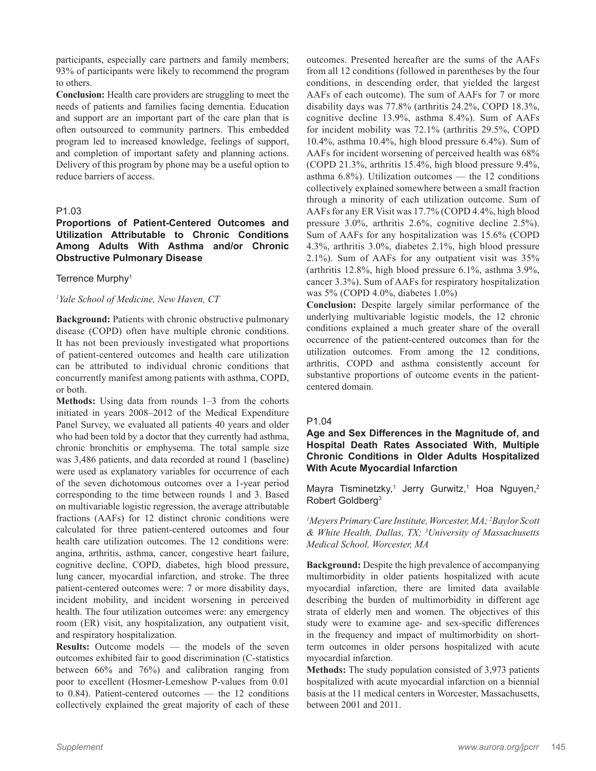participants, especially care partners and family members; 93% of participants were likely to recommend the program to others.

**Conclusion:** Health care providers are struggling to meet the needs of patients and families facing dementia. Education and support are an important part of the care plan that is often outsourced to community partners. This embedded program led to increased knowledge, feelings of support, and completion of important safety and planning actions. Delivery of this program by phone may be a useful option to reduce barriers of access.

# P1.03

# **Proportions of Patient-Centered Outcomes and Utilization Attributable to Chronic Conditions Among Adults With Asthma and/or Chronic Obstructive Pulmonary Disease**

#### Terrence Murphy<sup>1</sup>

## *1 Yale School of Medicine, New Haven, CT*

**Background:** Patients with chronic obstructive pulmonary disease (COPD) often have multiple chronic conditions. It has not been previously investigated what proportions of patient-centered outcomes and health care utilization can be attributed to individual chronic conditions that concurrently manifest among patients with asthma, COPD, or both.

**Methods:** Using data from rounds 1–3 from the cohorts initiated in years 2008–2012 of the Medical Expenditure Panel Survey, we evaluated all patients 40 years and older who had been told by a doctor that they currently had asthma, chronic bronchitis or emphysema. The total sample size was 3,486 patients, and data recorded at round 1 (baseline) were used as explanatory variables for occurrence of each of the seven dichotomous outcomes over a 1-year period corresponding to the time between rounds 1 and 3. Based on multivariable logistic regression, the average attributable fractions (AAFs) for 12 distinct chronic conditions were calculated for three patient-centered outcomes and four health care utilization outcomes. The 12 conditions were: angina, arthritis, asthma, cancer, congestive heart failure, cognitive decline, COPD, diabetes, high blood pressure, lung cancer, myocardial infarction, and stroke. The three patient-centered outcomes were: 7 or more disability days, incident mobility, and incident worsening in perceived health. The four utilization outcomes were: any emergency room (ER) visit, any hospitalization, any outpatient visit, and respiratory hospitalization.

**Results:** Outcome models — the models of the seven outcomes exhibited fair to good discrimination (C-statistics between 66% and 76%) and calibration ranging from poor to excellent (Hosmer-Lemeshow P-values from 0.01 to 0.84). Patient-centered outcomes –– the 12 conditions collectively explained the great majority of each of these

outcomes. Presented hereafter are the sums of the AAFs from all 12 conditions (followed in parentheses by the four conditions, in descending order, that yielded the largest AAFs of each outcome). The sum of AAFs for 7 or more disability days was 77.8% (arthritis 24.2%, COPD 18.3%, cognitive decline 13.9%, asthma 8.4%). Sum of AAFs for incident mobility was 72.1% (arthritis 29.5%, COPD 10.4%, asthma 10.4%, high blood pressure 6.4%). Sum of AAFs for incident worsening of perceived health was 68% (COPD 21.3%, arthritis 15.4%, high blood pressure 9.4%, asthma  $6.8\%$ ). Utilization outcomes — the 12 conditions collectively explained somewhere between a small fraction through a minority of each utilization outcome. Sum of AAFs for any ER Visit was 17.7% (COPD 4.4%, high blood pressure 3.0%, arthritis 2.6%, cognitive decline 2.5%). Sum of AAFs for any hospitalization was 15.6% (COPD 4.3%, arthritis 3.0%, diabetes 2.1%, high blood pressure 2.1%). Sum of AAFs for any outpatient visit was 35% (arthritis 12.8%, high blood pressure 6.1%, asthma 3.9%, cancer 3.3%). Sum of AAFs for respiratory hospitalization was 5% (COPD 4.0%, diabetes 1.0%)

**Conclusion:** Despite largely similar performance of the underlying multivariable logistic models, the 12 chronic conditions explained a much greater share of the overall occurrence of the patient-centered outcomes than for the utilization outcomes. From among the 12 conditions, arthritis, COPD and asthma consistently account for substantive proportions of outcome events in the patientcentered domain.

# P1.04

# **Age and Sex Differences in the Magnitude of, and Hospital Death Rates Associated With, Multiple Chronic Conditions in Older Adults Hospitalized With Acute Myocardial Infarction**

Mayra Tisminetzky,<sup>1</sup> Jerry Gurwitz,<sup>1</sup> Hoa Nguyen,<sup>2</sup> Robert Goldberg3

*1 Meyers Primary Care Institute, Worcester, MA; 2 Baylor Scott & White Health, Dallas, TX; 3 University of Massachusetts Medical School, Worcester, MA*

**Background:** Despite the high prevalence of accompanying multimorbidity in older patients hospitalized with acute myocardial infarction, there are limited data available describing the burden of multimorbidity in different age strata of elderly men and women. The objectives of this study were to examine age- and sex-specific differences in the frequency and impact of multimorbidity on shortterm outcomes in older persons hospitalized with acute myocardial infarction.

**Methods:** The study population consisted of 3,973 patients hospitalized with acute myocardial infarction on a biennial basis at the 11 medical centers in Worcester, Massachusetts, between 2001 and 2011.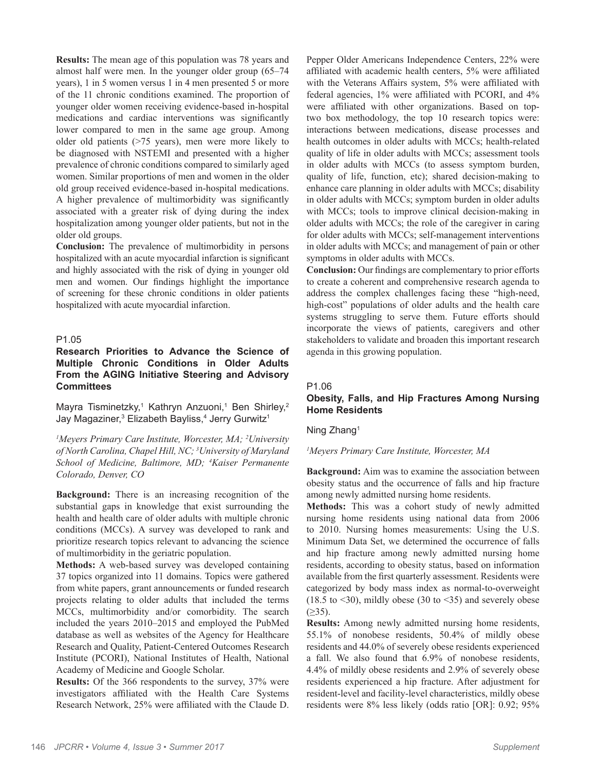**Results:** The mean age of this population was 78 years and almost half were men. In the younger older group (65–74 years), 1 in 5 women versus 1 in 4 men presented 5 or more of the 11 chronic conditions examined. The proportion of younger older women receiving evidence-based in-hospital medications and cardiac interventions was significantly lower compared to men in the same age group. Among older old patients (>75 years), men were more likely to be diagnosed with NSTEMI and presented with a higher prevalence of chronic conditions compared to similarly aged women. Similar proportions of men and women in the older old group received evidence-based in-hospital medications. A higher prevalence of multimorbidity was significantly associated with a greater risk of dying during the index hospitalization among younger older patients, but not in the older old groups.

**Conclusion:** The prevalence of multimorbidity in persons hospitalized with an acute myocardial infarction is significant and highly associated with the risk of dying in younger old men and women. Our findings highlight the importance of screening for these chronic conditions in older patients hospitalized with acute myocardial infarction.

#### P1.05

# **Research Priorities to Advance the Science of Multiple Chronic Conditions in Older Adults From the AGING Initiative Steering and Advisory Committees**

Mayra Tisminetzky,<sup>1</sup> Kathryn Anzuoni,<sup>1</sup> Ben Shirley,<sup>2</sup> Jay Magaziner,<sup>3</sup> Elizabeth Bayliss,<sup>4</sup> Jerry Gurwitz<sup>1</sup>

*1 Meyers Primary Care Institute, Worcester, MA; 2 University of North Carolina, Chapel Hill, NC; 3 University of Maryland School of Medicine, Baltimore, MD; 4 Kaiser Permanente Colorado, Denver, CO*

**Background:** There is an increasing recognition of the substantial gaps in knowledge that exist surrounding the health and health care of older adults with multiple chronic conditions (MCCs). A survey was developed to rank and prioritize research topics relevant to advancing the science of multimorbidity in the geriatric population.

**Methods:** A web-based survey was developed containing 37 topics organized into 11 domains. Topics were gathered from white papers, grant announcements or funded research projects relating to older adults that included the terms MCCs, multimorbidity and/or comorbidity. The search included the years 2010–2015 and employed the PubMed database as well as websites of the Agency for Healthcare Research and Quality, Patient-Centered Outcomes Research Institute (PCORI), National Institutes of Health, National Academy of Medicine and Google Scholar.

**Results:** Of the 366 respondents to the survey, 37% were investigators affiliated with the Health Care Systems Research Network, 25% were affiliated with the Claude D.

Pepper Older Americans Independence Centers, 22% were affiliated with academic health centers, 5% were affiliated with the Veterans Affairs system, 5% were affiliated with federal agencies, 1% were affiliated with PCORI, and 4% were affiliated with other organizations. Based on toptwo box methodology, the top 10 research topics were: interactions between medications, disease processes and health outcomes in older adults with MCCs; health-related quality of life in older adults with MCCs; assessment tools in older adults with MCCs (to assess symptom burden, quality of life, function, etc); shared decision-making to enhance care planning in older adults with MCCs; disability in older adults with MCCs; symptom burden in older adults with MCCs; tools to improve clinical decision-making in older adults with MCCs; the role of the caregiver in caring for older adults with MCCs; self-management interventions in older adults with MCCs; and management of pain or other symptoms in older adults with MCCs.

**Conclusion:** Our findings are complementary to prior efforts to create a coherent and comprehensive research agenda to address the complex challenges facing these "high-need, high-cost" populations of older adults and the health care systems struggling to serve them. Future efforts should incorporate the views of patients, caregivers and other stakeholders to validate and broaden this important research agenda in this growing population.

#### P1.06

# **Obesity, Falls, and Hip Fractures Among Nursing Home Residents**

Ning Zhang1

# *1 Meyers Primary Care Institute, Worcester, MA*

**Background:** Aim was to examine the association between obesity status and the occurrence of falls and hip fracture among newly admitted nursing home residents.

**Methods:** This was a cohort study of newly admitted nursing home residents using national data from 2006 to 2010. Nursing homes measurements: Using the U.S. Minimum Data Set, we determined the occurrence of falls and hip fracture among newly admitted nursing home residents, according to obesity status, based on information available from the first quarterly assessment. Residents were categorized by body mass index as normal-to-overweight (18.5 to  $\leq$ 30), mildly obese (30 to  $\leq$ 35) and severely obese  $(≥35)$ .

**Results:** Among newly admitted nursing home residents, 55.1% of nonobese residents, 50.4% of mildly obese residents and 44.0% of severely obese residents experienced a fall. We also found that 6.9% of nonobese residents, 4.4% of mildly obese residents and 2.9% of severely obese residents experienced a hip fracture. After adjustment for resident-level and facility-level characteristics, mildly obese residents were 8% less likely (odds ratio [OR]: 0.92; 95%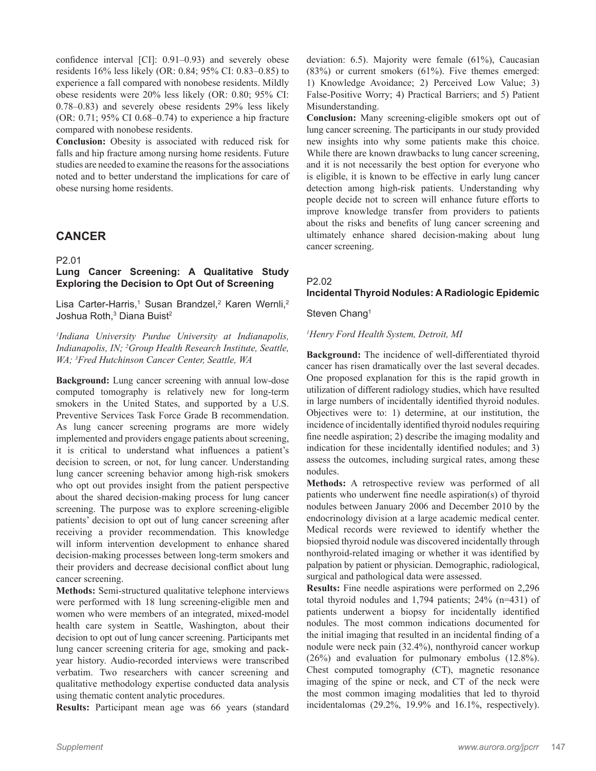confidence interval [CI]: 0.91–0.93) and severely obese residents 16% less likely (OR: 0.84; 95% CI: 0.83–0.85) to experience a fall compared with nonobese residents. Mildly obese residents were 20% less likely (OR: 0.80; 95% CI: 0.78–0.83) and severely obese residents 29% less likely (OR: 0.71; 95% CI 0.68–0.74) to experience a hip fracture compared with nonobese residents.

**Conclusion:** Obesity is associated with reduced risk for falls and hip fracture among nursing home residents. Future studies are needed to examine the reasons for the associations noted and to better understand the implications for care of obese nursing home residents.

# **CANCER**

P2.01

# **Lung Cancer Screening: A Qualitative Study Exploring the Decision to Opt Out of Screening**

Lisa Carter-Harris,<sup>1</sup> Susan Brandzel,<sup>2</sup> Karen Wernli,<sup>2</sup> Joshua Roth,<sup>3</sup> Diana Buist<sup>2</sup>

*1 Indiana University Purdue University at Indianapolis, Indianapolis, IN; 2 Group Health Research Institute, Seattle, WA; 3 Fred Hutchinson Cancer Center, Seattle, WA*

**Background:** Lung cancer screening with annual low-dose computed tomography is relatively new for long-term smokers in the United States, and supported by a U.S. Preventive Services Task Force Grade B recommendation. As lung cancer screening programs are more widely implemented and providers engage patients about screening, it is critical to understand what influences a patient's decision to screen, or not, for lung cancer. Understanding lung cancer screening behavior among high-risk smokers who opt out provides insight from the patient perspective about the shared decision-making process for lung cancer screening. The purpose was to explore screening-eligible patients' decision to opt out of lung cancer screening after receiving a provider recommendation. This knowledge will inform intervention development to enhance shared decision-making processes between long-term smokers and their providers and decrease decisional conflict about lung cancer screening.

**Methods:** Semi-structured qualitative telephone interviews were performed with 18 lung screening-eligible men and women who were members of an integrated, mixed-model health care system in Seattle, Washington, about their decision to opt out of lung cancer screening. Participants met lung cancer screening criteria for age, smoking and packyear history. Audio-recorded interviews were transcribed verbatim. Two researchers with cancer screening and qualitative methodology expertise conducted data analysis using thematic content analytic procedures.

**Results:** Participant mean age was 66 years (standard

deviation: 6.5). Majority were female (61%), Caucasian  $(83%)$  or current smokers  $(61%)$ . Five themes emerged: 1) Knowledge Avoidance; 2) Perceived Low Value; 3) False-Positive Worry; 4) Practical Barriers; and 5) Patient Misunderstanding.

**Conclusion:** Many screening-eligible smokers opt out of lung cancer screening. The participants in our study provided new insights into why some patients make this choice. While there are known drawbacks to lung cancer screening, and it is not necessarily the best option for everyone who is eligible, it is known to be effective in early lung cancer detection among high-risk patients. Understanding why people decide not to screen will enhance future efforts to improve knowledge transfer from providers to patients about the risks and benefits of lung cancer screening and ultimately enhance shared decision-making about lung cancer screening.

# P2.02 **Incidental Thyroid Nodules: A Radiologic Epidemic**

Steven Chang<sup>1</sup>

# *1 Henry Ford Health System, Detroit, MI*

**Background:** The incidence of well-differentiated thyroid cancer has risen dramatically over the last several decades. One proposed explanation for this is the rapid growth in utilization of different radiology studies, which have resulted in large numbers of incidentally identified thyroid nodules. Objectives were to: 1) determine, at our institution, the incidence of incidentally identified thyroid nodules requiring fine needle aspiration; 2) describe the imaging modality and indication for these incidentally identified nodules; and 3) assess the outcomes, including surgical rates, among these nodules.

**Methods:** A retrospective review was performed of all patients who underwent fine needle aspiration(s) of thyroid nodules between January 2006 and December 2010 by the endocrinology division at a large academic medical center. Medical records were reviewed to identify whether the biopsied thyroid nodule was discovered incidentally through nonthyroid-related imaging or whether it was identified by palpation by patient or physician. Demographic, radiological, surgical and pathological data were assessed.

**Results:** Fine needle aspirations were performed on 2,296 total thyroid nodules and 1,794 patients; 24% (n=431) of patients underwent a biopsy for incidentally identified nodules. The most common indications documented for the initial imaging that resulted in an incidental finding of a nodule were neck pain (32.4%), nonthyroid cancer workup (26%) and evaluation for pulmonary embolus (12.8%). Chest computed tomography (CT), magnetic resonance imaging of the spine or neck, and CT of the neck were the most common imaging modalities that led to thyroid incidentalomas (29.2%, 19.9% and 16.1%, respectively).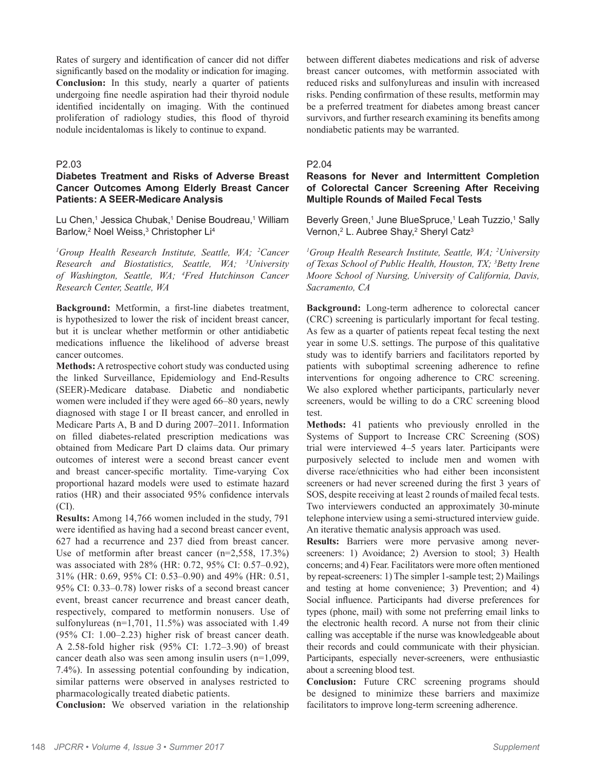Rates of surgery and identification of cancer did not differ significantly based on the modality or indication for imaging. **Conclusion:** In this study, nearly a quarter of patients undergoing fine needle aspiration had their thyroid nodule identified incidentally on imaging. With the continued proliferation of radiology studies, this flood of thyroid nodule incidentalomas is likely to continue to expand.

#### P2.03

# **Diabetes Treatment and Risks of Adverse Breast Cancer Outcomes Among Elderly Breast Cancer Patients: A SEER-Medicare Analysis**

Lu Chen,<sup>1</sup> Jessica Chubak,<sup>1</sup> Denise Boudreau,<sup>1</sup> William Barlow,<sup>2</sup> Noel Weiss,<sup>3</sup> Christopher Li<sup>4</sup>

<sup>1</sup>Group Health Research Institute, Seattle, WA; <sup>2</sup>Cancer *Research and Biostatistics, Seattle, WA; 3 University of Washington, Seattle, WA; 4 Fred Hutchinson Cancer Research Center, Seattle, WA*

**Background:** Metformin, a first-line diabetes treatment, is hypothesized to lower the risk of incident breast cancer, but it is unclear whether metformin or other antidiabetic medications influence the likelihood of adverse breast cancer outcomes.

**Methods:** A retrospective cohort study was conducted using the linked Surveillance, Epidemiology and End-Results (SEER)-Medicare database. Diabetic and nondiabetic women were included if they were aged 66–80 years, newly diagnosed with stage I or II breast cancer, and enrolled in Medicare Parts A, B and D during 2007–2011. Information on filled diabetes-related prescription medications was obtained from Medicare Part D claims data. Our primary outcomes of interest were a second breast cancer event and breast cancer-specific mortality. Time-varying Cox proportional hazard models were used to estimate hazard ratios (HR) and their associated 95% confidence intervals (CI).

**Results:** Among 14,766 women included in the study, 791 were identified as having had a second breast cancer event, 627 had a recurrence and 237 died from breast cancer. Use of metformin after breast cancer (n=2,558, 17.3%) was associated with 28% (HR: 0.72, 95% CI: 0.57–0.92), 31% (HR: 0.69, 95% CI: 0.53–0.90) and 49% (HR: 0.51, 95% CI: 0.33–0.78) lower risks of a second breast cancer event, breast cancer recurrence and breast cancer death, respectively, compared to metformin nonusers. Use of sulfonylureas (n=1,701, 11.5%) was associated with 1.49 (95% CI: 1.00–2.23) higher risk of breast cancer death. A 2.58-fold higher risk (95% CI: 1.72–3.90) of breast cancer death also was seen among insulin users (n=1,099, 7.4%). In assessing potential confounding by indication, similar patterns were observed in analyses restricted to pharmacologically treated diabetic patients.

**Conclusion:** We observed variation in the relationship

between different diabetes medications and risk of adverse breast cancer outcomes, with metformin associated with reduced risks and sulfonylureas and insulin with increased risks. Pending confirmation of these results, metformin may be a preferred treatment for diabetes among breast cancer survivors, and further research examining its benefits among nondiabetic patients may be warranted.

#### P2.04

# **Reasons for Never and Intermittent Completion of Colorectal Cancer Screening After Receiving Multiple Rounds of Mailed Fecal Tests**

Beverly Green,<sup>1</sup> June BlueSpruce,<sup>1</sup> Leah Tuzzio,<sup>1</sup> Sally Vernon,<sup>2</sup> L. Aubree Shay,<sup>2</sup> Sheryl Catz<sup>3</sup>

<sup>1</sup>Group Health Research Institute, Seattle, WA; <sup>2</sup>University *of Texas School of Public Health, Houston, TX; 3 Betty Irene Moore School of Nursing, University of California, Davis, Sacramento, CA*

**Background:** Long-term adherence to colorectal cancer (CRC) screening is particularly important for fecal testing. As few as a quarter of patients repeat fecal testing the next year in some U.S. settings. The purpose of this qualitative study was to identify barriers and facilitators reported by patients with suboptimal screening adherence to refine interventions for ongoing adherence to CRC screening. We also explored whether participants, particularly never screeners, would be willing to do a CRC screening blood test.

**Methods:** 41 patients who previously enrolled in the Systems of Support to Increase CRC Screening (SOS) trial were interviewed 4–5 years later. Participants were purposively selected to include men and women with diverse race/ethnicities who had either been inconsistent screeners or had never screened during the first 3 years of SOS, despite receiving at least 2 rounds of mailed fecal tests. Two interviewers conducted an approximately 30-minute telephone interview using a semi-structured interview guide. An iterative thematic analysis approach was used.

**Results:** Barriers were more pervasive among neverscreeners: 1) Avoidance; 2) Aversion to stool; 3) Health concerns; and 4) Fear. Facilitators were more often mentioned by repeat-screeners: 1) The simpler 1-sample test; 2) Mailings and testing at home convenience; 3) Prevention; and 4) Social influence. Participants had diverse preferences for types (phone, mail) with some not preferring email links to the electronic health record. A nurse not from their clinic calling was acceptable if the nurse was knowledgeable about their records and could communicate with their physician. Participants, especially never-screeners, were enthusiastic about a screening blood test.

**Conclusion:** Future CRC screening programs should be designed to minimize these barriers and maximize facilitators to improve long-term screening adherence.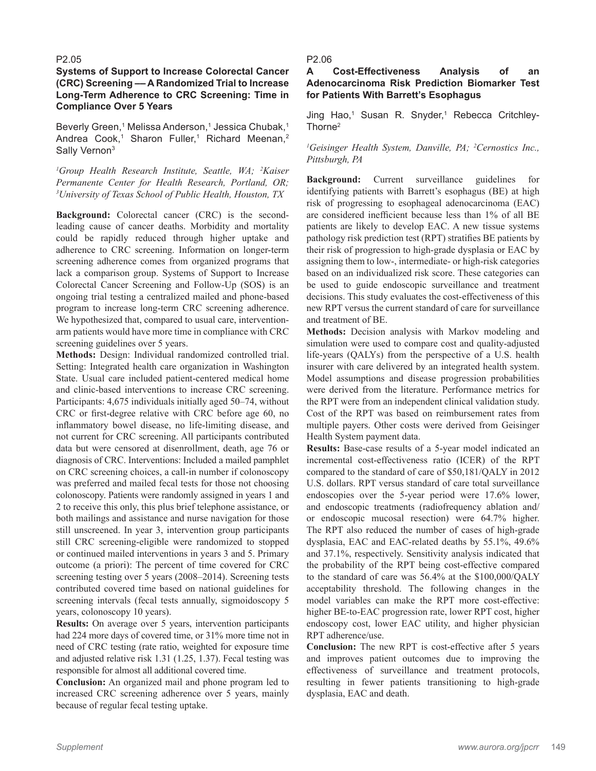#### P2.05

# **Systems of Support to Increase Colorectal Cancer (CRC) Screening –– A Randomized Trial to Increase Long-Term Adherence to CRC Screening: Time in Compliance Over 5 Years**

Beverly Green,1 Melissa Anderson,1 Jessica Chubak,1 Andrea Cook,<sup>1</sup> Sharon Fuller,<sup>1</sup> Richard Meenan,<sup>2</sup> Sally Vernon<sup>3</sup>

<sup>1</sup>Group Health Research Institute, Seattle, WA; <sup>2</sup>Kaiser *Permanente Center for Health Research, Portland, OR; 3 University of Texas School of Public Health, Houston, TX*

**Background:** Colorectal cancer (CRC) is the secondleading cause of cancer deaths. Morbidity and mortality could be rapidly reduced through higher uptake and adherence to CRC screening. Information on longer-term screening adherence comes from organized programs that lack a comparison group. Systems of Support to Increase Colorectal Cancer Screening and Follow-Up (SOS) is an ongoing trial testing a centralized mailed and phone-based program to increase long-term CRC screening adherence. We hypothesized that, compared to usual care, interventionarm patients would have more time in compliance with CRC screening guidelines over 5 years.

**Methods:** Design: Individual randomized controlled trial. Setting: Integrated health care organization in Washington State. Usual care included patient-centered medical home and clinic-based interventions to increase CRC screening. Participants: 4,675 individuals initially aged 50–74, without CRC or first-degree relative with CRC before age 60, no inflammatory bowel disease, no life-limiting disease, and not current for CRC screening. All participants contributed data but were censored at disenrollment, death, age 76 or diagnosis of CRC. Interventions: Included a mailed pamphlet on CRC screening choices, a call-in number if colonoscopy was preferred and mailed fecal tests for those not choosing colonoscopy. Patients were randomly assigned in years 1 and 2 to receive this only, this plus brief telephone assistance, or both mailings and assistance and nurse navigation for those still unscreened. In year 3, intervention group participants still CRC screening-eligible were randomized to stopped or continued mailed interventions in years 3 and 5. Primary outcome (a priori): The percent of time covered for CRC screening testing over 5 years (2008–2014). Screening tests contributed covered time based on national guidelines for screening intervals (fecal tests annually, sigmoidoscopy 5 years, colonoscopy 10 years).

**Results:** On average over 5 years, intervention participants had 224 more days of covered time, or 31% more time not in need of CRC testing (rate ratio, weighted for exposure time and adjusted relative risk 1.31 (1.25, 1.37). Fecal testing was responsible for almost all additional covered time.

**Conclusion:** An organized mail and phone program led to increased CRC screening adherence over 5 years, mainly because of regular fecal testing uptake.

#### P2.06

#### **A Cost-Effectiveness Analysis of an Adenocarcinoma Risk Prediction Biomarker Test for Patients With Barrett's Esophagus**

Jing Hao,<sup>1</sup> Susan R. Snyder,<sup>1</sup> Rebecca Critchley-Thorne2

*1 Geisinger Health System, Danville, PA; 2 Cernostics Inc., Pittsburgh, PA*

**Background:** Current surveillance guidelines for identifying patients with Barrett's esophagus (BE) at high risk of progressing to esophageal adenocarcinoma (EAC) are considered inefficient because less than 1% of all BE patients are likely to develop EAC. A new tissue systems pathology risk prediction test (RPT) stratifies BE patients by their risk of progression to high-grade dysplasia or EAC by assigning them to low-, intermediate- or high-risk categories based on an individualized risk score. These categories can be used to guide endoscopic surveillance and treatment decisions. This study evaluates the cost-effectiveness of this new RPT versus the current standard of care for surveillance and treatment of BE.

**Methods:** Decision analysis with Markov modeling and simulation were used to compare cost and quality-adjusted life-years (QALYs) from the perspective of a U.S. health insurer with care delivered by an integrated health system. Model assumptions and disease progression probabilities were derived from the literature. Performance metrics for the RPT were from an independent clinical validation study. Cost of the RPT was based on reimbursement rates from multiple payers. Other costs were derived from Geisinger Health System payment data.

**Results:** Base-case results of a 5-year model indicated an incremental cost-effectiveness ratio (ICER) of the RPT compared to the standard of care of \$50,181/QALY in 2012 U.S. dollars. RPT versus standard of care total surveillance endoscopies over the 5-year period were 17.6% lower, and endoscopic treatments (radiofrequency ablation and/ or endoscopic mucosal resection) were 64.7% higher. The RPT also reduced the number of cases of high-grade dysplasia, EAC and EAC-related deaths by 55.1%, 49.6% and 37.1%, respectively. Sensitivity analysis indicated that the probability of the RPT being cost-effective compared to the standard of care was 56.4% at the \$100,000/QALY acceptability threshold. The following changes in the model variables can make the RPT more cost-effective: higher BE-to-EAC progression rate, lower RPT cost, higher endoscopy cost, lower EAC utility, and higher physician RPT adherence/use.

**Conclusion:** The new RPT is cost-effective after 5 years and improves patient outcomes due to improving the effectiveness of surveillance and treatment protocols, resulting in fewer patients transitioning to high-grade dysplasia, EAC and death.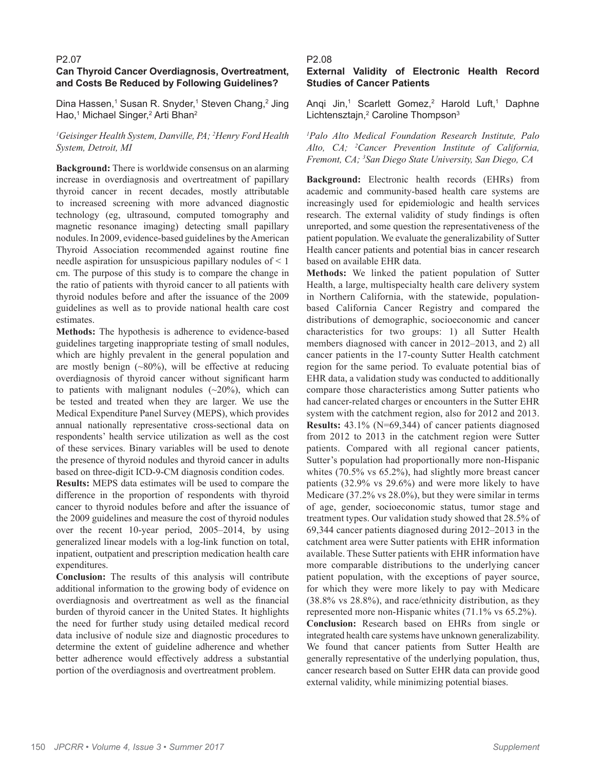# P2.07 **Can Thyroid Cancer Overdiagnosis, Overtreatment, and Costs Be Reduced by Following Guidelines?**

Dina Hassen,<sup>1</sup> Susan R. Snyder,<sup>1</sup> Steven Chang,<sup>2</sup> Jing Hao,<sup>1</sup> Michael Singer,<sup>2</sup> Arti Bhan<sup>2</sup>

# *1 Geisinger Health System, Danville, PA; 2 Henry Ford Health System, Detroit, MI*

**Background:** There is worldwide consensus on an alarming increase in overdiagnosis and overtreatment of papillary thyroid cancer in recent decades, mostly attributable to increased screening with more advanced diagnostic technology (eg, ultrasound, computed tomography and magnetic resonance imaging) detecting small papillary nodules. In 2009, evidence-based guidelines by the American Thyroid Association recommended against routine fine needle aspiration for unsuspicious papillary nodules of < 1 cm. The purpose of this study is to compare the change in the ratio of patients with thyroid cancer to all patients with thyroid nodules before and after the issuance of the 2009 guidelines as well as to provide national health care cost estimates.

**Methods:** The hypothesis is adherence to evidence-based guidelines targeting inappropriate testing of small nodules, which are highly prevalent in the general population and are mostly benign (~80%), will be effective at reducing overdiagnosis of thyroid cancer without significant harm to patients with malignant nodules  $(\sim 20\%)$ , which can be tested and treated when they are larger. We use the Medical Expenditure Panel Survey (MEPS), which provides annual nationally representative cross-sectional data on respondents' health service utilization as well as the cost of these services. Binary variables will be used to denote the presence of thyroid nodules and thyroid cancer in adults based on three-digit ICD-9-CM diagnosis condition codes.

**Results:** MEPS data estimates will be used to compare the difference in the proportion of respondents with thyroid cancer to thyroid nodules before and after the issuance of the 2009 guidelines and measure the cost of thyroid nodules over the recent 10-year period, 2005–2014, by using generalized linear models with a log-link function on total, inpatient, outpatient and prescription medication health care expenditures.

**Conclusion:** The results of this analysis will contribute additional information to the growing body of evidence on overdiagnosis and overtreatment as well as the financial burden of thyroid cancer in the United States. It highlights the need for further study using detailed medical record data inclusive of nodule size and diagnostic procedures to determine the extent of guideline adherence and whether better adherence would effectively address a substantial portion of the overdiagnosis and overtreatment problem.

# P2.08

# **External Validity of Electronic Health Record Studies of Cancer Patients**

Anqi Jin,<sup>1</sup> Scarlett Gomez,<sup>2</sup> Harold Luft,<sup>1</sup> Daphne Lichtensztajn,<sup>2</sup> Caroline Thompson<sup>3</sup>

*1 Palo Alto Medical Foundation Research Institute, Palo Alto, CA; 2 Cancer Prevention Institute of California, Fremont, CA; 3 San Diego State University, San Diego, CA*

**Background:** Electronic health records (EHRs) from academic and community-based health care systems are increasingly used for epidemiologic and health services research. The external validity of study findings is often unreported, and some question the representativeness of the patient population. We evaluate the generalizability of Sutter Health cancer patients and potential bias in cancer research based on available EHR data.

**Methods:** We linked the patient population of Sutter Health, a large, multispecialty health care delivery system in Northern California, with the statewide, populationbased California Cancer Registry and compared the distributions of demographic, socioeconomic and cancer characteristics for two groups: 1) all Sutter Health members diagnosed with cancer in 2012–2013, and 2) all cancer patients in the 17-county Sutter Health catchment region for the same period. To evaluate potential bias of EHR data, a validation study was conducted to additionally compare those characteristics among Sutter patients who had cancer-related charges or encounters in the Sutter EHR system with the catchment region, also for 2012 and 2013. **Results:** 43.1% (N=69,344) of cancer patients diagnosed from 2012 to 2013 in the catchment region were Sutter patients. Compared with all regional cancer patients, Sutter's population had proportionally more non-Hispanic whites (70.5% vs 65.2%), had slightly more breast cancer patients (32.9% vs 29.6%) and were more likely to have Medicare (37.2% vs 28.0%), but they were similar in terms of age, gender, socioeconomic status, tumor stage and treatment types. Our validation study showed that 28.5% of 69,344 cancer patients diagnosed during 2012–2013 in the catchment area were Sutter patients with EHR information available. These Sutter patients with EHR information have more comparable distributions to the underlying cancer patient population, with the exceptions of payer source, for which they were more likely to pay with Medicare (38.8% vs 28.8%), and race/ethnicity distribution, as they represented more non-Hispanic whites (71.1% vs 65.2%). **Conclusion:** Research based on EHRs from single or integrated health care systems have unknown generalizability. We found that cancer patients from Sutter Health are generally representative of the underlying population, thus, cancer research based on Sutter EHR data can provide good external validity, while minimizing potential biases.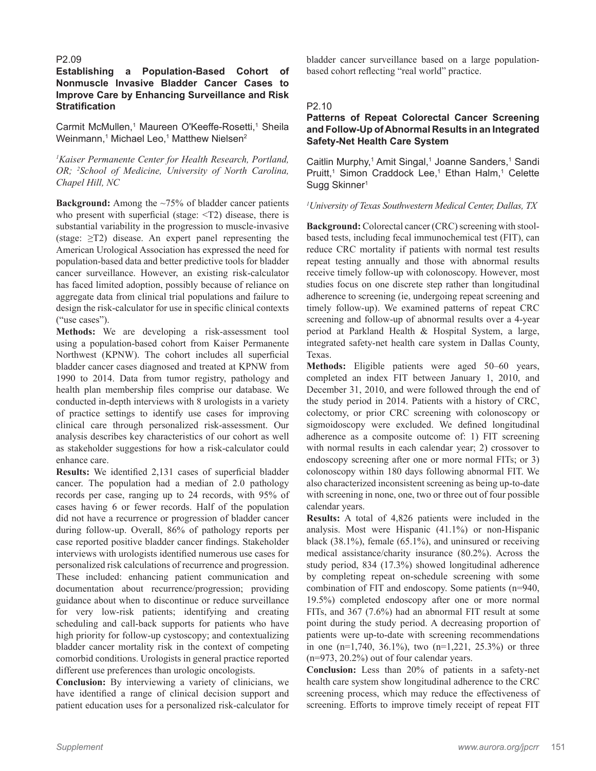#### P2.09

# **Establishing a Population-Based Cohort of Nonmuscle Invasive Bladder Cancer Cases to Improve Care by Enhancing Surveillance and Risk Stratification**

Carmit McMullen,<sup>1</sup> Maureen O'Keeffe-Rosetti,<sup>1</sup> Sheila Weinmann,<sup>1</sup> Michael Leo,<sup>1</sup> Matthew Nielsen<sup>2</sup>

*1 Kaiser Permanente Center for Health Research, Portland, OR; 2 School of Medicine, University of North Carolina, Chapel Hill, NC*

**Background:** Among the ~75% of bladder cancer patients who present with superficial (stage:  $\langle T2 \rangle$ ) disease, there is substantial variability in the progression to muscle-invasive (stage:  $\geq$ T2) disease. An expert panel representing the American Urological Association has expressed the need for population-based data and better predictive tools for bladder cancer surveillance. However, an existing risk-calculator has faced limited adoption, possibly because of reliance on aggregate data from clinical trial populations and failure to design the risk-calculator for use in specific clinical contexts ("use cases").

**Methods:** We are developing a risk-assessment tool using a population-based cohort from Kaiser Permanente Northwest (KPNW). The cohort includes all superficial bladder cancer cases diagnosed and treated at KPNW from 1990 to 2014. Data from tumor registry, pathology and health plan membership files comprise our database. We conducted in-depth interviews with 8 urologists in a variety of practice settings to identify use cases for improving clinical care through personalized risk-assessment. Our analysis describes key characteristics of our cohort as well as stakeholder suggestions for how a risk-calculator could enhance care.

**Results:** We identified 2,131 cases of superficial bladder cancer. The population had a median of 2.0 pathology records per case, ranging up to 24 records, with 95% of cases having 6 or fewer records. Half of the population did not have a recurrence or progression of bladder cancer during follow-up. Overall, 86% of pathology reports per case reported positive bladder cancer findings. Stakeholder interviews with urologists identified numerous use cases for personalized risk calculations of recurrence and progression. These included: enhancing patient communication and documentation about recurrence/progression; providing guidance about when to discontinue or reduce surveillance for very low-risk patients; identifying and creating scheduling and call-back supports for patients who have high priority for follow-up cystoscopy; and contextualizing bladder cancer mortality risk in the context of competing comorbid conditions. Urologists in general practice reported different use preferences than urologic oncologists.

**Conclusion:** By interviewing a variety of clinicians, we have identified a range of clinical decision support and patient education uses for a personalized risk-calculator for

bladder cancer surveillance based on a large populationbased cohort reflecting "real world" practice.

# P2.10

# **Patterns of Repeat Colorectal Cancer Screening and Follow-Up of Abnormal Results in an Integrated Safety-Net Health Care System**

Caitlin Murphy,<sup>1</sup> Amit Singal,<sup>1</sup> Joanne Sanders,<sup>1</sup> Sandi Pruitt,<sup>1</sup> Simon Craddock Lee,<sup>1</sup> Ethan Halm,<sup>1</sup> Celette Sugg Skinner<sup>1</sup>

# *1 University of Texas Southwestern Medical Center, Dallas, TX*

**Background:** Colorectal cancer (CRC) screening with stoolbased tests, including fecal immunochemical test (FIT), can reduce CRC mortality if patients with normal test results repeat testing annually and those with abnormal results receive timely follow-up with colonoscopy. However, most studies focus on one discrete step rather than longitudinal adherence to screening (ie, undergoing repeat screening and timely follow-up). We examined patterns of repeat CRC screening and follow-up of abnormal results over a 4-year period at Parkland Health & Hospital System, a large, integrated safety-net health care system in Dallas County, Texas.

**Methods:** Eligible patients were aged 50–60 years, completed an index FIT between January 1, 2010, and December 31, 2010, and were followed through the end of the study period in 2014. Patients with a history of CRC, colectomy, or prior CRC screening with colonoscopy or sigmoidoscopy were excluded. We defined longitudinal adherence as a composite outcome of: 1) FIT screening with normal results in each calendar year; 2) crossover to endoscopy screening after one or more normal FITs; or 3) colonoscopy within 180 days following abnormal FIT. We also characterized inconsistent screening as being up-to-date with screening in none, one, two or three out of four possible calendar years.

**Results:** A total of 4,826 patients were included in the analysis. Most were Hispanic (41.1%) or non-Hispanic black (38.1%), female (65.1%), and uninsured or receiving medical assistance/charity insurance (80.2%). Across the study period, 834 (17.3%) showed longitudinal adherence by completing repeat on-schedule screening with some combination of FIT and endoscopy. Some patients (n=940, 19.5%) completed endoscopy after one or more normal FITs, and 367 (7.6%) had an abnormal FIT result at some point during the study period. A decreasing proportion of patients were up-to-date with screening recommendations in one  $(n=1,740, 36.1\%)$ , two  $(n=1,221, 25.3\%)$  or three (n=973, 20.2%) out of four calendar years.

**Conclusion:** Less than 20% of patients in a safety-net health care system show longitudinal adherence to the CRC screening process, which may reduce the effectiveness of screening. Efforts to improve timely receipt of repeat FIT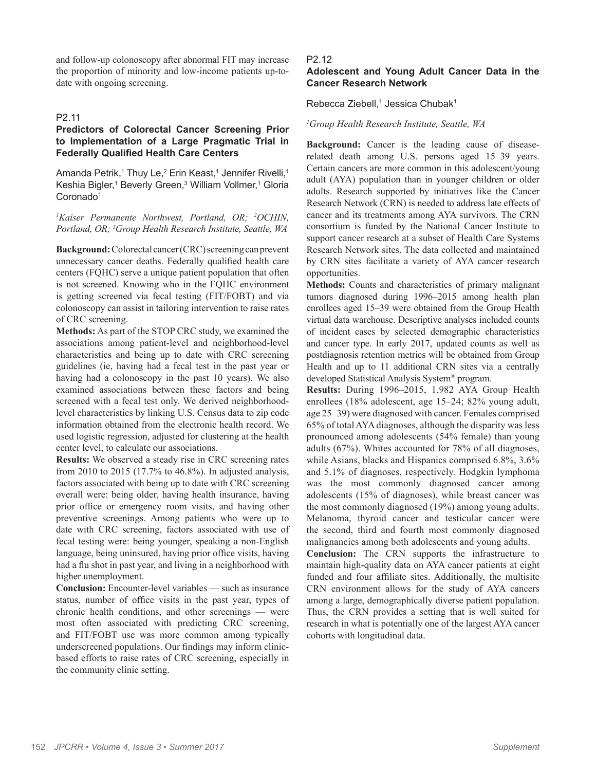and follow-up colonoscopy after abnormal FIT may increase the proportion of minority and low-income patients up-todate with ongoing screening.

# P2.11

# **Predictors of Colorectal Cancer Screening Prior to Implementation of a Large Pragmatic Trial in Federally Qualified Health Care Centers**

Amanda Petrik,<sup>1</sup> Thuy Le,<sup>2</sup> Erin Keast,<sup>1</sup> Jennifer Rivelli,<sup>1</sup> Keshia Bigler,<sup>1</sup> Beverly Green,<sup>3</sup> William Vollmer,<sup>1</sup> Gloria Coronado<sup>1</sup>

<sup>1</sup>Kaiser Permanente Northwest, Portland, OR; <sup>2</sup>OCHIN, *Portland, OR; 3 Group Health Research Institute, Seattle, WA*

**Background:** Colorectal cancer (CRC) screening can prevent unnecessary cancer deaths. Federally qualified health care centers (FQHC) serve a unique patient population that often is not screened. Knowing who in the FQHC environment is getting screened via fecal testing (FIT/FOBT) and via colonoscopy can assist in tailoring intervention to raise rates of CRC screening.

**Methods:** As part of the STOP CRC study, we examined the associations among patient-level and neighborhood-level characteristics and being up to date with CRC screening guidelines (ie, having had a fecal test in the past year or having had a colonoscopy in the past 10 years). We also examined associations between these factors and being screened with a fecal test only. We derived neighborhoodlevel characteristics by linking U.S. Census data to zip code information obtained from the electronic health record. We used logistic regression, adjusted for clustering at the health center level, to calculate our associations.

**Results:** We observed a steady rise in CRC screening rates from 2010 to 2015 (17.7% to 46.8%). In adjusted analysis, factors associated with being up to date with CRC screening overall were: being older, having health insurance, having prior office or emergency room visits, and having other preventive screenings. Among patients who were up to date with CRC screening, factors associated with use of fecal testing were: being younger, speaking a non-English language, being uninsured, having prior office visits, having had a flu shot in past year, and living in a neighborhood with higher unemployment.

**Conclusion:** Encounter-level variables — such as insurance status, number of office visits in the past year, types of chronic health conditions, and other screenings — were most often associated with predicting CRC screening, and FIT/FOBT use was more common among typically underscreened populations. Our findings may inform clinicbased efforts to raise rates of CRC screening, especially in the community clinic setting.

#### P2.12

# **Adolescent and Young Adult Cancer Data in the Cancer Research Network**

Rebecca Ziebell,<sup>1</sup> Jessica Chubak<sup>1</sup>

#### *1 Group Health Research Institute, Seattle, WA*

**Background:** Cancer is the leading cause of diseaserelated death among U.S. persons aged 15–39 years. Certain cancers are more common in this adolescent/young adult (AYA) population than in younger children or older adults. Research supported by initiatives like the Cancer Research Network (CRN) is needed to address late effects of cancer and its treatments among AYA survivors. The CRN consortium is funded by the National Cancer Institute to support cancer research at a subset of Health Care Systems Research Network sites. The data collected and maintained by CRN sites facilitate a variety of AYA cancer research opportunities.

**Methods:** Counts and characteristics of primary malignant tumors diagnosed during 1996–2015 among health plan enrollees aged 15–39 were obtained from the Group Health virtual data warehouse. Descriptive analyses included counts of incident cases by selected demographic characteristics and cancer type. In early 2017, updated counts as well as postdiagnosis retention metrics will be obtained from Group Health and up to 11 additional CRN sites via a centrally developed Statistical Analysis System® program.

**Results:** During 1996–2015, 1,982 AYA Group Health enrollees (18% adolescent, age 15–24; 82% young adult, age 25–39) were diagnosed with cancer. Females comprised 65% of total AYA diagnoses, although the disparity was less pronounced among adolescents (54% female) than young adults (67%). Whites accounted for 78% of all diagnoses, while Asians, blacks and Hispanics comprised 6.8%, 3.6% and 5.1% of diagnoses, respectively. Hodgkin lymphoma was the most commonly diagnosed cancer among adolescents (15% of diagnoses), while breast cancer was the most commonly diagnosed (19%) among young adults. Melanoma, thyroid cancer and testicular cancer were the second, third and fourth most commonly diagnosed malignancies among both adolescents and young adults.

**Conclusion:** The CRN supports the infrastructure to maintain high-quality data on AYA cancer patients at eight funded and four affiliate sites. Additionally, the multisite CRN environment allows for the study of AYA cancers among a large, demographically diverse patient population. Thus, the CRN provides a setting that is well suited for research in what is potentially one of the largest AYA cancer cohorts with longitudinal data.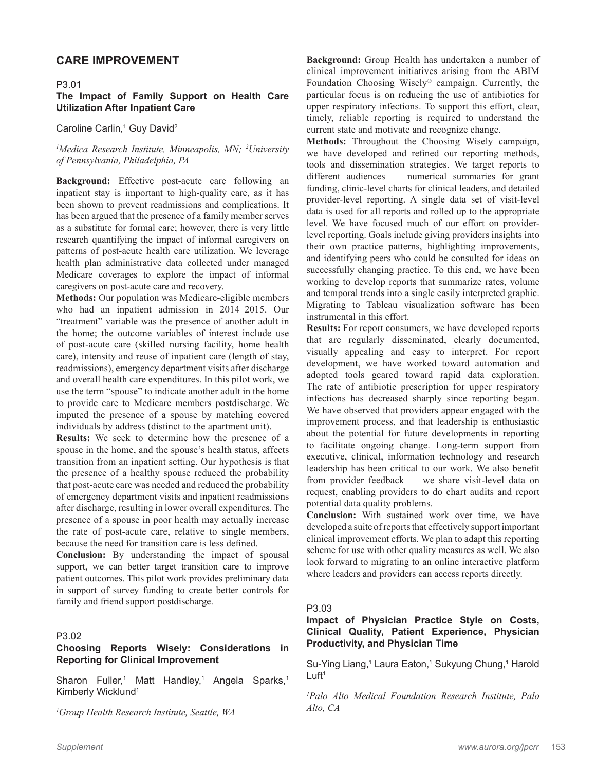# **CARE IMPROVEMENT**

#### P3.01

# **The Impact of Family Support on Health Care Utilization After Inpatient Care**

# Caroline Carlin,<sup>1</sup> Guy David<sup>2</sup>

# <sup>1</sup>Medica Research Institute, Minneapolis, MN; <sup>2</sup>University *of Pennsylvania, Philadelphia, PA*

**Background:** Effective post-acute care following an inpatient stay is important to high-quality care, as it has been shown to prevent readmissions and complications. It has been argued that the presence of a family member serves as a substitute for formal care; however, there is very little research quantifying the impact of informal caregivers on patterns of post-acute health care utilization. We leverage health plan administrative data collected under managed Medicare coverages to explore the impact of informal caregivers on post-acute care and recovery.

**Methods:** Our population was Medicare-eligible members who had an inpatient admission in 2014–2015. Our "treatment" variable was the presence of another adult in the home; the outcome variables of interest include use of post-acute care (skilled nursing facility, home health care), intensity and reuse of inpatient care (length of stay, readmissions), emergency department visits after discharge and overall health care expenditures. In this pilot work, we use the term "spouse" to indicate another adult in the home to provide care to Medicare members postdischarge. We imputed the presence of a spouse by matching covered individuals by address (distinct to the apartment unit).

**Results:** We seek to determine how the presence of a spouse in the home, and the spouse's health status, affects transition from an inpatient setting. Our hypothesis is that the presence of a healthy spouse reduced the probability that post-acute care was needed and reduced the probability of emergency department visits and inpatient readmissions after discharge, resulting in lower overall expenditures. The presence of a spouse in poor health may actually increase the rate of post-acute care, relative to single members, because the need for transition care is less defined.

**Conclusion:** By understanding the impact of spousal support, we can better target transition care to improve patient outcomes. This pilot work provides preliminary data in support of survey funding to create better controls for family and friend support postdischarge.

# P3.02

# **Choosing Reports Wisely: Considerations in Reporting for Clinical Improvement**

Sharon Fuller,<sup>1</sup> Matt Handley,<sup>1</sup> Angela Sparks,<sup>1</sup> Kimberly Wicklund<sup>1</sup>

*1 Group Health Research Institute, Seattle, WA*

**Background:** Group Health has undertaken a number of clinical improvement initiatives arising from the ABIM Foundation Choosing Wisely® campaign. Currently, the particular focus is on reducing the use of antibiotics for upper respiratory infections. To support this effort, clear, timely, reliable reporting is required to understand the current state and motivate and recognize change.

**Methods:** Throughout the Choosing Wisely campaign, we have developed and refined our reporting methods, tools and dissemination strategies. We target reports to different audiences –– numerical summaries for grant funding, clinic-level charts for clinical leaders, and detailed provider-level reporting. A single data set of visit-level data is used for all reports and rolled up to the appropriate level. We have focused much of our effort on providerlevel reporting. Goals include giving providers insights into their own practice patterns, highlighting improvements, and identifying peers who could be consulted for ideas on successfully changing practice. To this end, we have been working to develop reports that summarize rates, volume and temporal trends into a single easily interpreted graphic. Migrating to Tableau visualization software has been instrumental in this effort.

**Results:** For report consumers, we have developed reports that are regularly disseminated, clearly documented, visually appealing and easy to interpret. For report development, we have worked toward automation and adopted tools geared toward rapid data exploration. The rate of antibiotic prescription for upper respiratory infections has decreased sharply since reporting began. We have observed that providers appear engaged with the improvement process, and that leadership is enthusiastic about the potential for future developments in reporting to facilitate ongoing change. Long-term support from executive, clinical, information technology and research leadership has been critical to our work. We also benefit from provider feedback –– we share visit-level data on request, enabling providers to do chart audits and report potential data quality problems.

**Conclusion:** With sustained work over time, we have developed a suite of reports that effectively support important clinical improvement efforts. We plan to adapt this reporting scheme for use with other quality measures as well. We also look forward to migrating to an online interactive platform where leaders and providers can access reports directly.

#### P3.03

# **Impact of Physician Practice Style on Costs, Clinical Quality, Patient Experience, Physician Productivity, and Physician Time**

Su-Ying Liang,<sup>1</sup> Laura Eaton,<sup>1</sup> Sukyung Chung,<sup>1</sup> Harold  $L$ uft<sup>1</sup>

*1 Palo Alto Medical Foundation Research Institute, Palo Alto, CA*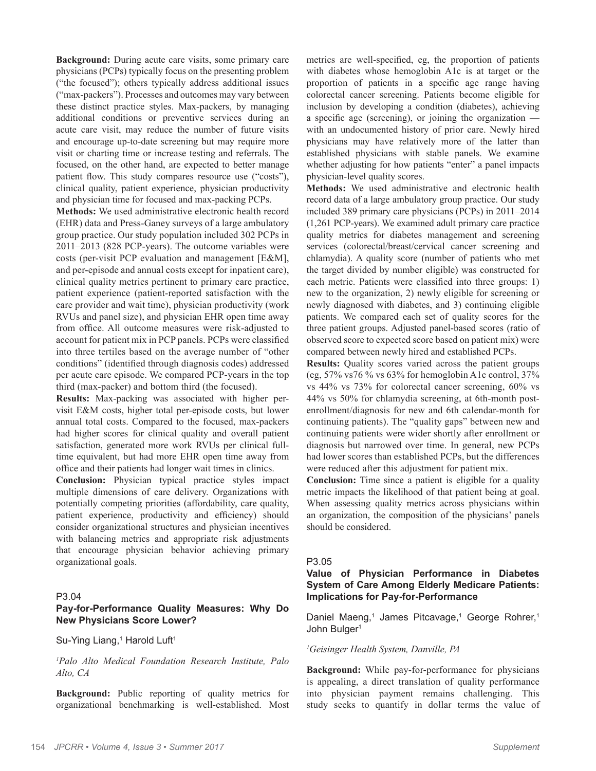**Background:** During acute care visits, some primary care physicians (PCPs) typically focus on the presenting problem ("the focused"); others typically address additional issues ("max-packers"). Processes and outcomes may vary between these distinct practice styles. Max-packers, by managing additional conditions or preventive services during an acute care visit, may reduce the number of future visits and encourage up-to-date screening but may require more visit or charting time or increase testing and referrals. The focused, on the other hand, are expected to better manage patient flow. This study compares resource use ("costs"), clinical quality, patient experience, physician productivity and physician time for focused and max-packing PCPs.

**Methods:** We used administrative electronic health record (EHR) data and Press-Ganey surveys of a large ambulatory group practice. Our study population included 302 PCPs in 2011–2013 (828 PCP-years). The outcome variables were costs (per-visit PCP evaluation and management [E&M], and per-episode and annual costs except for inpatient care), clinical quality metrics pertinent to primary care practice, patient experience (patient-reported satisfaction with the care provider and wait time), physician productivity (work RVUs and panel size), and physician EHR open time away from office. All outcome measures were risk-adjusted to account for patient mix in PCP panels. PCPs were classified into three tertiles based on the average number of "other conditions" (identified through diagnosis codes) addressed per acute care episode. We compared PCP-years in the top third (max-packer) and bottom third (the focused).

**Results:** Max-packing was associated with higher pervisit E&M costs, higher total per-episode costs, but lower annual total costs. Compared to the focused, max-packers had higher scores for clinical quality and overall patient satisfaction, generated more work RVUs per clinical fulltime equivalent, but had more EHR open time away from office and their patients had longer wait times in clinics.

**Conclusion:** Physician typical practice styles impact multiple dimensions of care delivery. Organizations with potentially competing priorities (affordability, care quality, patient experience, productivity and efficiency) should consider organizational structures and physician incentives with balancing metrics and appropriate risk adjustments that encourage physician behavior achieving primary organizational goals.

#### P3.04

# **Pay-for-Performance Quality Measures: Why Do New Physicians Score Lower?**

Su-Ying Liang,<sup>1</sup> Harold Luft<sup>1</sup>

*1 Palo Alto Medical Foundation Research Institute, Palo Alto, CA*

**Background:** Public reporting of quality metrics for organizational benchmarking is well-established. Most

metrics are well-specified, eg, the proportion of patients with diabetes whose hemoglobin A1c is at target or the proportion of patients in a specific age range having colorectal cancer screening. Patients become eligible for inclusion by developing a condition (diabetes), achieving a specific age (screening), or joining the organization with an undocumented history of prior care. Newly hired physicians may have relatively more of the latter than established physicians with stable panels. We examine whether adjusting for how patients "enter" a panel impacts physician-level quality scores.

**Methods:** We used administrative and electronic health record data of a large ambulatory group practice. Our study included 389 primary care physicians (PCPs) in 2011–2014 (1,261 PCP-years). We examined adult primary care practice quality metrics for diabetes management and screening services (colorectal/breast/cervical cancer screening and chlamydia). A quality score (number of patients who met the target divided by number eligible) was constructed for each metric. Patients were classified into three groups: 1) new to the organization, 2) newly eligible for screening or newly diagnosed with diabetes, and 3) continuing eligible patients. We compared each set of quality scores for the three patient groups. Adjusted panel-based scores (ratio of observed score to expected score based on patient mix) were compared between newly hired and established PCPs.

**Results:** Quality scores varied across the patient groups (eg, 57% vs76 % vs 63% for hemoglobin A1c control, 37% vs 44% vs 73% for colorectal cancer screening, 60% vs 44% vs 50% for chlamydia screening, at 6th-month postenrollment/diagnosis for new and 6th calendar-month for continuing patients). The "quality gaps" between new and continuing patients were wider shortly after enrollment or diagnosis but narrowed over time. In general, new PCPs had lower scores than established PCPs, but the differences were reduced after this adjustment for patient mix.

**Conclusion:** Time since a patient is eligible for a quality metric impacts the likelihood of that patient being at goal. When assessing quality metrics across physicians within an organization, the composition of the physicians' panels should be considered.

#### P3.05

# **Value of Physician Performance in Diabetes System of Care Among Elderly Medicare Patients: Implications for Pay-for-Performance**

Daniel Maeng,<sup>1</sup> James Pitcavage,<sup>1</sup> George Rohrer,<sup>1</sup> John Bulger<sup>1</sup>

*1 Geisinger Health System, Danville, PA*

**Background:** While pay-for-performance for physicians is appealing, a direct translation of quality performance into physician payment remains challenging. This study seeks to quantify in dollar terms the value of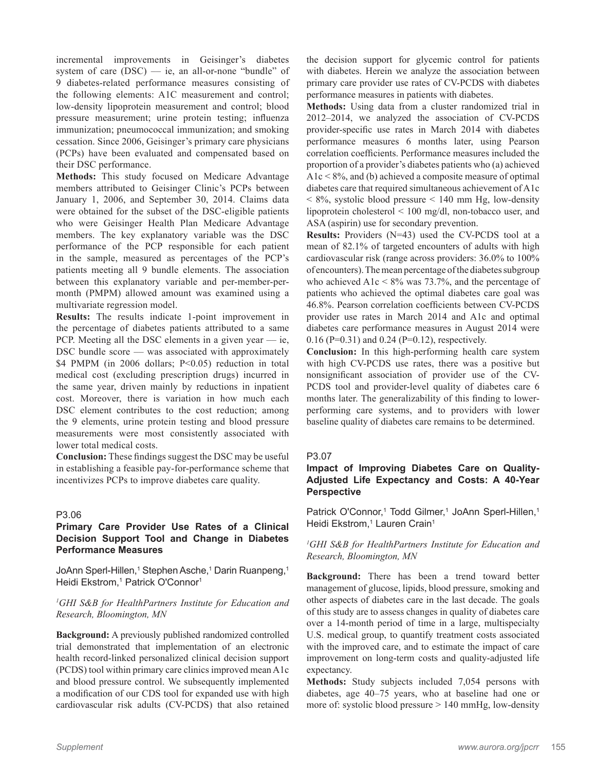incremental improvements in Geisinger's diabetes system of care  $(DSC)$  — ie, an all-or-none "bundle" of 9 diabetes-related performance measures consisting of the following elements: A1C measurement and control; low-density lipoprotein measurement and control; blood pressure measurement; urine protein testing; influenza immunization; pneumococcal immunization; and smoking cessation. Since 2006, Geisinger's primary care physicians (PCPs) have been evaluated and compensated based on their DSC performance.

**Methods:** This study focused on Medicare Advantage members attributed to Geisinger Clinic's PCPs between January 1, 2006, and September 30, 2014. Claims data were obtained for the subset of the DSC-eligible patients who were Geisinger Health Plan Medicare Advantage members. The key explanatory variable was the DSC performance of the PCP responsible for each patient in the sample, measured as percentages of the PCP's patients meeting all 9 bundle elements. The association between this explanatory variable and per-member-permonth (PMPM) allowed amount was examined using a multivariate regression model.

**Results:** The results indicate 1-point improvement in the percentage of diabetes patients attributed to a same PCP. Meeting all the DSC elements in a given year  $-$  ie, DSC bundle score — was associated with approximately \$4 PMPM (in 2006 dollars; P<0.05) reduction in total medical cost (excluding prescription drugs) incurred in the same year, driven mainly by reductions in inpatient cost. Moreover, there is variation in how much each DSC element contributes to the cost reduction; among the 9 elements, urine protein testing and blood pressure measurements were most consistently associated with lower total medical costs.

**Conclusion:** These findings suggest the DSC may be useful in establishing a feasible pay-for-performance scheme that incentivizes PCPs to improve diabetes care quality.

# P3.06

# **Primary Care Provider Use Rates of a Clinical Decision Support Tool and Change in Diabetes Performance Measures**

JoAnn Sperl-Hillen,<sup>1</sup> Stephen Asche,<sup>1</sup> Darin Ruanpeng,<sup>1</sup> Heidi Ekstrom,<sup>1</sup> Patrick O'Connor<sup>1</sup>

#### *1 GHI S&B for HealthPartners Institute for Education and Research, Bloomington, MN*

**Background:** A previously published randomized controlled trial demonstrated that implementation of an electronic health record-linked personalized clinical decision support (PCDS) tool within primary care clinics improved mean A1c and blood pressure control. We subsequently implemented a modification of our CDS tool for expanded use with high cardiovascular risk adults (CV-PCDS) that also retained

the decision support for glycemic control for patients with diabetes. Herein we analyze the association between primary care provider use rates of CV-PCDS with diabetes performance measures in patients with diabetes.

**Methods:** Using data from a cluster randomized trial in 2012–2014, we analyzed the association of CV-PCDS provider-specific use rates in March 2014 with diabetes performance measures 6 months later, using Pearson correlation coefficients. Performance measures included the proportion of a provider's diabetes patients who (a) achieved A1c < 8%, and (b) achieved a composite measure of optimal diabetes care that required simultaneous achievement of A1c  $\leq 8\%$ , systolic blood pressure  $\leq 140$  mm Hg, low-density lipoprotein cholesterol < 100 mg/dl, non-tobacco user, and ASA (aspirin) use for secondary prevention.

**Results:** Providers (N=43) used the CV-PCDS tool at a mean of 82.1% of targeted encounters of adults with high cardiovascular risk (range across providers: 36.0% to 100% of encounters). The mean percentage of the diabetes subgroup who achieved  $A1c < 8\%$  was 73.7%, and the percentage of patients who achieved the optimal diabetes care goal was 46.8%. Pearson correlation coefficients between CV-PCDS provider use rates in March 2014 and A1c and optimal diabetes care performance measures in August 2014 were 0.16 (P=0.31) and 0.24 (P=0.12), respectively.

**Conclusion:** In this high-performing health care system with high CV-PCDS use rates, there was a positive but nonsignificant association of provider use of the CV-PCDS tool and provider-level quality of diabetes care 6 months later. The generalizability of this finding to lowerperforming care systems, and to providers with lower baseline quality of diabetes care remains to be determined.

#### P3.07

# **Impact of Improving Diabetes Care on Quality-Adjusted Life Expectancy and Costs: A 40-Year Perspective**

Patrick O'Connor,<sup>1</sup> Todd Gilmer,<sup>1</sup> JoAnn Sperl-Hillen,<sup>1</sup> Heidi Ekstrom,<sup>1</sup> Lauren Crain<sup>1</sup>

*1 GHI S&B for HealthPartners Institute for Education and Research, Bloomington, MN*

**Background:** There has been a trend toward better management of glucose, lipids, blood pressure, smoking and other aspects of diabetes care in the last decade. The goals of this study are to assess changes in quality of diabetes care over a 14-month period of time in a large, multispecialty U.S. medical group, to quantify treatment costs associated with the improved care, and to estimate the impact of care improvement on long-term costs and quality-adjusted life expectancy.

**Methods:** Study subjects included 7,054 persons with diabetes, age 40–75 years, who at baseline had one or more of: systolic blood pressure > 140 mmHg, low-density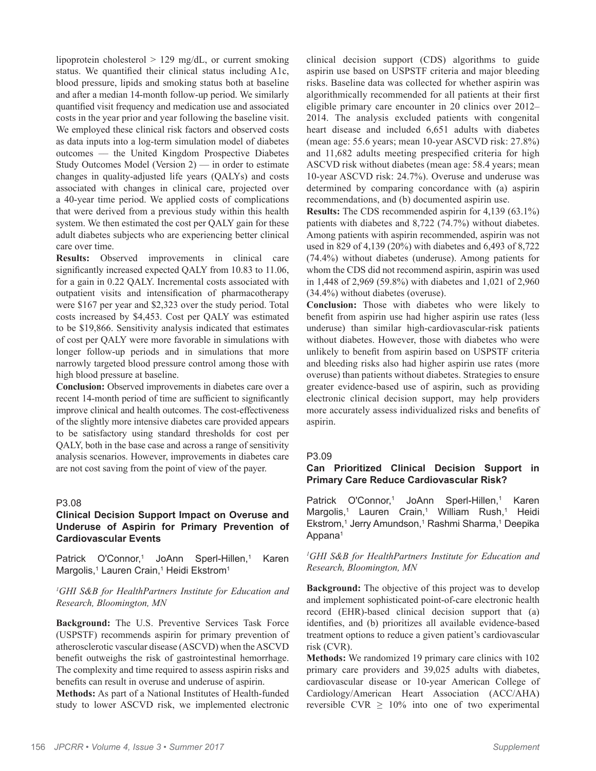lipoprotein cholesterol > 129 mg/dL, or current smoking status. We quantified their clinical status including A1c, blood pressure, lipids and smoking status both at baseline and after a median 14-month follow-up period. We similarly quantified visit frequency and medication use and associated costs in the year prior and year following the baseline visit. We employed these clinical risk factors and observed costs as data inputs into a log-term simulation model of diabetes outcomes –– the United Kingdom Prospective Diabetes Study Outcomes Model (Version  $2$ ) — in order to estimate changes in quality-adjusted life years (QALYs) and costs associated with changes in clinical care, projected over a 40-year time period. We applied costs of complications that were derived from a previous study within this health system. We then estimated the cost per QALY gain for these adult diabetes subjects who are experiencing better clinical care over time.

**Results:** Observed improvements in clinical care significantly increased expected QALY from 10.83 to 11.06, for a gain in 0.22 QALY. Incremental costs associated with outpatient visits and intensification of pharmacotherapy were \$167 per year and \$2,323 over the study period. Total costs increased by \$4,453. Cost per QALY was estimated to be \$19,866. Sensitivity analysis indicated that estimates of cost per QALY were more favorable in simulations with longer follow-up periods and in simulations that more narrowly targeted blood pressure control among those with high blood pressure at baseline.

**Conclusion:** Observed improvements in diabetes care over a recent 14-month period of time are sufficient to significantly improve clinical and health outcomes. The cost-effectiveness of the slightly more intensive diabetes care provided appears to be satisfactory using standard thresholds for cost per QALY, both in the base case and across a range of sensitivity analysis scenarios. However, improvements in diabetes care are not cost saving from the point of view of the payer.

# P3.08

# **Clinical Decision Support Impact on Overuse and Underuse of Aspirin for Primary Prevention of Cardiovascular Events**

Patrick O'Connor,<sup>1</sup> JoAnn Sperl-Hillen,<sup>1</sup> Karen Margolis,<sup>1</sup> Lauren Crain,<sup>1</sup> Heidi Ekstrom<sup>1</sup>

#### *1 GHI S&B for HealthPartners Institute for Education and Research, Bloomington, MN*

**Background:** The U.S. Preventive Services Task Force (USPSTF) recommends aspirin for primary prevention of atherosclerotic vascular disease (ASCVD) when the ASCVD benefit outweighs the risk of gastrointestinal hemorrhage. The complexity and time required to assess aspirin risks and benefits can result in overuse and underuse of aspirin.

**Methods:** As part of a National Institutes of Health-funded study to lower ASCVD risk, we implemented electronic

clinical decision support (CDS) algorithms to guide aspirin use based on USPSTF criteria and major bleeding risks. Baseline data was collected for whether aspirin was algorithmically recommended for all patients at their first eligible primary care encounter in 20 clinics over 2012– 2014. The analysis excluded patients with congenital heart disease and included 6,651 adults with diabetes (mean age: 55.6 years; mean 10-year ASCVD risk: 27.8%) and 11,682 adults meeting prespecified criteria for high ASCVD risk without diabetes (mean age: 58.4 years; mean 10-year ASCVD risk: 24.7%). Overuse and underuse was determined by comparing concordance with (a) aspirin recommendations, and (b) documented aspirin use.

**Results:** The CDS recommended aspirin for 4,139 (63.1%) patients with diabetes and 8,722 (74.7%) without diabetes. Among patients with aspirin recommended, aspirin was not used in 829 of 4,139 (20%) with diabetes and 6,493 of 8,722 (74.4%) without diabetes (underuse). Among patients for whom the CDS did not recommend aspirin, aspirin was used in 1,448 of 2,969 (59.8%) with diabetes and 1,021 of 2,960 (34.4%) without diabetes (overuse).

**Conclusion:** Those with diabetes who were likely to benefit from aspirin use had higher aspirin use rates (less underuse) than similar high-cardiovascular-risk patients without diabetes. However, those with diabetes who were unlikely to benefit from aspirin based on USPSTF criteria and bleeding risks also had higher aspirin use rates (more overuse) than patients without diabetes. Strategies to ensure greater evidence-based use of aspirin, such as providing electronic clinical decision support, may help providers more accurately assess individualized risks and benefits of aspirin.

#### P3.09

## **Can Prioritized Clinical Decision Support in Primary Care Reduce Cardiovascular Risk?**

Patrick O'Connor,<sup>1</sup> JoAnn Sperl-Hillen,<sup>1</sup> Karen Margolis,<sup>1</sup> Lauren Crain,<sup>1</sup> William Rush,<sup>1</sup> Heidi Ekstrom,<sup>1</sup> Jerry Amundson,<sup>1</sup> Rashmi Sharma,<sup>1</sup> Deepika Appana<sup>1</sup>

#### *1 GHI S&B for HealthPartners Institute for Education and Research, Bloomington, MN*

**Background:** The objective of this project was to develop and implement sophisticated point-of-care electronic health record (EHR)-based clinical decision support that (a) identifies, and (b) prioritizes all available evidence-based treatment options to reduce a given patient's cardiovascular risk (CVR).

**Methods:** We randomized 19 primary care clinics with 102 primary care providers and 39,025 adults with diabetes, cardiovascular disease or 10-year American College of Cardiology/American Heart Association (ACC/AHA) reversible CVR  $\geq$  10% into one of two experimental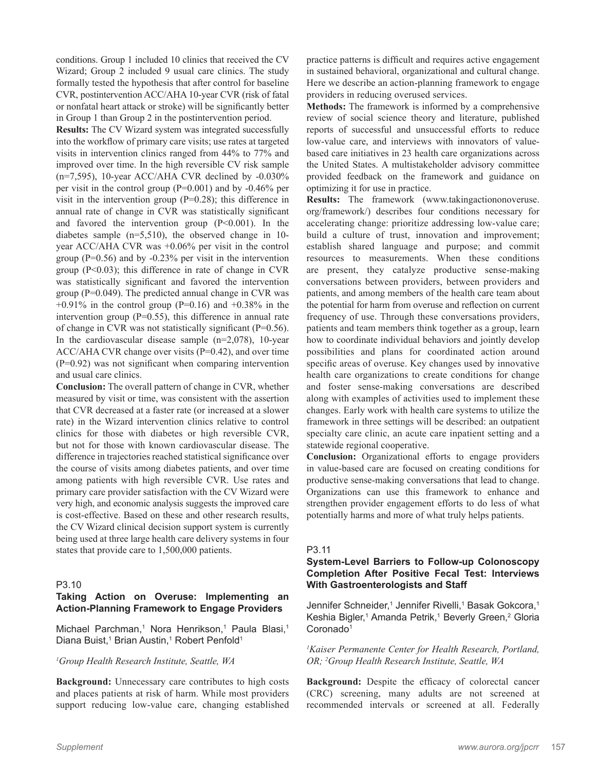conditions. Group 1 included 10 clinics that received the CV Wizard; Group 2 included 9 usual care clinics. The study formally tested the hypothesis that after control for baseline CVR, postintervention ACC/AHA 10-year CVR (risk of fatal or nonfatal heart attack or stroke) will be significantly better in Group 1 than Group 2 in the postintervention period.

**Results:** The CV Wizard system was integrated successfully into the workflow of primary care visits; use rates at targeted visits in intervention clinics ranged from 44% to 77% and improved over time. In the high reversible CV risk sample (n=7,595), 10-year ACC/AHA CVR declined by -0.030% per visit in the control group (P=0.001) and by -0.46% per visit in the intervention group  $(P=0.28)$ ; this difference in annual rate of change in CVR was statistically significant and favored the intervention group  $(P<0.001)$ . In the diabetes sample (n=5,510), the observed change in 10 year ACC/AHA CVR was +0.06% per visit in the control group  $(P=0.56)$  and by  $-0.23\%$  per visit in the intervention group  $(P<0.03)$ ; this difference in rate of change in CVR was statistically significant and favored the intervention group (P=0.049). The predicted annual change in CVR was  $+0.91\%$  in the control group (P=0.16) and  $+0.38\%$  in the intervention group  $(P=0.55)$ , this difference in annual rate of change in CVR was not statistically significant (P=0.56). In the cardiovascular disease sample  $(n=2,078)$ , 10-year ACC/AHA CVR change over visits (P=0.42), and over time (P=0.92) was not significant when comparing intervention and usual care clinics.

**Conclusion:** The overall pattern of change in CVR, whether measured by visit or time, was consistent with the assertion that CVR decreased at a faster rate (or increased at a slower rate) in the Wizard intervention clinics relative to control clinics for those with diabetes or high reversible CVR, but not for those with known cardiovascular disease. The difference in trajectories reached statistical significance over the course of visits among diabetes patients, and over time among patients with high reversible CVR. Use rates and primary care provider satisfaction with the CV Wizard were very high, and economic analysis suggests the improved care is cost-effective. Based on these and other research results, the CV Wizard clinical decision support system is currently being used at three large health care delivery systems in four states that provide care to 1,500,000 patients.

#### P3.10

# **Taking Action on Overuse: Implementing an Action-Planning Framework to Engage Providers**

Michael Parchman,<sup>1</sup> Nora Henrikson,<sup>1</sup> Paula Blasi,<sup>1</sup> Diana Buist,<sup>1</sup> Brian Austin,<sup>1</sup> Robert Penfold<sup>1</sup>

# *1 Group Health Research Institute, Seattle, WA*

**Background:** Unnecessary care contributes to high costs and places patients at risk of harm. While most providers support reducing low-value care, changing established practice patterns is difficult and requires active engagement in sustained behavioral, organizational and cultural change. Here we describe an action-planning framework to engage providers in reducing overused services.

**Methods:** The framework is informed by a comprehensive review of social science theory and literature, published reports of successful and unsuccessful efforts to reduce low-value care, and interviews with innovators of valuebased care initiatives in 23 health care organizations across the United States. A multistakeholder advisory committee provided feedback on the framework and guidance on optimizing it for use in practice.

**Results:** The framework (www.takingactiononoveruse. org/framework/) describes four conditions necessary for accelerating change: prioritize addressing low-value care; build a culture of trust, innovation and improvement; establish shared language and purpose; and commit resources to measurements. When these conditions are present, they catalyze productive sense-making conversations between providers, between providers and patients, and among members of the health care team about the potential for harm from overuse and reflection on current frequency of use. Through these conversations providers, patients and team members think together as a group, learn how to coordinate individual behaviors and jointly develop possibilities and plans for coordinated action around specific areas of overuse. Key changes used by innovative health care organizations to create conditions for change and foster sense-making conversations are described along with examples of activities used to implement these changes. Early work with health care systems to utilize the framework in three settings will be described: an outpatient specialty care clinic, an acute care inpatient setting and a statewide regional cooperative.

**Conclusion:** Organizational efforts to engage providers in value-based care are focused on creating conditions for productive sense-making conversations that lead to change. Organizations can use this framework to enhance and strengthen provider engagement efforts to do less of what potentially harms and more of what truly helps patients.

# P3.11

# **System-Level Barriers to Follow-up Colonoscopy Completion After Positive Fecal Test: Interviews With Gastroenterologists and Staff**

Jennifer Schneider,1 Jennifer Rivelli,1 Basak Gokcora,1 Keshia Bigler,<sup>1</sup> Amanda Petrik,<sup>1</sup> Beverly Green,<sup>2</sup> Gloria Coronado<sup>1</sup>

*1 Kaiser Permanente Center for Health Research, Portland, OR; 2 Group Health Research Institute, Seattle, WA*

**Background:** Despite the efficacy of colorectal cancer (CRC) screening, many adults are not screened at recommended intervals or screened at all. Federally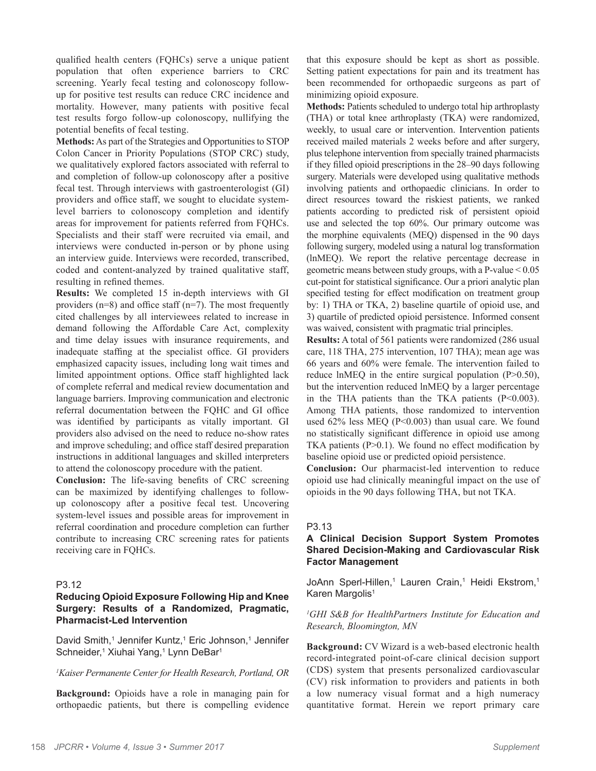qualified health centers (FQHCs) serve a unique patient population that often experience barriers to CRC screening. Yearly fecal testing and colonoscopy followup for positive test results can reduce CRC incidence and mortality. However, many patients with positive fecal test results forgo follow-up colonoscopy, nullifying the potential benefits of fecal testing.

**Methods:** As part of the Strategies and Opportunities to STOP Colon Cancer in Priority Populations (STOP CRC) study, we qualitatively explored factors associated with referral to and completion of follow-up colonoscopy after a positive fecal test. Through interviews with gastroenterologist (GI) providers and office staff, we sought to elucidate systemlevel barriers to colonoscopy completion and identify areas for improvement for patients referred from FQHCs. Specialists and their staff were recruited via email, and interviews were conducted in-person or by phone using an interview guide. Interviews were recorded, transcribed, coded and content-analyzed by trained qualitative staff, resulting in refined themes.

**Results:** We completed 15 in-depth interviews with GI providers ( $n=8$ ) and office staff ( $n=7$ ). The most frequently cited challenges by all interviewees related to increase in demand following the Affordable Care Act, complexity and time delay issues with insurance requirements, and inadequate staffing at the specialist office. GI providers emphasized capacity issues, including long wait times and limited appointment options. Office staff highlighted lack of complete referral and medical review documentation and language barriers. Improving communication and electronic referral documentation between the FQHC and GI office was identified by participants as vitally important. GI providers also advised on the need to reduce no-show rates and improve scheduling; and office staff desired preparation instructions in additional languages and skilled interpreters to attend the colonoscopy procedure with the patient.

**Conclusion:** The life-saving benefits of CRC screening can be maximized by identifying challenges to followup colonoscopy after a positive fecal test. Uncovering system-level issues and possible areas for improvement in referral coordination and procedure completion can further contribute to increasing CRC screening rates for patients receiving care in FQHCs.

# P3.12

## **Reducing Opioid Exposure Following Hip and Knee Surgery: Results of a Randomized, Pragmatic, Pharmacist-Led Intervention**

David Smith,<sup>1</sup> Jennifer Kuntz,<sup>1</sup> Eric Johnson,<sup>1</sup> Jennifer Schneider,<sup>1</sup> Xiuhai Yang,<sup>1</sup> Lynn DeBar<sup>1</sup>

#### *1 Kaiser Permanente Center for Health Research, Portland, OR*

**Background:** Opioids have a role in managing pain for orthopaedic patients, but there is compelling evidence

that this exposure should be kept as short as possible. Setting patient expectations for pain and its treatment has been recommended for orthopaedic surgeons as part of minimizing opioid exposure.

**Methods:** Patients scheduled to undergo total hip arthroplasty (THA) or total knee arthroplasty (TKA) were randomized, weekly, to usual care or intervention. Intervention patients received mailed materials 2 weeks before and after surgery, plus telephone intervention from specially trained pharmacists if they filled opioid prescriptions in the 28–90 days following surgery. Materials were developed using qualitative methods involving patients and orthopaedic clinicians. In order to direct resources toward the riskiest patients, we ranked patients according to predicted risk of persistent opioid use and selected the top 60%. Our primary outcome was the morphine equivalents (MEQ) dispensed in the 90 days following surgery, modeled using a natural log transformation (lnMEQ). We report the relative percentage decrease in geometric means between study groups, with a P-value < 0.05 cut-point for statistical significance. Our a priori analytic plan specified testing for effect modification on treatment group by: 1) THA or TKA, 2) baseline quartile of opioid use, and 3) quartile of predicted opioid persistence. Informed consent was waived, consistent with pragmatic trial principles.

**Results:** A total of 561 patients were randomized (286 usual care, 118 THA, 275 intervention, 107 THA); mean age was 66 years and 60% were female. The intervention failed to reduce lnMEQ in the entire surgical population (P>0.50), but the intervention reduced lnMEQ by a larger percentage in the THA patients than the TKA patients (P<0.003). Among THA patients, those randomized to intervention used 62% less MEQ (P<0.003) than usual care. We found no statistically significant difference in opioid use among TKA patients (P>0.1). We found no effect modification by baseline opioid use or predicted opioid persistence.

**Conclusion:** Our pharmacist-led intervention to reduce opioid use had clinically meaningful impact on the use of opioids in the 90 days following THA, but not TKA.

# P3.13

# **A Clinical Decision Support System Promotes Shared Decision-Making and Cardiovascular Risk Factor Management**

JoAnn Sperl-Hillen,<sup>1</sup> Lauren Crain,<sup>1</sup> Heidi Ekstrom,<sup>1</sup> Karen Margolis<sup>1</sup>

#### *1 GHI S&B for HealthPartners Institute for Education and Research, Bloomington, MN*

**Background:** CV Wizard is a web-based electronic health record-integrated point-of-care clinical decision support (CDS) system that presents personalized cardiovascular (CV) risk information to providers and patients in both a low numeracy visual format and a high numeracy quantitative format. Herein we report primary care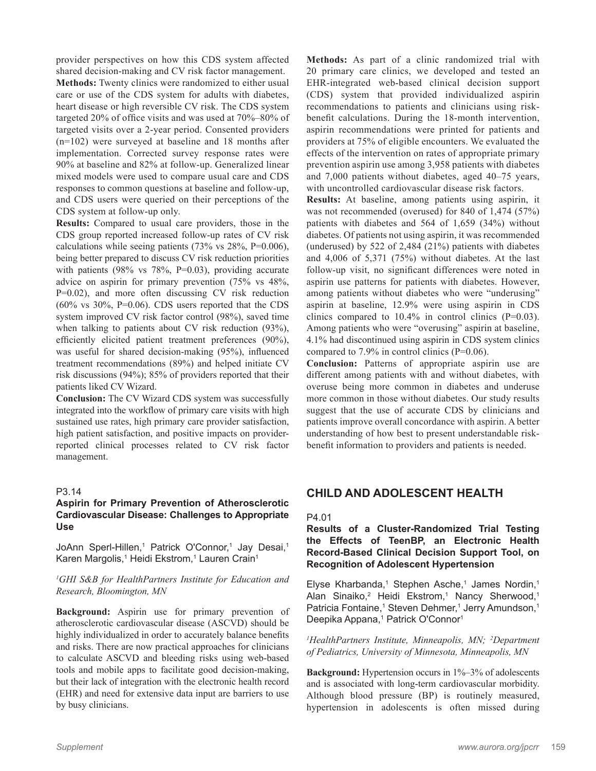provider perspectives on how this CDS system affected shared decision-making and CV risk factor management.

**Methods:** Twenty clinics were randomized to either usual care or use of the CDS system for adults with diabetes, heart disease or high reversible CV risk. The CDS system targeted 20% of office visits and was used at 70%–80% of targeted visits over a 2-year period. Consented providers (n=102) were surveyed at baseline and 18 months after implementation. Corrected survey response rates were 90% at baseline and 82% at follow-up. Generalized linear mixed models were used to compare usual care and CDS responses to common questions at baseline and follow-up, and CDS users were queried on their perceptions of the CDS system at follow-up only.

**Results:** Compared to usual care providers, those in the CDS group reported increased follow-up rates of CV risk calculations while seeing patients (73% vs 28%, P=0.006), being better prepared to discuss CV risk reduction priorities with patients (98% vs 78%, P=0.03), providing accurate advice on aspirin for primary prevention (75% vs 48%, P=0.02), and more often discussing CV risk reduction  $(60\% \text{ vs } 30\%, \text{ P=0.06})$ . CDS users reported that the CDS system improved CV risk factor control (98%), saved time when talking to patients about CV risk reduction (93%), efficiently elicited patient treatment preferences (90%), was useful for shared decision-making (95%), influenced treatment recommendations (89%) and helped initiate CV risk discussions (94%); 85% of providers reported that their patients liked CV Wizard.

**Conclusion:** The CV Wizard CDS system was successfully integrated into the workflow of primary care visits with high sustained use rates, high primary care provider satisfaction, high patient satisfaction, and positive impacts on providerreported clinical processes related to CV risk factor management.

#### P3.14

# **Aspirin for Primary Prevention of Atherosclerotic Cardiovascular Disease: Challenges to Appropriate Use**

JoAnn Sperl-Hillen,<sup>1</sup> Patrick O'Connor,<sup>1</sup> Jay Desai,<sup>1</sup> Karen Margolis,<sup>1</sup> Heidi Ekstrom,<sup>1</sup> Lauren Crain<sup>1</sup>

#### *1 GHI S&B for HealthPartners Institute for Education and Research, Bloomington, MN*

**Background:** Aspirin use for primary prevention of atherosclerotic cardiovascular disease (ASCVD) should be highly individualized in order to accurately balance benefits and risks. There are now practical approaches for clinicians to calculate ASCVD and bleeding risks using web-based tools and mobile apps to facilitate good decision-making, but their lack of integration with the electronic health record (EHR) and need for extensive data input are barriers to use by busy clinicians.

**Methods:** As part of a clinic randomized trial with 20 primary care clinics, we developed and tested an EHR-integrated web-based clinical decision support (CDS) system that provided individualized aspirin recommendations to patients and clinicians using riskbenefit calculations. During the 18-month intervention, aspirin recommendations were printed for patients and providers at 75% of eligible encounters. We evaluated the effects of the intervention on rates of appropriate primary prevention aspirin use among 3,958 patients with diabetes and 7,000 patients without diabetes, aged 40–75 years, with uncontrolled cardiovascular disease risk factors.

**Results:** At baseline, among patients using aspirin, it was not recommended (overused) for 840 of 1,474 (57%) patients with diabetes and 564 of 1,659 (34%) without diabetes. Of patients not using aspirin, it was recommended (underused) by 522 of 2,484 (21%) patients with diabetes and 4,006 of 5,371 (75%) without diabetes. At the last follow-up visit, no significant differences were noted in aspirin use patterns for patients with diabetes. However, among patients without diabetes who were "underusing" aspirin at baseline, 12.9% were using aspirin in CDS clinics compared to  $10.4\%$  in control clinics (P=0.03). Among patients who were "overusing" aspirin at baseline, 4.1% had discontinued using aspirin in CDS system clinics compared to 7.9% in control clinics (P=0.06).

**Conclusion:** Patterns of appropriate aspirin use are different among patients with and without diabetes, with overuse being more common in diabetes and underuse more common in those without diabetes. Our study results suggest that the use of accurate CDS by clinicians and patients improve overall concordance with aspirin. A better understanding of how best to present understandable riskbenefit information to providers and patients is needed.

# **CHILD AND ADOLESCENT HEALTH**

#### P4.01

# **Results of a Cluster-Randomized Trial Testing the Effects of TeenBP, an Electronic Health Record-Based Clinical Decision Support Tool, on Recognition of Adolescent Hypertension**

Elyse Kharbanda,<sup>1</sup> Stephen Asche,<sup>1</sup> James Nordin,<sup>1</sup> Alan Sinaiko,<sup>2</sup> Heidi Ekstrom,<sup>1</sup> Nancy Sherwood,<sup>1</sup> Patricia Fontaine,<sup>1</sup> Steven Dehmer,<sup>1</sup> Jerry Amundson,<sup>1</sup> Deepika Appana,<sup>1</sup> Patrick O'Connor<sup>1</sup>

*1 HealthPartners Institute, Minneapolis, MN; 2 Department of Pediatrics, University of Minnesota, Minneapolis, MN*

**Background:** Hypertension occurs in 1%–3% of adolescents and is associated with long-term cardiovascular morbidity. Although blood pressure (BP) is routinely measured, hypertension in adolescents is often missed during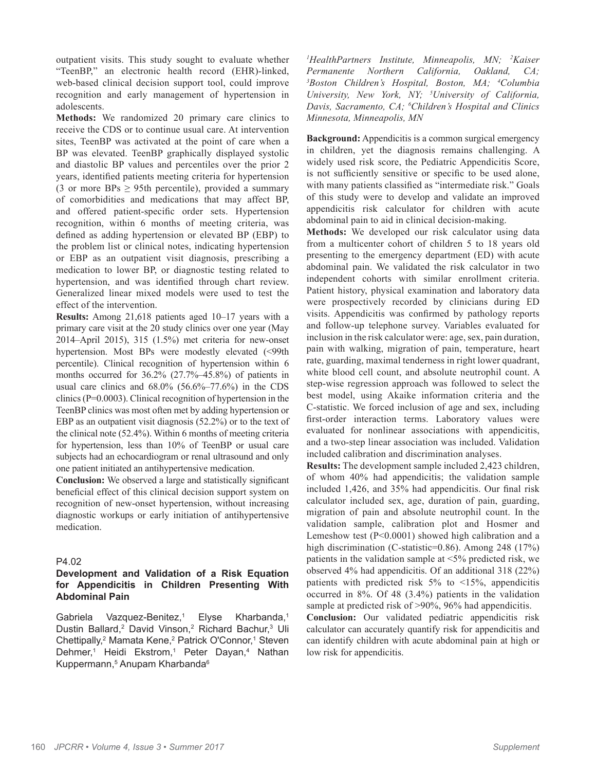outpatient visits. This study sought to evaluate whether "TeenBP," an electronic health record (EHR)-linked, web-based clinical decision support tool, could improve recognition and early management of hypertension in adolescents.

**Methods:** We randomized 20 primary care clinics to receive the CDS or to continue usual care. At intervention sites, TeenBP was activated at the point of care when a BP was elevated. TeenBP graphically displayed systolic and diastolic BP values and percentiles over the prior 2 years, identified patients meeting criteria for hypertension (3 or more BPs  $\geq$  95th percentile), provided a summary of comorbidities and medications that may affect BP, and offered patient-specific order sets. Hypertension recognition, within 6 months of meeting criteria, was defined as adding hypertension or elevated BP (EBP) to the problem list or clinical notes, indicating hypertension or EBP as an outpatient visit diagnosis, prescribing a medication to lower BP, or diagnostic testing related to hypertension, and was identified through chart review. Generalized linear mixed models were used to test the effect of the intervention.

**Results:** Among 21,618 patients aged 10–17 years with a primary care visit at the 20 study clinics over one year (May 2014–April 2015), 315 (1.5%) met criteria for new-onset hypertension. Most BPs were modestly elevated (<99th percentile). Clinical recognition of hypertension within 6 months occurred for 36.2% (27.7%–45.8%) of patients in usual care clinics and  $68.0\%$   $(56.6\% - 77.6\%)$  in the CDS clinics (P=0.0003). Clinical recognition of hypertension in the TeenBP clinics was most often met by adding hypertension or EBP as an outpatient visit diagnosis (52.2%) or to the text of the clinical note (52.4%). Within 6 months of meeting criteria for hypertension, less than 10% of TeenBP or usual care subjects had an echocardiogram or renal ultrasound and only one patient initiated an antihypertensive medication.

**Conclusion:** We observed a large and statistically significant beneficial effect of this clinical decision support system on recognition of new-onset hypertension, without increasing diagnostic workups or early initiation of antihypertensive medication.

# P4.02

# **Development and Validation of a Risk Equation for Appendicitis in Children Presenting With Abdominal Pain**

Gabriela Vazquez-Benitez,1 Elyse Kharbanda,<sup>1</sup> Dustin Ballard,<sup>2</sup> David Vinson,<sup>2</sup> Richard Bachur,<sup>3</sup> Uli Chettipally,<sup>2</sup> Mamata Kene,<sup>2</sup> Patrick O'Connor,<sup>1</sup> Steven Dehmer,<sup>1</sup> Heidi Ekstrom,<sup>1</sup> Peter Dayan,<sup>4</sup> Nathan Kuppermann,<sup>5</sup> Anupam Kharbanda<sup>6</sup>

*1 HealthPartners Institute, Minneapolis, MN; 2 Kaiser Permanente Northern California, Oakland, CA; 3 Boston Children's Hospital, Boston, MA; 4 Columbia University, New York, NY; 5 University of California, Davis, Sacramento, CA; 6 Children's Hospital and Clinics Minnesota, Minneapolis, MN*

**Background:** Appendicitis is a common surgical emergency in children, yet the diagnosis remains challenging. A widely used risk score, the Pediatric Appendicitis Score, is not sufficiently sensitive or specific to be used alone, with many patients classified as "intermediate risk." Goals of this study were to develop and validate an improved appendicitis risk calculator for children with acute abdominal pain to aid in clinical decision-making.

**Methods:** We developed our risk calculator using data from a multicenter cohort of children 5 to 18 years old presenting to the emergency department (ED) with acute abdominal pain. We validated the risk calculator in two independent cohorts with similar enrollment criteria. Patient history, physical examination and laboratory data were prospectively recorded by clinicians during ED visits. Appendicitis was confirmed by pathology reports and follow-up telephone survey. Variables evaluated for inclusion in the risk calculator were: age, sex, pain duration, pain with walking, migration of pain, temperature, heart rate, guarding, maximal tenderness in right lower quadrant, white blood cell count, and absolute neutrophil count. A step-wise regression approach was followed to select the best model, using Akaike information criteria and the C-statistic. We forced inclusion of age and sex, including first-order interaction terms. Laboratory values were evaluated for nonlinear associations with appendicitis, and a two-step linear association was included. Validation included calibration and discrimination analyses.

**Results:** The development sample included 2,423 children, of whom 40% had appendicitis; the validation sample included 1,426, and 35% had appendicitis. Our final risk calculator included sex, age, duration of pain, guarding, migration of pain and absolute neutrophil count. In the validation sample, calibration plot and Hosmer and Lemeshow test (P<0.0001) showed high calibration and a high discrimination (C-statistic=0.86). Among 248 (17%) patients in the validation sample at <5% predicted risk, we observed 4% had appendicitis. Of an additional 318 (22%) patients with predicted risk  $5\%$  to  $\lt 15\%$ , appendicitis occurred in 8%. Of 48 (3.4%) patients in the validation sample at predicted risk of >90%, 96% had appendicitis.

**Conclusion:** Our validated pediatric appendicitis risk calculator can accurately quantify risk for appendicitis and can identify children with acute abdominal pain at high or low risk for appendicitis.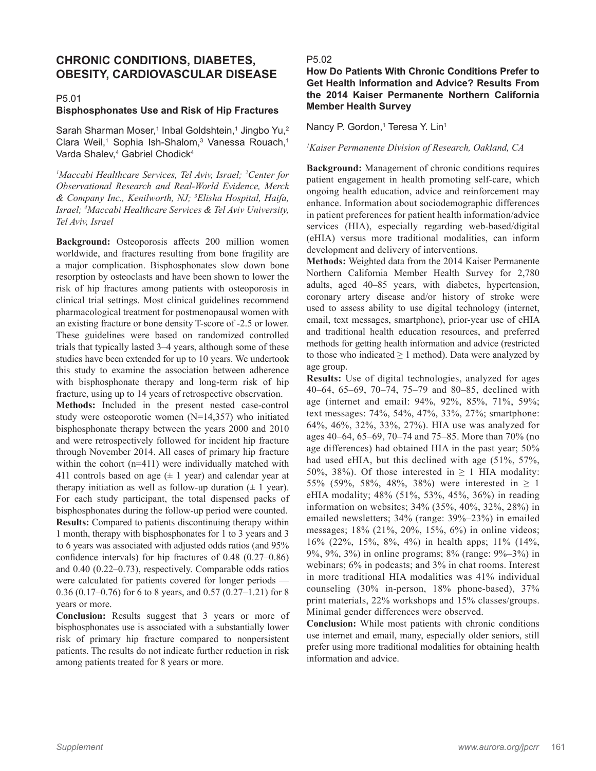# **CHRONIC CONDITIONS, DIABETES, OBESITY, CARDIOVASCULAR DISEASE**

# P5.01

#### **Bisphosphonates Use and Risk of Hip Fractures**

Sarah Sharman Moser,<sup>1</sup> Inbal Goldshtein,<sup>1</sup> Jingbo Yu,<sup>2</sup> Clara Weil,<sup>1</sup> Sophia Ish-Shalom,<sup>3</sup> Vanessa Rouach,<sup>1</sup> Varda Shalev,<sup>4</sup> Gabriel Chodick<sup>4</sup>

<sup>1</sup>Maccabi Healthcare Services, Tel Aviv, Israel; <sup>2</sup>Center for *Observational Research and Real-World Evidence, Merck & Company Inc., Kenilworth, NJ; 3 Elisha Hospital, Haifa, Israel; 4 Maccabi Healthcare Services & Tel Aviv University, Tel Aviv, Israel*

**Background:** Osteoporosis affects 200 million women worldwide, and fractures resulting from bone fragility are a major complication. Bisphosphonates slow down bone resorption by osteoclasts and have been shown to lower the risk of hip fractures among patients with osteoporosis in clinical trial settings. Most clinical guidelines recommend pharmacological treatment for postmenopausal women with an existing fracture or bone density T-score of -2.5 or lower. These guidelines were based on randomized controlled trials that typically lasted 3–4 years, although some of these studies have been extended for up to 10 years. We undertook this study to examine the association between adherence with bisphosphonate therapy and long-term risk of hip fracture, using up to 14 years of retrospective observation.

**Methods:** Included in the present nested case-control study were osteoporotic women (N=14,357) who initiated bisphosphonate therapy between the years 2000 and 2010 and were retrospectively followed for incident hip fracture through November 2014. All cases of primary hip fracture within the cohort (n=411) were individually matched with 411 controls based on age  $(± 1$  year) and calendar year at therapy initiation as well as follow-up duration  $(\pm 1 \text{ year})$ . For each study participant, the total dispensed packs of bisphosphonates during the follow-up period were counted. **Results:** Compared to patients discontinuing therapy within 1 month, therapy with bisphosphonates for 1 to 3 years and 3 to 6 years was associated with adjusted odds ratios (and 95% confidence intervals) for hip fractures of 0.48 (0.27–0.86) and 0.40 (0.22–0.73), respectively. Comparable odds ratios were calculated for patients covered for longer periods — 0.36 (0.17–0.76) for 6 to 8 years, and 0.57 (0.27–1.21) for 8 years or more.

**Conclusion:** Results suggest that 3 years or more of bisphosphonates use is associated with a substantially lower risk of primary hip fracture compared to nonpersistent patients. The results do not indicate further reduction in risk among patients treated for 8 years or more.

#### P5.02

# **How Do Patients With Chronic Conditions Prefer to Get Health Information and Advice? Results From the 2014 Kaiser Permanente Northern California Member Health Survey**

Nancy P. Gordon,<sup>1</sup> Teresa Y. Lin<sup>1</sup>

#### *1 Kaiser Permanente Division of Research, Oakland, CA*

**Background:** Management of chronic conditions requires patient engagement in health promoting self-care, which ongoing health education, advice and reinforcement may enhance. Information about sociodemographic differences in patient preferences for patient health information/advice services (HIA), especially regarding web-based/digital (eHIA) versus more traditional modalities, can inform development and delivery of interventions.

**Methods:** Weighted data from the 2014 Kaiser Permanente Northern California Member Health Survey for 2,780 adults, aged 40–85 years, with diabetes, hypertension, coronary artery disease and/or history of stroke were used to assess ability to use digital technology (internet, email, text messages, smartphone), prior-year use of eHIA and traditional health education resources, and preferred methods for getting health information and advice (restricted to those who indicated  $\geq 1$  method). Data were analyzed by age group.

**Results:** Use of digital technologies, analyzed for ages 40–64, 65–69, 70–74, 75–79 and 80–85, declined with age (internet and email: 94%, 92%, 85%, 71%, 59%; text messages: 74%, 54%, 47%, 33%, 27%; smartphone: 64%, 46%, 32%, 33%, 27%). HIA use was analyzed for ages 40–64, 65–69, 70–74 and 75–85. More than 70% (no age differences) had obtained HIA in the past year; 50% had used eHIA, but this declined with age (51%, 57%, 50%, 38%). Of those interested in  $\geq$  1 HIA modality: 55% (59%, 58%, 48%, 38%) were interested in ≥ 1 eHIA modality; 48% (51%, 53%, 45%, 36%) in reading information on websites; 34% (35%, 40%, 32%, 28%) in emailed newsletters; 34% (range: 39%–23%) in emailed messages; 18% (21%, 20%, 15%, 6%) in online videos; 16% (22%, 15%, 8%, 4%) in health apps; 11% (14%, 9%, 9%, 3%) in online programs; 8% (range: 9%–3%) in webinars; 6% in podcasts; and 3% in chat rooms. Interest in more traditional HIA modalities was 41% individual counseling (30% in-person, 18% phone-based), 37% print materials, 22% workshops and 15% classes/groups. Minimal gender differences were observed.

**Conclusion:** While most patients with chronic conditions use internet and email, many, especially older seniors, still prefer using more traditional modalities for obtaining health information and advice.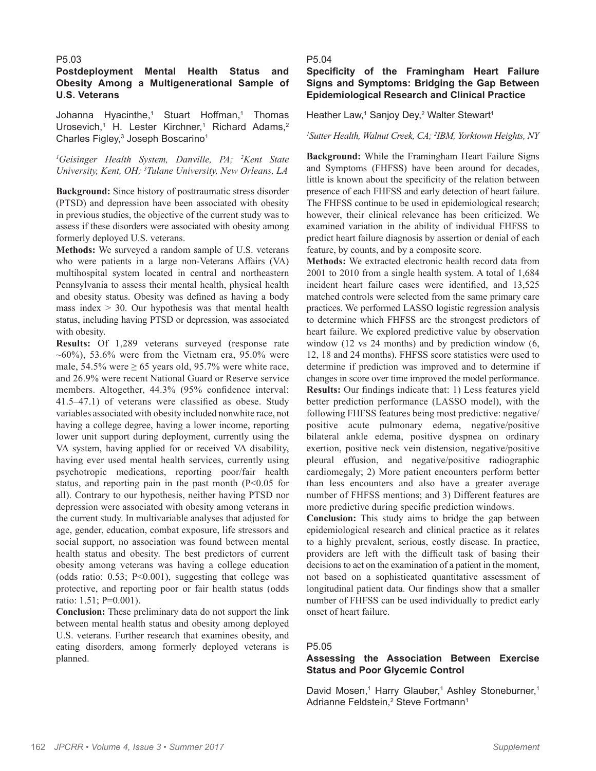#### P5.03

# **Postdeployment Mental Health Status and Obesity Among a Multigenerational Sample of U.S. Veterans**

Johanna Hyacinthe,<sup>1</sup> Stuart Hoffman,<sup>1</sup> Thomas Urosevich,<sup>1</sup> H. Lester Kirchner,<sup>1</sup> Richard Adams,<sup>2</sup> Charles Figley,<sup>3</sup> Joseph Boscarino<sup>1</sup>

*1 Geisinger Health System, Danville, PA; 2 Kent State University, Kent, OH; 3 Tulane University, New Orleans, LA*

**Background:** Since history of posttraumatic stress disorder (PTSD) and depression have been associated with obesity in previous studies, the objective of the current study was to assess if these disorders were associated with obesity among formerly deployed U.S. veterans.

**Methods:** We surveyed a random sample of U.S. veterans who were patients in a large non-Veterans Affairs (VA) multihospital system located in central and northeastern Pennsylvania to assess their mental health, physical health and obesity status. Obesity was defined as having a body mass index  $> 30$ . Our hypothesis was that mental health status, including having PTSD or depression, was associated with obesity.

**Results:** Of 1,289 veterans surveyed (response rate  $\sim 60\%$ ), 53.6% were from the Vietnam era, 95.0% were male, 54.5% were  $\geq$  65 years old, 95.7% were white race, and 26.9% were recent National Guard or Reserve service members. Altogether, 44.3% (95% confidence interval: 41.5–47.1) of veterans were classified as obese. Study variables associated with obesity included nonwhite race, not having a college degree, having a lower income, reporting lower unit support during deployment, currently using the VA system, having applied for or received VA disability, having ever used mental health services, currently using psychotropic medications, reporting poor/fair health status, and reporting pain in the past month  $(P<0.05$  for all). Contrary to our hypothesis, neither having PTSD nor depression were associated with obesity among veterans in the current study. In multivariable analyses that adjusted for age, gender, education, combat exposure, life stressors and social support, no association was found between mental health status and obesity. The best predictors of current obesity among veterans was having a college education (odds ratio:  $0.53$ ;  $P<0.001$ ), suggesting that college was protective, and reporting poor or fair health status (odds ratio: 1.51; P=0.001).

**Conclusion:** These preliminary data do not support the link between mental health status and obesity among deployed U.S. veterans. Further research that examines obesity, and eating disorders, among formerly deployed veterans is planned.

#### P5.04

# **Specificity of the Framingham Heart Failure Signs and Symptoms: Bridging the Gap Between Epidemiological Research and Clinical Practice**

Heather Law,<sup>1</sup> Sanjoy Dey,<sup>2</sup> Walter Stewart<sup>1</sup>

#### *1 Sutter Health, Walnut Creek, CA; 2 IBM, Yorktown Heights, NY*

**Background:** While the Framingham Heart Failure Signs and Symptoms (FHFSS) have been around for decades, little is known about the specificity of the relation between presence of each FHFSS and early detection of heart failure. The FHFSS continue to be used in epidemiological research; however, their clinical relevance has been criticized. We examined variation in the ability of individual FHFSS to predict heart failure diagnosis by assertion or denial of each feature, by counts, and by a composite score.

**Methods:** We extracted electronic health record data from 2001 to 2010 from a single health system. A total of 1,684 incident heart failure cases were identified, and 13,525 matched controls were selected from the same primary care practices. We performed LASSO logistic regression analysis to determine which FHFSS are the strongest predictors of heart failure. We explored predictive value by observation window (12 vs 24 months) and by prediction window (6, 12, 18 and 24 months). FHFSS score statistics were used to determine if prediction was improved and to determine if changes in score over time improved the model performance. **Results:** Our findings indicate that: 1) Less features yield better prediction performance (LASSO model), with the following FHFSS features being most predictive: negative/ positive acute pulmonary edema, negative/positive bilateral ankle edema, positive dyspnea on ordinary exertion, positive neck vein distension, negative/positive pleural effusion, and negative/positive radiographic cardiomegaly; 2) More patient encounters perform better than less encounters and also have a greater average number of FHFSS mentions; and 3) Different features are more predictive during specific prediction windows.

**Conclusion:** This study aims to bridge the gap between epidemiological research and clinical practice as it relates to a highly prevalent, serious, costly disease. In practice, providers are left with the difficult task of basing their decisions to act on the examination of a patient in the moment, not based on a sophisticated quantitative assessment of longitudinal patient data. Our findings show that a smaller number of FHFSS can be used individually to predict early onset of heart failure.

## P5.05

# **Assessing the Association Between Exercise Status and Poor Glycemic Control**

David Mosen,<sup>1</sup> Harry Glauber,<sup>1</sup> Ashley Stoneburner,<sup>1</sup> Adrianne Feldstein,<sup>2</sup> Steve Fortmann<sup>1</sup>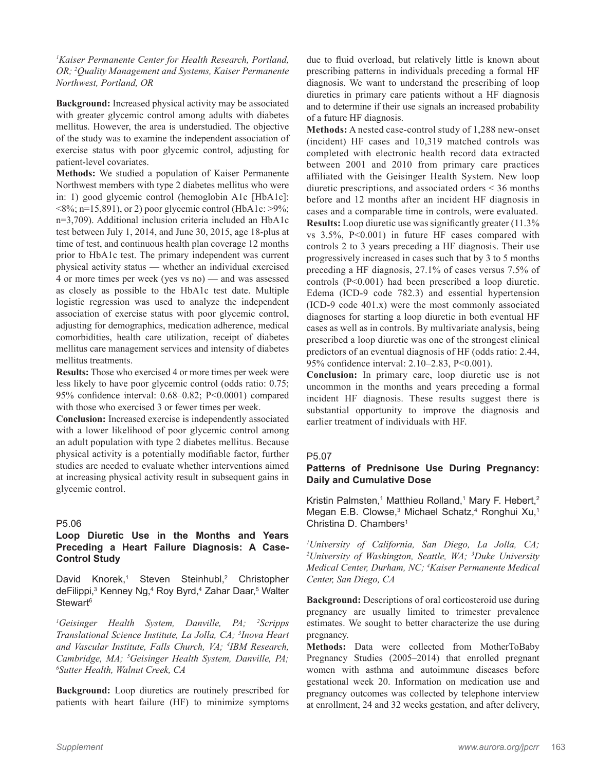*1 Kaiser Permanente Center for Health Research, Portland, OR; 2 Quality Management and Systems, Kaiser Permanente Northwest, Portland, OR*

**Background:** Increased physical activity may be associated with greater glycemic control among adults with diabetes mellitus. However, the area is understudied. The objective of the study was to examine the independent association of exercise status with poor glycemic control, adjusting for patient-level covariates.

**Methods:** We studied a population of Kaiser Permanente Northwest members with type 2 diabetes mellitus who were in: 1) good glycemic control (hemoglobin A1c [HbA1c]:  $\langle 8\%; n=15,891 \rangle$ , or 2) poor glycemic control (HbA1c: >9%; n=3,709). Additional inclusion criteria included an HbA1c test between July 1, 2014, and June 30, 2015, age 18-plus at time of test, and continuous health plan coverage 12 months prior to HbA1c test. The primary independent was current physical activity status — whether an individual exercised 4 or more times per week (yes vs no) — and was assessed as closely as possible to the HbA1c test date. Multiple logistic regression was used to analyze the independent association of exercise status with poor glycemic control, adjusting for demographics, medication adherence, medical comorbidities, health care utilization, receipt of diabetes mellitus care management services and intensity of diabetes mellitus treatments.

**Results:** Those who exercised 4 or more times per week were less likely to have poor glycemic control (odds ratio: 0.75; 95% confidence interval: 0.68–0.82; P<0.0001) compared with those who exercised 3 or fewer times per week.

**Conclusion:** Increased exercise is independently associated with a lower likelihood of poor glycemic control among an adult population with type 2 diabetes mellitus. Because physical activity is a potentially modifiable factor, further studies are needed to evaluate whether interventions aimed at increasing physical activity result in subsequent gains in glycemic control.

# P5.06

# **Loop Diuretic Use in the Months and Years Preceding a Heart Failure Diagnosis: A Case-Control Study**

David Knorek,<sup>1</sup> Steven Steinhubl,<sup>2</sup> Christopher deFilippi,<sup>3</sup> Kenney Ng,<sup>4</sup> Roy Byrd,<sup>4</sup> Zahar Daar,<sup>5</sup> Walter Stewart<sup>6</sup>

*1 Geisinger Health System, Danville, PA; 2 Scripps Translational Science Institute, La Jolla, CA; 3 Inova Heart and Vascular Institute, Falls Church, VA; 4 IBM Research, Cambridge, MA; 5 Geisinger Health System, Danville, PA; 6 Sutter Health, Walnut Creek, CA*

**Background:** Loop diuretics are routinely prescribed for patients with heart failure (HF) to minimize symptoms due to fluid overload, but relatively little is known about prescribing patterns in individuals preceding a formal HF diagnosis. We want to understand the prescribing of loop diuretics in primary care patients without a HF diagnosis and to determine if their use signals an increased probability of a future HF diagnosis.

**Methods:** A nested case-control study of 1,288 new-onset (incident) HF cases and 10,319 matched controls was completed with electronic health record data extracted between 2001 and 2010 from primary care practices affiliated with the Geisinger Health System. New loop diuretic prescriptions, and associated orders < 36 months before and 12 months after an incident HF diagnosis in cases and a comparable time in controls, were evaluated. **Results:** Loop diuretic use was significantly greater (11.3% vs 3.5%, P<0.001) in future HF cases compared with controls 2 to 3 years preceding a HF diagnosis. Their use progressively increased in cases such that by 3 to 5 months preceding a HF diagnosis, 27.1% of cases versus 7.5% of controls (P<0.001) had been prescribed a loop diuretic. Edema (ICD-9 code 782.3) and essential hypertension (ICD-9 code 401.x) were the most commonly associated diagnoses for starting a loop diuretic in both eventual HF cases as well as in controls. By multivariate analysis, being prescribed a loop diuretic was one of the strongest clinical predictors of an eventual diagnosis of HF (odds ratio: 2.44, 95% confidence interval: 2.10–2.83, P<0.001).

**Conclusion:** In primary care, loop diuretic use is not uncommon in the months and years preceding a formal incident HF diagnosis. These results suggest there is substantial opportunity to improve the diagnosis and earlier treatment of individuals with HF.

# P5.07

# **Patterns of Prednisone Use During Pregnancy: Daily and Cumulative Dose**

Kristin Palmsten,<sup>1</sup> Matthieu Rolland,<sup>1</sup> Mary F. Hebert,<sup>2</sup> Megan E.B. Clowse,<sup>3</sup> Michael Schatz,<sup>4</sup> Ronghui Xu,<sup>1</sup> Christina D. Chambers<sup>1</sup>

*1 University of California, San Diego, La Jolla, CA; 2 University of Washington, Seattle, WA; 3 Duke University Medical Center, Durham, NC; 4 Kaiser Permanente Medical Center, San Diego, CA*

**Background:** Descriptions of oral corticosteroid use during pregnancy are usually limited to trimester prevalence estimates. We sought to better characterize the use during pregnancy.

**Methods:** Data were collected from MotherToBaby Pregnancy Studies (2005–2014) that enrolled pregnant women with asthma and autoimmune diseases before gestational week 20. Information on medication use and pregnancy outcomes was collected by telephone interview at enrollment, 24 and 32 weeks gestation, and after delivery,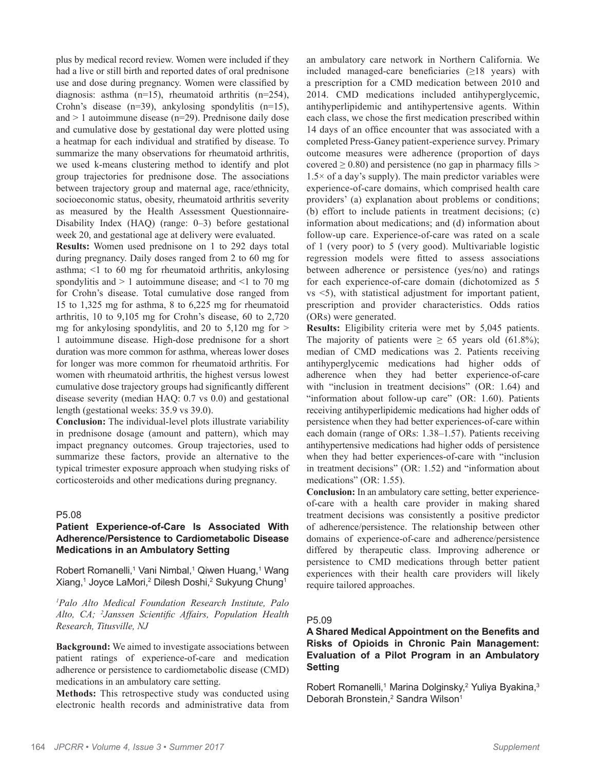plus by medical record review. Women were included if they had a live or still birth and reported dates of oral prednisone use and dose during pregnancy. Women were classified by diagnosis: asthma (n=15), rheumatoid arthritis (n=254), Crohn's disease (n=39), ankylosing spondylitis (n=15), and > 1 autoimmune disease (n=29). Prednisone daily dose and cumulative dose by gestational day were plotted using a heatmap for each individual and stratified by disease. To summarize the many observations for rheumatoid arthritis, we used k-means clustering method to identify and plot group trajectories for prednisone dose. The associations between trajectory group and maternal age, race/ethnicity, socioeconomic status, obesity, rheumatoid arthritis severity as measured by the Health Assessment Questionnaire-Disability Index (HAQ) (range: 0–3) before gestational week 20, and gestational age at delivery were evaluated.

**Results:** Women used prednisone on 1 to 292 days total during pregnancy. Daily doses ranged from 2 to 60 mg for asthma; <1 to 60 mg for rheumatoid arthritis, ankylosing spondylitis and  $> 1$  autoimmune disease; and  $\leq 1$  to 70 mg for Crohn's disease. Total cumulative dose ranged from 15 to 1,325 mg for asthma, 8 to 6,225 mg for rheumatoid arthritis, 10 to 9,105 mg for Crohn's disease, 60 to 2,720 mg for ankylosing spondylitis, and 20 to  $5,120$  mg for  $>$ 1 autoimmune disease. High-dose prednisone for a short duration was more common for asthma, whereas lower doses for longer was more common for rheumatoid arthritis. For women with rheumatoid arthritis, the highest versus lowest cumulative dose trajectory groups had significantly different disease severity (median HAQ: 0.7 vs 0.0) and gestational length (gestational weeks: 35.9 vs 39.0).

**Conclusion:** The individual-level plots illustrate variability in prednisone dosage (amount and pattern), which may impact pregnancy outcomes. Group trajectories, used to summarize these factors, provide an alternative to the typical trimester exposure approach when studying risks of corticosteroids and other medications during pregnancy.

# P5.08

## **Patient Experience-of-Care Is Associated With Adherence/Persistence to Cardiometabolic Disease Medications in an Ambulatory Setting**

Robert Romanelli,<sup>1</sup> Vani Nimbal,<sup>1</sup> Qiwen Huang,<sup>1</sup> Wang Xiang,<sup>1</sup> Joyce LaMori,<sup>2</sup> Dilesh Doshi,<sup>2</sup> Sukyung Chung<sup>1</sup>

*1 Palo Alto Medical Foundation Research Institute, Palo Alto, CA; 2 Janssen Scientific Affairs, Population Health Research, Titusville, NJ*

**Background:** We aimed to investigate associations between patient ratings of experience-of-care and medication adherence or persistence to cardiometabolic disease (CMD) medications in an ambulatory care setting.

**Methods:** This retrospective study was conducted using electronic health records and administrative data from

an ambulatory care network in Northern California. We included managed-care beneficiaries  $(\geq 18$  years) with a prescription for a CMD medication between 2010 and 2014. CMD medications included antihyperglycemic, antihyperlipidemic and antihypertensive agents. Within each class, we chose the first medication prescribed within 14 days of an office encounter that was associated with a completed Press-Ganey patient-experience survey. Primary outcome measures were adherence (proportion of days covered  $\geq$  0.80) and persistence (no gap in pharmacy fills  $>$  $1.5\times$  of a day's supply). The main predictor variables were experience-of-care domains, which comprised health care providers' (a) explanation about problems or conditions; (b) effort to include patients in treatment decisions; (c) information about medications; and (d) information about follow-up care. Experience-of-care was rated on a scale of 1 (very poor) to 5 (very good). Multivariable logistic regression models were fitted to assess associations between adherence or persistence (yes/no) and ratings for each experience-of-care domain (dichotomized as 5 vs <5), with statistical adjustment for important patient, prescription and provider characteristics. Odds ratios (ORs) were generated.

**Results:** Eligibility criteria were met by 5,045 patients. The majority of patients were  $\geq 65$  years old (61.8%); median of CMD medications was 2. Patients receiving antihyperglycemic medications had higher odds of adherence when they had better experience-of-care with "inclusion in treatment decisions" (OR: 1.64) and "information about follow-up care" (OR: 1.60). Patients receiving antihyperlipidemic medications had higher odds of persistence when they had better experiences-of-care within each domain (range of ORs: 1.38–1.57). Patients receiving antihypertensive medications had higher odds of persistence when they had better experiences-of-care with "inclusion in treatment decisions" (OR: 1.52) and "information about medications" (OR: 1.55).

**Conclusion:** In an ambulatory care setting, better experienceof-care with a health care provider in making shared treatment decisions was consistently a positive predictor of adherence/persistence. The relationship between other domains of experience-of-care and adherence/persistence differed by therapeutic class. Improving adherence or persistence to CMD medications through better patient experiences with their health care providers will likely require tailored approaches.

# P5.09

# **A Shared Medical Appointment on the Benefits and Risks of Opioids in Chronic Pain Management: Evaluation of a Pilot Program in an Ambulatory Setting**

Robert Romanelli,<sup>1</sup> Marina Dolginsky,<sup>2</sup> Yuliya Byakina,<sup>3</sup> Deborah Bronstein,<sup>2</sup> Sandra Wilson<sup>1</sup>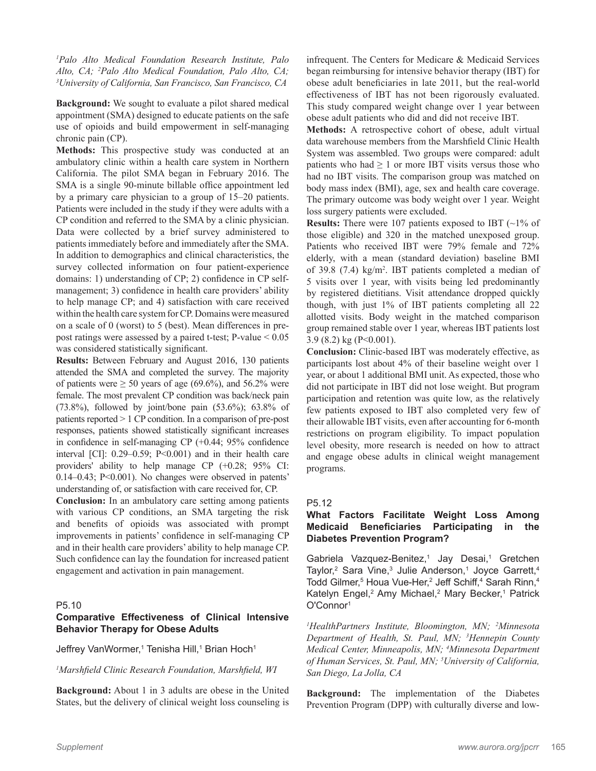*1 Palo Alto Medical Foundation Research Institute, Palo Alto, CA; <sup>2</sup>Palo Alto Medical Foundation, Palo Alto, CA; 3I Propersity of California San Francisco CA University of California, San Francisco, San Francisco, CA*

**Background:** We sought to evaluate a pilot shared medical appointment (SMA) designed to educate patients on the safe use of opioids and build empowerment in self-managing chronic pain (CP).

**Methods:** This prospective study was conducted at an ambulatory clinic within a health care system in Northern California. The pilot SMA began in February 2016. The SMA is a single 90-minute billable office appointment led by a primary care physician to a group of 15–20 patients. Patients were included in the study if they were adults with a CP condition and referred to the SMA by a clinic physician. Data were collected by a brief survey administered to patients immediately before and immediately after the SMA. In addition to demographics and clinical characteristics, the survey collected information on four patient-experience domains: 1) understanding of CP; 2) confidence in CP selfmanagement; 3) confidence in health care providers' ability to help manage CP; and 4) satisfaction with care received within the health care system for CP. Domains were measured on a scale of 0 (worst) to 5 (best). Mean differences in prepost ratings were assessed by a paired t-test; P-value < 0.05 was considered statistically significant.

**Results:** Between February and August 2016, 130 patients attended the SMA and completed the survey. The majority of patients were  $\geq 50$  years of age (69.6%), and 56.2% were female. The most prevalent CP condition was back/neck pain (73.8%), followed by joint/bone pain (53.6%); 63.8% of patients reported > 1 CP condition. In a comparison of pre-post responses, patients showed statistically significant increases in confidence in self-managing CP (+0.44; 95% confidence interval [CI]: 0.29–0.59; P<0.001) and in their health care providers' ability to help manage CP (+0.28; 95% CI: 0.14–0.43; P<0.001). No changes were observed in patents' understanding of, or satisfaction with care received for, CP.

**Conclusion:** In an ambulatory care setting among patients with various CP conditions, an SMA targeting the risk and benefits of opioids was associated with prompt improvements in patients' confidence in self-managing CP and in their health care providers' ability to help manage CP. Such confidence can lay the foundation for increased patient engagement and activation in pain management.

# P5.10

# **Comparative Effectiveness of Clinical Intensive Behavior Therapy for Obese Adults**

Jeffrey VanWormer,<sup>1</sup> Tenisha Hill,<sup>1</sup> Brian Hoch<sup>1</sup>

### *1 Marshfield Clinic Research Foundation, Marshfield, WI*

**Background:** About 1 in 3 adults are obese in the United States, but the delivery of clinical weight loss counseling is infrequent. The Centers for Medicare & Medicaid Services began reimbursing for intensive behavior therapy (IBT) for obese adult beneficiaries in late 2011, but the real-world effectiveness of IBT has not been rigorously evaluated. This study compared weight change over 1 year between obese adult patients who did and did not receive IBT.

**Methods:** A retrospective cohort of obese, adult virtual data warehouse members from the Marshfield Clinic Health System was assembled. Two groups were compared: adult patients who had  $\geq 1$  or more IBT visits versus those who had no IBT visits. The comparison group was matched on body mass index (BMI), age, sex and health care coverage. The primary outcome was body weight over 1 year. Weight loss surgery patients were excluded.

**Results:** There were 107 patients exposed to IBT (~1% of those eligible) and 320 in the matched unexposed group. Patients who received IBT were 79% female and 72% elderly, with a mean (standard deviation) baseline BMI of 39.8 (7.4) kg/m2 . IBT patients completed a median of 5 visits over 1 year, with visits being led predominantly by registered dietitians. Visit attendance dropped quickly though, with just 1% of IBT patients completing all 22 allotted visits. Body weight in the matched comparison group remained stable over 1 year, whereas IBT patients lost 3.9 (8.2) kg (P<0.001).

**Conclusion:** Clinic-based IBT was moderately effective, as participants lost about 4% of their baseline weight over 1 year, or about 1 additional BMI unit. As expected, those who did not participate in IBT did not lose weight. But program participation and retention was quite low, as the relatively few patients exposed to IBT also completed very few of their allowable IBT visits, even after accounting for 6-month restrictions on program eligibility. To impact population level obesity, more research is needed on how to attract and engage obese adults in clinical weight management programs.

# P5.12

# **What Factors Facilitate Weight Loss Among Medicaid Beneficiaries Participating in the Diabetes Prevention Program?**

Gabriela Vazquez-Benitez,<sup>1</sup> Jay Desai,<sup>1</sup> Gretchen Taylor,<sup>2</sup> Sara Vine,<sup>3</sup> Julie Anderson,<sup>1</sup> Joyce Garrett,<sup>4</sup> Todd Gilmer,<sup>5</sup> Houa Vue-Her,<sup>2</sup> Jeff Schiff,<sup>4</sup> Sarah Rinn,<sup>4</sup> Katelyn Engel,<sup>2</sup> Amy Michael,<sup>2</sup> Mary Becker,<sup>1</sup> Patrick O'Connor1

*1 HealthPartners Institute, Bloomington, MN; 2 Minnesota Department of Health, St. Paul, MN; 3 Hennepin County Medical Center, Minneapolis, MN; 4 Minnesota Department of Human Services, St. Paul, MN; 5 University of California, San Diego, La Jolla, CA*

**Background:** The implementation of the Diabetes Prevention Program (DPP) with culturally diverse and low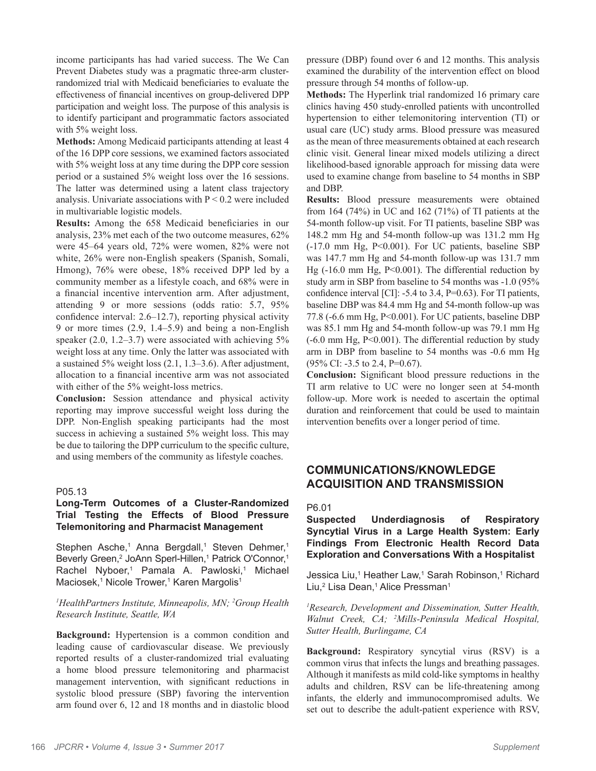income participants has had varied success. The We Can Prevent Diabetes study was a pragmatic three-arm clusterrandomized trial with Medicaid beneficiaries to evaluate the effectiveness of financial incentives on group-delivered DPP participation and weight loss. The purpose of this analysis is to identify participant and programmatic factors associated with 5% weight loss.

**Methods:** Among Medicaid participants attending at least 4 of the 16 DPP core sessions, we examined factors associated with 5% weight loss at any time during the DPP core session period or a sustained 5% weight loss over the 16 sessions. The latter was determined using a latent class trajectory analysis. Univariate associations with  $P < 0.2$  were included in multivariable logistic models.

**Results:** Among the 658 Medicaid beneficiaries in our analysis, 23% met each of the two outcome measures, 62% were 45–64 years old, 72% were women, 82% were not white, 26% were non-English speakers (Spanish, Somali, Hmong), 76% were obese, 18% received DPP led by a community member as a lifestyle coach, and 68% were in a financial incentive intervention arm. After adjustment, attending 9 or more sessions (odds ratio: 5.7, 95% confidence interval: 2.6–12.7), reporting physical activity 9 or more times (2.9, 1.4–5.9) and being a non-English speaker (2.0, 1.2–3.7) were associated with achieving 5% weight loss at any time. Only the latter was associated with a sustained 5% weight loss (2.1, 1.3–3.6). After adjustment, allocation to a financial incentive arm was not associated with either of the 5% weight-loss metrics.

**Conclusion:** Session attendance and physical activity reporting may improve successful weight loss during the DPP. Non-English speaking participants had the most success in achieving a sustained 5% weight loss. This may be due to tailoring the DPP curriculum to the specific culture, and using members of the community as lifestyle coaches.

#### P05.13

# **Long-Term Outcomes of a Cluster-Randomized Trial Testing the Effects of Blood Pressure Telemonitoring and Pharmacist Management**

Stephen Asche,<sup>1</sup> Anna Bergdall,<sup>1</sup> Steven Dehmer,<sup>1</sup> Beverly Green,<sup>2</sup> JoAnn Sperl-Hillen,<sup>1</sup> Patrick O'Connor,<sup>1</sup> Rachel Nyboer,<sup>1</sup> Pamala A. Pawloski,<sup>1</sup> Michael Maciosek,<sup>1</sup> Nicole Trower,<sup>1</sup> Karen Margolis<sup>1</sup>

# *1 HealthPartners Institute, Minneapolis, MN; 2 Group Health Research Institute, Seattle, WA*

**Background:** Hypertension is a common condition and leading cause of cardiovascular disease. We previously reported results of a cluster-randomized trial evaluating a home blood pressure telemonitoring and pharmacist management intervention, with significant reductions in systolic blood pressure (SBP) favoring the intervention arm found over 6, 12 and 18 months and in diastolic blood

pressure (DBP) found over 6 and 12 months. This analysis examined the durability of the intervention effect on blood pressure through 54 months of follow-up.

**Methods:** The Hyperlink trial randomized 16 primary care clinics having 450 study-enrolled patients with uncontrolled hypertension to either telemonitoring intervention (TI) or usual care (UC) study arms. Blood pressure was measured as the mean of three measurements obtained at each research clinic visit. General linear mixed models utilizing a direct likelihood-based ignorable approach for missing data were used to examine change from baseline to 54 months in SBP and DBP.

**Results:** Blood pressure measurements were obtained from 164 (74%) in UC and 162 (71%) of TI patients at the 54-month follow-up visit. For TI patients, baseline SBP was 148.2 mm Hg and 54-month follow-up was 131.2 mm Hg (-17.0 mm Hg, P<0.001). For UC patients, baseline SBP was 147.7 mm Hg and 54-month follow-up was 131.7 mm Hg (-16.0 mm Hg, P<0.001). The differential reduction by study arm in SBP from baseline to 54 months was -1.0 (95% confidence interval [CI]: -5.4 to 3.4, P=0.63). For TI patients, baseline DBP was 84.4 mm Hg and 54-month follow-up was 77.8 (-6.6 mm Hg, P<0.001). For UC patients, baseline DBP was 85.1 mm Hg and 54-month follow-up was 79.1 mm Hg (-6.0 mm Hg, P<0.001). The differential reduction by study arm in DBP from baseline to 54 months was -0.6 mm Hg (95% CI: -3.5 to 2.4, P=0.67).

**Conclusion:** Significant blood pressure reductions in the TI arm relative to UC were no longer seen at 54-month follow-up. More work is needed to ascertain the optimal duration and reinforcement that could be used to maintain intervention benefits over a longer period of time.

# **COMMUNICATIONS/KNOWLEDGE ACQUISITION AND TRANSMISSION**

P6.01

**Suspected Underdiagnosis of Respiratory Syncytial Virus in a Large Health System: Early Findings From Electronic Health Record Data Exploration and Conversations With a Hospitalist**

Jessica Liu,<sup>1</sup> Heather Law,<sup>1</sup> Sarah Robinson,<sup>1</sup> Richard Liu,<sup>2</sup> Lisa Dean,<sup>1</sup> Alice Pressman<sup>1</sup>

*1 Research, Development and Dissemination, Sutter Health, Walnut Creek, CA; <sup>2</sup> Mills-Peninsula Medical Hospital, Sutter Health, Burlingame, CA*

**Background:** Respiratory syncytial virus (RSV) is a common virus that infects the lungs and breathing passages. Although it manifests as mild cold-like symptoms in healthy adults and children, RSV can be life-threatening among infants, the elderly and immunocompromised adults. We set out to describe the adult-patient experience with RSV,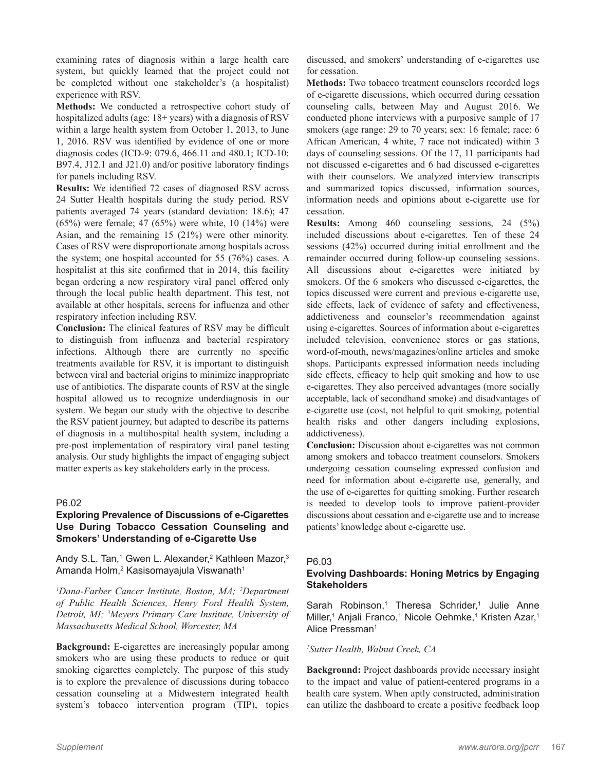examining rates of diagnosis within a large health care system, but quickly learned that the project could not be completed without one stakeholder's (a hospitalist) experience with RSV.

**Methods:** We conducted a retrospective cohort study of hospitalized adults (age: 18+ years) with a diagnosis of RSV within a large health system from October 1, 2013, to June 1, 2016. RSV was identified by evidence of one or more diagnosis codes (ICD-9: 079.6, 466.11 and 480.1; ICD-10: B97.4, J12.1 and J21.0) and/or positive laboratory findings for panels including RSV.

**Results:** We identified 72 cases of diagnosed RSV across 24 Sutter Health hospitals during the study period. RSV patients averaged 74 years (standard deviation: 18.6); 47 (65%) were female; 47 (65%) were white, 10 (14%) were Asian, and the remaining 15 (21%) were other minority. Cases of RSV were disproportionate among hospitals across the system; one hospital accounted for 55 (76%) cases. A hospitalist at this site confirmed that in 2014, this facility began ordering a new respiratory viral panel offered only through the local public health department. This test, not available at other hospitals, screens for influenza and other respiratory infection including RSV.

**Conclusion:** The clinical features of RSV may be difficult to distinguish from influenza and bacterial respiratory infections. Although there are currently no specific treatments available for RSV, it is important to distinguish between viral and bacterial origins to minimize inappropriate use of antibiotics. The disparate counts of RSV at the single hospital allowed us to recognize underdiagnosis in our system. We began our study with the objective to describe the RSV patient journey, but adapted to describe its patterns of diagnosis in a multihospital health system, including a pre-post implementation of respiratory viral panel testing analysis. Our study highlights the impact of engaging subject matter experts as key stakeholders early in the process.

# P6.02

# **Exploring Prevalence of Discussions of e-Cigarettes Use During Tobacco Cessation Counseling and Smokers' Understanding of e-Cigarette Use**

Andy S.L. Tan,<sup>1</sup> Gwen L. Alexander,<sup>2</sup> Kathleen Mazor,<sup>3</sup> Amanda Holm, $^{\rm 2}$  Kasisomayajula Viswanath $^{\rm 1}$ 

*1 Dana-Farber Cancer Institute, Boston, MA; 2 Department of Public Health Sciences, Henry Ford Health System, Detroit, MI; 3 Meyers Primary Care Institute, University of Massachusetts Medical School, Worcester, MA*

**Background:** E-cigarettes are increasingly popular among smokers who are using these products to reduce or quit smoking cigarettes completely. The purpose of this study is to explore the prevalence of discussions during tobacco cessation counseling at a Midwestern integrated health system's tobacco intervention program (TIP), topics

discussed, and smokers' understanding of e-cigarettes use for cessation.

**Methods:** Two tobacco treatment counselors recorded logs of e-cigarette discussions, which occurred during cessation counseling calls, between May and August 2016. We conducted phone interviews with a purposive sample of 17 smokers (age range: 29 to 70 years; sex: 16 female; race: 6 African American, 4 white, 7 race not indicated) within 3 days of counseling sessions. Of the 17, 11 participants had not discussed e-cigarettes and 6 had discussed e-cigarettes with their counselors. We analyzed interview transcripts and summarized topics discussed, information sources, information needs and opinions about e-cigarette use for cessation.

**Results:** Among 460 counseling sessions, 24 (5%) included discussions about e-cigarettes. Ten of these 24 sessions (42%) occurred during initial enrollment and the remainder occurred during follow-up counseling sessions. All discussions about e-cigarettes were initiated by smokers. Of the 6 smokers who discussed e-cigarettes, the topics discussed were current and previous e-cigarette use, side effects, lack of evidence of safety and effectiveness, addictiveness and counselor's recommendation against using e-cigarettes. Sources of information about e-cigarettes included television, convenience stores or gas stations, word-of-mouth, news/magazines/online articles and smoke shops. Participants expressed information needs including side effects, efficacy to help quit smoking and how to use e-cigarettes. They also perceived advantages (more socially acceptable, lack of secondhand smoke) and disadvantages of e-cigarette use (cost, not helpful to quit smoking, potential health risks and other dangers including explosions, addictiveness).

**Conclusion:** Discussion about e-cigarettes was not common among smokers and tobacco treatment counselors. Smokers undergoing cessation counseling expressed confusion and need for information about e-cigarette use, generally, and the use of e-cigarettes for quitting smoking. Further research is needed to develop tools to improve patient-provider discussions about cessation and e-cigarette use and to increase patients' knowledge about e-cigarette use.

#### P6.03

# **Evolving Dashboards: Honing Metrics by Engaging Stakeholders**

Sarah Robinson,<sup>1</sup> Theresa Schrider,<sup>1</sup> Julie Anne Miller,<sup>1</sup> Anjali Franco,<sup>1</sup> Nicole Oehmke,<sup>1</sup> Kristen Azar,<sup>1</sup> Alice Pressman<sup>1</sup>

# *1 Sutter Health, Walnut Creek, CA*

**Background:** Project dashboards provide necessary insight to the impact and value of patient-centered programs in a health care system. When aptly constructed, administration can utilize the dashboard to create a positive feedback loop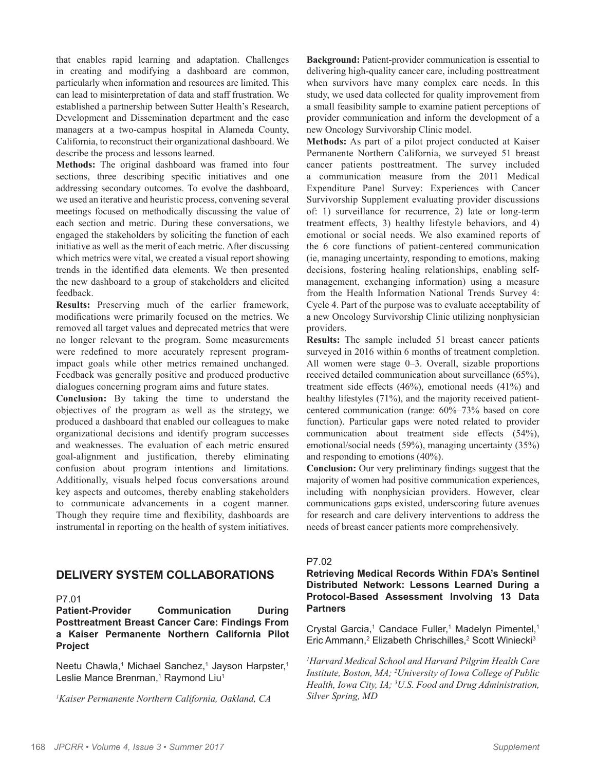that enables rapid learning and adaptation. Challenges in creating and modifying a dashboard are common, particularly when information and resources are limited. This can lead to misinterpretation of data and staff frustration. We established a partnership between Sutter Health's Research, Development and Dissemination department and the case managers at a two-campus hospital in Alameda County, California, to reconstruct their organizational dashboard. We describe the process and lessons learned.

**Methods:** The original dashboard was framed into four sections, three describing specific initiatives and one addressing secondary outcomes. To evolve the dashboard, we used an iterative and heuristic process, convening several meetings focused on methodically discussing the value of each section and metric. During these conversations, we engaged the stakeholders by soliciting the function of each initiative as well as the merit of each metric. After discussing which metrics were vital, we created a visual report showing trends in the identified data elements. We then presented the new dashboard to a group of stakeholders and elicited feedback.

**Results:** Preserving much of the earlier framework, modifications were primarily focused on the metrics. We removed all target values and deprecated metrics that were no longer relevant to the program. Some measurements were redefined to more accurately represent programimpact goals while other metrics remained unchanged. Feedback was generally positive and produced productive dialogues concerning program aims and future states.

**Conclusion:** By taking the time to understand the objectives of the program as well as the strategy, we produced a dashboard that enabled our colleagues to make organizational decisions and identify program successes and weaknesses. The evaluation of each metric ensured goal-alignment and justification, thereby eliminating confusion about program intentions and limitations. Additionally, visuals helped focus conversations around key aspects and outcomes, thereby enabling stakeholders to communicate advancements in a cogent manner. Though they require time and flexibility, dashboards are instrumental in reporting on the health of system initiatives.

# **DELIVERY SYSTEM COLLABORATIONS**

#### P7.01

**Patient-Provider Communication During Posttreatment Breast Cancer Care: Findings From a Kaiser Permanente Northern California Pilot Project**

Neetu Chawla,<sup>1</sup> Michael Sanchez,<sup>1</sup> Jayson Harpster,<sup>1</sup> Leslie Mance Brenman,<sup>1</sup> Raymond Liu<sup>1</sup>

*1 Kaiser Permanente Northern California, Oakland, CA*

**Background:** Patient-provider communication is essential to delivering high-quality cancer care, including posttreatment when survivors have many complex care needs. In this study, we used data collected for quality improvement from a small feasibility sample to examine patient perceptions of provider communication and inform the development of a new Oncology Survivorship Clinic model.

**Methods:** As part of a pilot project conducted at Kaiser Permanente Northern California, we surveyed 51 breast cancer patients posttreatment. The survey included a communication measure from the 2011 Medical Expenditure Panel Survey: Experiences with Cancer Survivorship Supplement evaluating provider discussions of: 1) surveillance for recurrence, 2) late or long-term treatment effects, 3) healthy lifestyle behaviors, and 4) emotional or social needs. We also examined reports of the 6 core functions of patient-centered communication (ie, managing uncertainty, responding to emotions, making decisions, fostering healing relationships, enabling selfmanagement, exchanging information) using a measure from the Health Information National Trends Survey 4: Cycle 4. Part of the purpose was to evaluate acceptability of a new Oncology Survivorship Clinic utilizing nonphysician providers.

**Results:** The sample included 51 breast cancer patients surveyed in 2016 within 6 months of treatment completion. All women were stage 0–3. Overall, sizable proportions received detailed communication about surveillance (65%), treatment side effects (46%), emotional needs (41%) and healthy lifestyles (71%), and the majority received patientcentered communication (range: 60%–73% based on core function). Particular gaps were noted related to provider communication about treatment side effects (54%), emotional/social needs (59%), managing uncertainty (35%) and responding to emotions (40%).

**Conclusion:** Our very preliminary findings suggest that the majority of women had positive communication experiences, including with nonphysician providers. However, clear communications gaps existed, underscoring future avenues for research and care delivery interventions to address the needs of breast cancer patients more comprehensively.

# P7.02

# **Retrieving Medical Records Within FDA's Sentinel Distributed Network: Lessons Learned During a Protocol-Based Assessment Involving 13 Data Partners**

Crystal Garcia,<sup>1</sup> Candace Fuller,<sup>1</sup> Madelyn Pimentel,<sup>1</sup> Eric Ammann,<sup>2</sup> Elizabeth Chrischilles,<sup>2</sup> Scott Winiecki<sup>3</sup>

*1 Harvard Medical School and Harvard Pilgrim Health Care Institute, Boston, MA; 2 University of Iowa College of Public Health, Iowa City, IA; 3 U.S. Food and Drug Administration, Silver Spring, MD*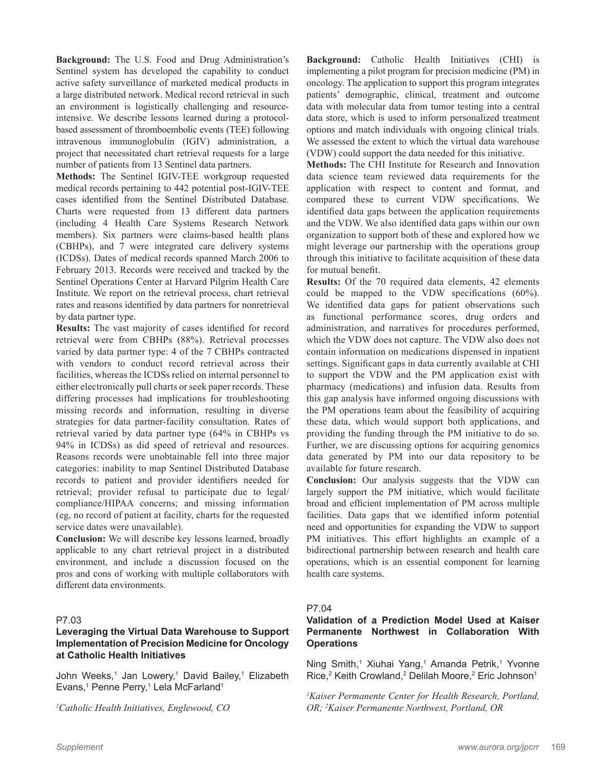**Background:** The U.S. Food and Drug Administration's Sentinel system has developed the capability to conduct active safety surveillance of marketed medical products in a large distributed network. Medical record retrieval in such an environment is logistically challenging and resourceintensive. We describe lessons learned during a protocolbased assessment of thromboembolic events (TEE) following intravenous immunoglobulin (IGIV) administration, a project that necessitated chart retrieval requests for a large number of patients from 13 Sentinel data partners.

**Methods:** The Sentinel IGIV-TEE workgroup requested medical records pertaining to 442 potential post-IGIV-TEE cases identified from the Sentinel Distributed Database. Charts were requested from 13 different data partners (including 4 Health Care Systems Research Network members). Six partners were claims-based health plans (CBHPs), and 7 were integrated care delivery systems (ICDSs). Dates of medical records spanned March 2006 to February 2013. Records were received and tracked by the Sentinel Operations Center at Harvard Pilgrim Health Care Institute. We report on the retrieval process, chart retrieval rates and reasons identified by data partners for nonretrieval by data partner type.

**Results:** The vast majority of cases identified for record retrieval were from CBHPs (88%). Retrieval processes varied by data partner type: 4 of the 7 CBHPs contracted with vendors to conduct record retrieval across their facilities, whereas the ICDSs relied on internal personnel to either electronically pull charts or seek paper records. These differing processes had implications for troubleshooting missing records and information, resulting in diverse strategies for data partner-facility consultation. Rates of retrieval varied by data partner type (64% in CBHPs vs 94% in ICDSs) as did speed of retrieval and resources. Reasons records were unobtainable fell into three major categories: inability to map Sentinel Distributed Database records to patient and provider identifiers needed for retrieval; provider refusal to participate due to legal/ compliance/HIPAA concerns; and missing information (eg, no record of patient at facility, charts for the requested service dates were unavailable).

**Conclusion:** We will describe key lessons learned, broadly applicable to any chart retrieval project in a distributed environment, and include a discussion focused on the pros and cons of working with multiple collaborators with different data environments.

# P7.03

# **Leveraging the Virtual Data Warehouse to Support Implementation of Precision Medicine for Oncology at Catholic Health Initiatives**

John Weeks,<sup>1</sup> Jan Lowery,<sup>1</sup> David Bailey,<sup>1</sup> Elizabeth Evans,<sup>1</sup> Penne Perry,<sup>1</sup> Lela McFarland<sup>1</sup>

*1 Catholic Health Initiatives, Englewood, CO*

**Background:** Catholic Health Initiatives (CHI) is implementing a pilot program for precision medicine (PM) in oncology. The application to support this program integrates patients' demographic, clinical, treatment and outcome data with molecular data from tumor testing into a central data store, which is used to inform personalized treatment options and match individuals with ongoing clinical trials. We assessed the extent to which the virtual data warehouse (VDW) could support the data needed for this initiative.

**Methods:** The CHI Institute for Research and Innovation data science team reviewed data requirements for the application with respect to content and format, and compared these to current VDW specifications. We identified data gaps between the application requirements and the VDW. We also identified data gaps within our own organization to support both of these and explored how we might leverage our partnership with the operations group through this initiative to facilitate acquisition of these data for mutual benefit.

**Results:** Of the 70 required data elements, 42 elements could be mapped to the VDW specifications (60%). We identified data gaps for patient observations such as functional performance scores, drug orders and administration, and narratives for procedures performed, which the VDW does not capture. The VDW also does not contain information on medications dispensed in inpatient settings. Significant gaps in data currently available at CHI to support the VDW and the PM application exist with pharmacy (medications) and infusion data. Results from this gap analysis have informed ongoing discussions with the PM operations team about the feasibility of acquiring these data, which would support both applications, and providing the funding through the PM initiative to do so. Further, we are discussing options for acquiring genomics data generated by PM into our data repository to be available for future research.

**Conclusion:** Our analysis suggests that the VDW can largely support the PM initiative, which would facilitate broad and efficient implementation of PM across multiple facilities. Data gaps that we identified inform potential need and opportunities for expanding the VDW to support PM initiatives. This effort highlights an example of a bidirectional partnership between research and health care operations, which is an essential component for learning health care systems.

#### P7.04

# **Validation of a Prediction Model Used at Kaiser Permanente Northwest in Collaboration With Operations**

Ning Smith,<sup>1</sup> Xiuhai Yang,<sup>1</sup> Amanda Petrik,<sup>1</sup> Yvonne Rice,<sup>2</sup> Keith Crowland,<sup>2</sup> Delilah Moore,<sup>2</sup> Eric Johnson<sup>1</sup>

*1 Kaiser Permanente Center for Health Research, Portland, OR; 2 Kaiser Permanente Northwest, Portland, OR*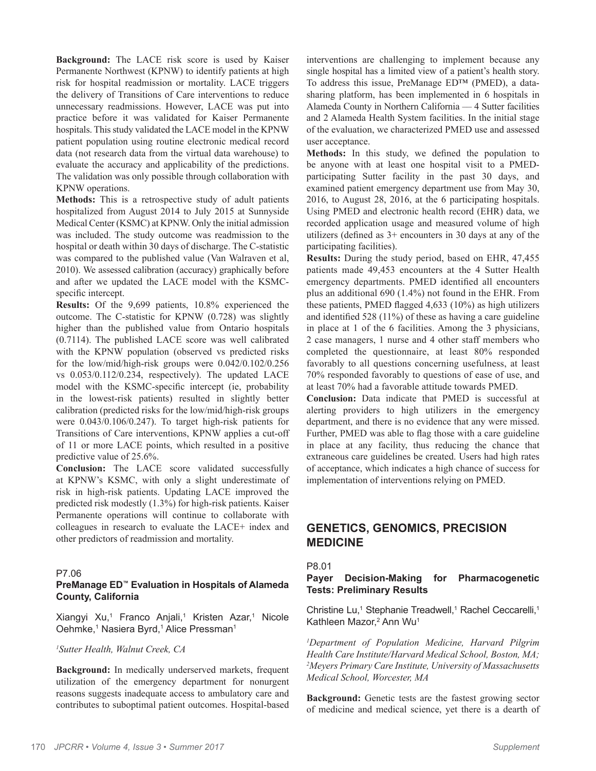**Background:** The LACE risk score is used by Kaiser Permanente Northwest (KPNW) to identify patients at high risk for hospital readmission or mortality. LACE triggers the delivery of Transitions of Care interventions to reduce unnecessary readmissions. However, LACE was put into practice before it was validated for Kaiser Permanente hospitals. This study validated the LACE model in the KPNW patient population using routine electronic medical record data (not research data from the virtual data warehouse) to evaluate the accuracy and applicability of the predictions. The validation was only possible through collaboration with KPNW operations.

**Methods:** This is a retrospective study of adult patients hospitalized from August 2014 to July 2015 at Sunnyside Medical Center (KSMC) at KPNW. Only the initial admission was included. The study outcome was readmission to the hospital or death within 30 days of discharge. The C-statistic was compared to the published value (Van Walraven et al, 2010). We assessed calibration (accuracy) graphically before and after we updated the LACE model with the KSMCspecific intercept.

**Results:** Of the 9,699 patients, 10.8% experienced the outcome. The C-statistic for KPNW (0.728) was slightly higher than the published value from Ontario hospitals (0.7114). The published LACE score was well calibrated with the KPNW population (observed vs predicted risks for the low/mid/high-risk groups were 0.042/0.102/0.256 vs 0.053/0.112/0.234, respectively). The updated LACE model with the KSMC-specific intercept (ie, probability in the lowest-risk patients) resulted in slightly better calibration (predicted risks for the low/mid/high-risk groups were 0.043/0.106/0.247). To target high-risk patients for Transitions of Care interventions, KPNW applies a cut-off of 11 or more LACE points, which resulted in a positive predictive value of 25.6%.

**Conclusion:** The LACE score validated successfully at KPNW's KSMC, with only a slight underestimate of risk in high-risk patients. Updating LACE improved the predicted risk modestly (1.3%) for high-risk patients. Kaiser Permanente operations will continue to collaborate with colleagues in research to evaluate the LACE+ index and other predictors of readmission and mortality.

#### P7.06

# **PreManage ED™ Evaluation in Hospitals of Alameda County, California**

Xiangyi Xu,<sup>1</sup> Franco Anjali,<sup>1</sup> Kristen Azar,<sup>1</sup> Nicole Oehmke,<sup>1</sup> Nasiera Byrd,<sup>1</sup> Alice Pressman<sup>1</sup>

#### *1 Sutter Health, Walnut Creek, CA*

**Background:** In medically underserved markets, frequent utilization of the emergency department for nonurgent reasons suggests inadequate access to ambulatory care and contributes to suboptimal patient outcomes. Hospital-based

interventions are challenging to implement because any single hospital has a limited view of a patient's health story. To address this issue, PreManage ED™ (PMED), a datasharing platform, has been implemented in 6 hospitals in Alameda County in Northern California –– 4 Sutter facilities and 2 Alameda Health System facilities. In the initial stage of the evaluation, we characterized PMED use and assessed user acceptance.

**Methods:** In this study, we defined the population to be anyone with at least one hospital visit to a PMEDparticipating Sutter facility in the past 30 days, and examined patient emergency department use from May 30, 2016, to August 28, 2016, at the 6 participating hospitals. Using PMED and electronic health record (EHR) data, we recorded application usage and measured volume of high utilizers (defined as 3+ encounters in 30 days at any of the participating facilities).

**Results:** During the study period, based on EHR, 47,455 patients made 49,453 encounters at the 4 Sutter Health emergency departments. PMED identified all encounters plus an additional 690 (1.4%) not found in the EHR. From these patients, PMED flagged 4,633 (10%) as high utilizers and identified 528 (11%) of these as having a care guideline in place at 1 of the 6 facilities. Among the 3 physicians, 2 case managers, 1 nurse and 4 other staff members who completed the questionnaire, at least 80% responded favorably to all questions concerning usefulness, at least 70% responded favorably to questions of ease of use, and at least 70% had a favorable attitude towards PMED.

**Conclusion:** Data indicate that PMED is successful at alerting providers to high utilizers in the emergency department, and there is no evidence that any were missed. Further, PMED was able to flag those with a care guideline in place at any facility, thus reducing the chance that extraneous care guidelines be created. Users had high rates of acceptance, which indicates a high chance of success for implementation of interventions relying on PMED.

# **GENETICS, GENOMICS, PRECISION MEDICINE**

#### P8.01

#### **Payer Decision-Making for Pharmacogenetic Tests: Preliminary Results**

Christine Lu,<sup>1</sup> Stephanie Treadwell,<sup>1</sup> Rachel Ceccarelli,<sup>1</sup> Kathleen Mazor,<sup>2</sup> Ann Wu<sup>1</sup>

*1 Department of Population Medicine, Harvard Pilgrim Health Care Institute/Harvard Medical School, Boston, MA; 2 Meyers Primary Care Institute, University of Massachusetts Medical School, Worcester, MA*

**Background:** Genetic tests are the fastest growing sector of medicine and medical science, yet there is a dearth of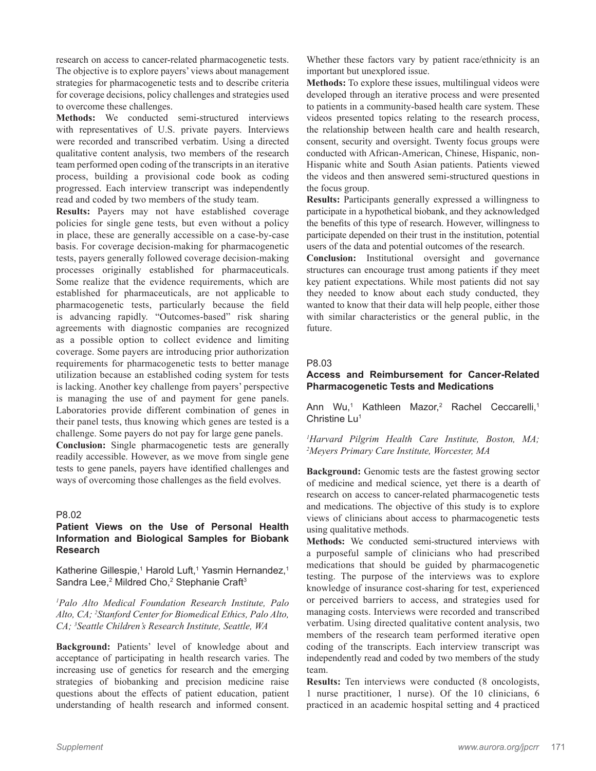research on access to cancer-related pharmacogenetic tests. The objective is to explore payers' views about management strategies for pharmacogenetic tests and to describe criteria for coverage decisions, policy challenges and strategies used to overcome these challenges.

**Methods:** We conducted semi-structured interviews with representatives of U.S. private payers. Interviews were recorded and transcribed verbatim. Using a directed qualitative content analysis, two members of the research team performed open coding of the transcripts in an iterative process, building a provisional code book as coding progressed. Each interview transcript was independently read and coded by two members of the study team.

**Results:** Payers may not have established coverage policies for single gene tests, but even without a policy in place, these are generally accessible on a case-by-case basis. For coverage decision-making for pharmacogenetic tests, payers generally followed coverage decision-making processes originally established for pharmaceuticals. Some realize that the evidence requirements, which are established for pharmaceuticals, are not applicable to pharmacogenetic tests, particularly because the field is advancing rapidly. "Outcomes-based" risk sharing agreements with diagnostic companies are recognized as a possible option to collect evidence and limiting coverage. Some payers are introducing prior authorization requirements for pharmacogenetic tests to better manage utilization because an established coding system for tests is lacking. Another key challenge from payers' perspective is managing the use of and payment for gene panels. Laboratories provide different combination of genes in their panel tests, thus knowing which genes are tested is a challenge. Some payers do not pay for large gene panels.

**Conclusion:** Single pharmacogenetic tests are generally readily accessible. However, as we move from single gene tests to gene panels, payers have identified challenges and ways of overcoming those challenges as the field evolves.

# P8.02

# **Patient Views on the Use of Personal Health Information and Biological Samples for Biobank Research**

Katherine Gillespie,<sup>1</sup> Harold Luft,<sup>1</sup> Yasmin Hernandez,<sup>1</sup> Sandra Lee,<sup>2</sup> Mildred Cho,<sup>2</sup> Stephanie Craft<sup>3</sup>

*1 Palo Alto Medical Foundation Research Institute, Palo Alto, CA; 2 Stanford Center for Biomedical Ethics, Palo Alto, CA; 3 Seattle Children's Research Institute, Seattle, WA*

**Background:** Patients' level of knowledge about and acceptance of participating in health research varies. The increasing use of genetics for research and the emerging strategies of biobanking and precision medicine raise questions about the effects of patient education, patient understanding of health research and informed consent.

Whether these factors vary by patient race/ethnicity is an important but unexplored issue.

**Methods:** To explore these issues, multilingual videos were developed through an iterative process and were presented to patients in a community-based health care system. These videos presented topics relating to the research process, the relationship between health care and health research, consent, security and oversight. Twenty focus groups were conducted with African-American, Chinese, Hispanic, non-Hispanic white and South Asian patients. Patients viewed the videos and then answered semi-structured questions in the focus group.

**Results:** Participants generally expressed a willingness to participate in a hypothetical biobank, and they acknowledged the benefits of this type of research. However, willingness to participate depended on their trust in the institution, potential users of the data and potential outcomes of the research.

**Conclusion:** Institutional oversight and governance structures can encourage trust among patients if they meet key patient expectations. While most patients did not say they needed to know about each study conducted, they wanted to know that their data will help people, either those with similar characteristics or the general public, in the future.

#### P8.03

## **Access and Reimbursement for Cancer-Related Pharmacogenetic Tests and Medications**

Ann Wu,<sup>1</sup> Kathleen Mazor,<sup>2</sup> Rachel Ceccarelli,<sup>1</sup> Christine Lu<sup>1</sup>

*1 Harvard Pilgrim Health Care Institute, Boston, MA; 2 Meyers Primary Care Institute, Worcester, MA*

**Background:** Genomic tests are the fastest growing sector of medicine and medical science, yet there is a dearth of research on access to cancer-related pharmacogenetic tests and medications. The objective of this study is to explore views of clinicians about access to pharmacogenetic tests using qualitative methods.

**Methods:** We conducted semi-structured interviews with a purposeful sample of clinicians who had prescribed medications that should be guided by pharmacogenetic testing. The purpose of the interviews was to explore knowledge of insurance cost-sharing for test, experienced or perceived barriers to access, and strategies used for managing costs. Interviews were recorded and transcribed verbatim. Using directed qualitative content analysis, two members of the research team performed iterative open coding of the transcripts. Each interview transcript was independently read and coded by two members of the study team.

**Results:** Ten interviews were conducted (8 oncologists, 1 nurse practitioner, 1 nurse). Of the 10 clinicians, 6 practiced in an academic hospital setting and 4 practiced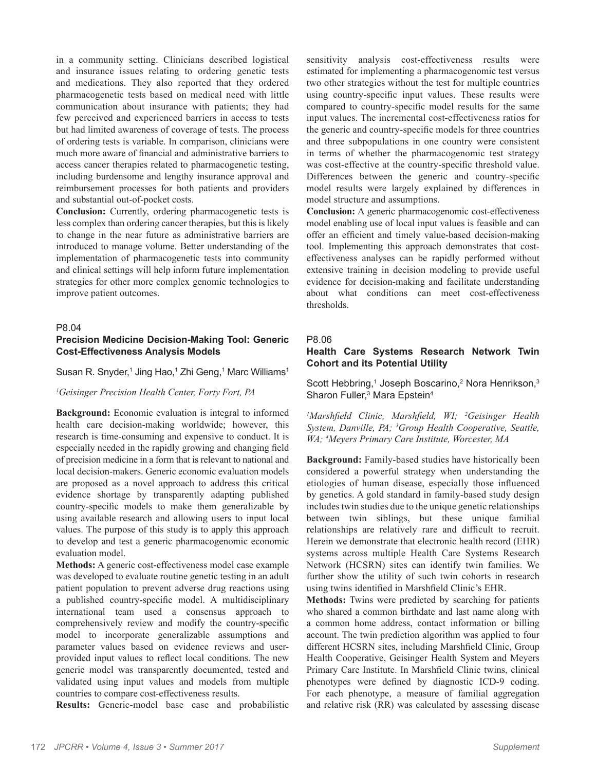in a community setting. Clinicians described logistical and insurance issues relating to ordering genetic tests and medications. They also reported that they ordered pharmacogenetic tests based on medical need with little communication about insurance with patients; they had few perceived and experienced barriers in access to tests but had limited awareness of coverage of tests. The process of ordering tests is variable. In comparison, clinicians were much more aware of financial and administrative barriers to access cancer therapies related to pharmacogenetic testing, including burdensome and lengthy insurance approval and reimbursement processes for both patients and providers and substantial out-of-pocket costs.

**Conclusion:** Currently, ordering pharmacogenetic tests is less complex than ordering cancer therapies, but this is likely to change in the near future as administrative barriers are introduced to manage volume. Better understanding of the implementation of pharmacogenetic tests into community and clinical settings will help inform future implementation strategies for other more complex genomic technologies to improve patient outcomes.

#### P8.04

# **Precision Medicine Decision-Making Tool: Generic Cost-Effectiveness Analysis Models**

Susan R. Snyder,<sup>1</sup> Jing Hao,<sup>1</sup> Zhi Geng,<sup>1</sup> Marc Williams<sup>1</sup>

#### *1 Geisinger Precision Health Center, Forty Fort, PA*

**Background:** Economic evaluation is integral to informed health care decision-making worldwide; however, this research is time-consuming and expensive to conduct. It is especially needed in the rapidly growing and changing field of precision medicine in a form that is relevant to national and local decision-makers. Generic economic evaluation models are proposed as a novel approach to address this critical evidence shortage by transparently adapting published country-specific models to make them generalizable by using available research and allowing users to input local values. The purpose of this study is to apply this approach to develop and test a generic pharmacogenomic economic evaluation model.

**Methods:** A generic cost-effectiveness model case example was developed to evaluate routine genetic testing in an adult patient population to prevent adverse drug reactions using a published country-specific model. A multidisciplinary international team used a consensus approach to comprehensively review and modify the country-specific model to incorporate generalizable assumptions and parameter values based on evidence reviews and userprovided input values to reflect local conditions. The new generic model was transparently documented, tested and validated using input values and models from multiple countries to compare cost-effectiveness results.

**Results:** Generic-model base case and probabilistic

sensitivity analysis cost-effectiveness results were estimated for implementing a pharmacogenomic test versus two other strategies without the test for multiple countries using country-specific input values. These results were compared to country-specific model results for the same input values. The incremental cost-effectiveness ratios for the generic and country-specific models for three countries and three subpopulations in one country were consistent in terms of whether the pharmacogenomic test strategy was cost-effective at the country-specific threshold value. Differences between the generic and country-specific model results were largely explained by differences in model structure and assumptions.

**Conclusion:** A generic pharmacogenomic cost-effectiveness model enabling use of local input values is feasible and can offer an efficient and timely value-based decision-making tool. Implementing this approach demonstrates that costeffectiveness analyses can be rapidly performed without extensive training in decision modeling to provide useful evidence for decision-making and facilitate understanding about what conditions can meet cost-effectiveness thresholds.

# P8.06

# **Health Care Systems Research Network Twin Cohort and its Potential Utility**

Scott Hebbring,<sup>1</sup> Joseph Boscarino,<sup>2</sup> Nora Henrikson,<sup>3</sup> Sharon Fuller,<sup>3</sup> Mara Epstein<sup>4</sup>

*1 Marshfield Clinic, Marshfield, WI; <sup>2</sup> Geisinger Health System, Danville, PA; 3 Group Health Cooperative, Seattle, WA; 4 Meyers Primary Care Institute, Worcester, MA*

**Background:** Family-based studies have historically been considered a powerful strategy when understanding the etiologies of human disease, especially those influenced by genetics. A gold standard in family-based study design includes twin studies due to the unique genetic relationships between twin siblings, but these unique familial relationships are relatively rare and difficult to recruit. Herein we demonstrate that electronic health record (EHR) systems across multiple Health Care Systems Research Network (HCSRN) sites can identify twin families. We further show the utility of such twin cohorts in research using twins identified in Marshfield Clinic's EHR.

**Methods:** Twins were predicted by searching for patients who shared a common birthdate and last name along with a common home address, contact information or billing account. The twin prediction algorithm was applied to four different HCSRN sites, including Marshfield Clinic, Group Health Cooperative, Geisinger Health System and Meyers Primary Care Institute. In Marshfield Clinic twins, clinical phenotypes were defined by diagnostic ICD-9 coding. For each phenotype, a measure of familial aggregation and relative risk (RR) was calculated by assessing disease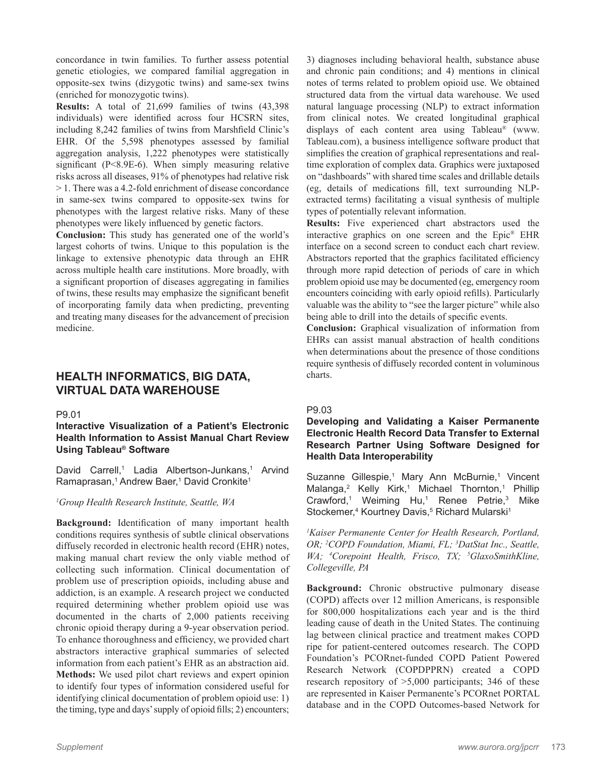concordance in twin families. To further assess potential genetic etiologies, we compared familial aggregation in opposite-sex twins (dizygotic twins) and same-sex twins (enriched for monozygotic twins).

**Results:** A total of 21,699 families of twins (43,398 individuals) were identified across four HCSRN sites, including 8,242 families of twins from Marshfield Clinic's EHR. Of the 5,598 phenotypes assessed by familial aggregation analysis, 1,222 phenotypes were statistically significant (P<8.9E-6). When simply measuring relative risks across all diseases, 91% of phenotypes had relative risk > 1. There was a 4.2-fold enrichment of disease concordance in same-sex twins compared to opposite-sex twins for phenotypes with the largest relative risks. Many of these phenotypes were likely influenced by genetic factors.

**Conclusion:** This study has generated one of the world's largest cohorts of twins. Unique to this population is the linkage to extensive phenotypic data through an EHR across multiple health care institutions. More broadly, with a significant proportion of diseases aggregating in families of twins, these results may emphasize the significant benefit of incorporating family data when predicting, preventing and treating many diseases for the advancement of precision medicine.

# **HEALTH INFORMATICS, BIG DATA, VIRTUAL DATA WAREHOUSE**

# P9.01

# **Interactive Visualization of a Patient's Electronic Health Information to Assist Manual Chart Review Using Tableau® Software**

David Carrell,<sup>1</sup> Ladia Albertson-Junkans,<sup>1</sup> Arvind Ramaprasan,<sup>1</sup> Andrew Baer,<sup>1</sup> David Cronkite<sup>1</sup>

# *1 Group Health Research Institute, Seattle, WA*

**Background:** Identification of many important health conditions requires synthesis of subtle clinical observations diffusely recorded in electronic health record (EHR) notes, making manual chart review the only viable method of collecting such information. Clinical documentation of problem use of prescription opioids, including abuse and addiction, is an example. A research project we conducted required determining whether problem opioid use was documented in the charts of 2,000 patients receiving chronic opioid therapy during a 9-year observation period. To enhance thoroughness and efficiency, we provided chart abstractors interactive graphical summaries of selected information from each patient's EHR as an abstraction aid. **Methods:** We used pilot chart reviews and expert opinion to identify four types of information considered useful for identifying clinical documentation of problem opioid use: 1) the timing, type and days' supply of opioid fills; 2) encounters;

3) diagnoses including behavioral health, substance abuse and chronic pain conditions; and 4) mentions in clinical notes of terms related to problem opioid use. We obtained structured data from the virtual data warehouse. We used natural language processing (NLP) to extract information from clinical notes. We created longitudinal graphical displays of each content area using Tableau® (www. Tableau.com), a business intelligence software product that simplifies the creation of graphical representations and realtime exploration of complex data. Graphics were juxtaposed on "dashboards" with shared time scales and drillable details (eg, details of medications fill, text surrounding NLPextracted terms) facilitating a visual synthesis of multiple types of potentially relevant information.

**Results:** Five experienced chart abstractors used the interactive graphics on one screen and the Epic® EHR interface on a second screen to conduct each chart review. Abstractors reported that the graphics facilitated efficiency through more rapid detection of periods of care in which problem opioid use may be documented (eg, emergency room encounters coinciding with early opioid refills). Particularly valuable was the ability to "see the larger picture" while also being able to drill into the details of specific events.

**Conclusion:** Graphical visualization of information from EHRs can assist manual abstraction of health conditions when determinations about the presence of those conditions require synthesis of diffusely recorded content in voluminous charts.

# P9.03

# **Developing and Validating a Kaiser Permanente Electronic Health Record Data Transfer to External Research Partner Using Software Designed for Health Data Interoperability**

Suzanne Gillespie,<sup>1</sup> Mary Ann McBurnie,<sup>1</sup> Vincent Malanga,<sup>2</sup> Kelly Kirk,<sup>1</sup> Michael Thornton,<sup>1</sup> Phillip Crawford,<sup>1</sup> Weiming Hu,<sup>1</sup> Renee Petrie,<sup>3</sup> Mike Stockemer,<sup>4</sup> Kourtney Davis,<sup>5</sup> Richard Mularski<sup>1</sup>

*1 Kaiser Permanente Center for Health Research, Portland, OR; 2 COPD Foundation, Miami, FL; 3 DatStat Inc., Seattle,*  WA; <sup>4</sup>Corepoint Health, Frisco, TX; <sup>5</sup>GlaxoSmithKline, *Collegeville, PA*

**Background:** Chronic obstructive pulmonary disease (COPD) affects over 12 million Americans, is responsible for 800,000 hospitalizations each year and is the third leading cause of death in the United States. The continuing lag between clinical practice and treatment makes COPD ripe for patient-centered outcomes research. The COPD Foundation's PCORnet-funded COPD Patient Powered Research Network (COPDPPRN) created a COPD research repository of >5,000 participants; 346 of these are represented in Kaiser Permanente's PCORnet PORTAL database and in the COPD Outcomes-based Network for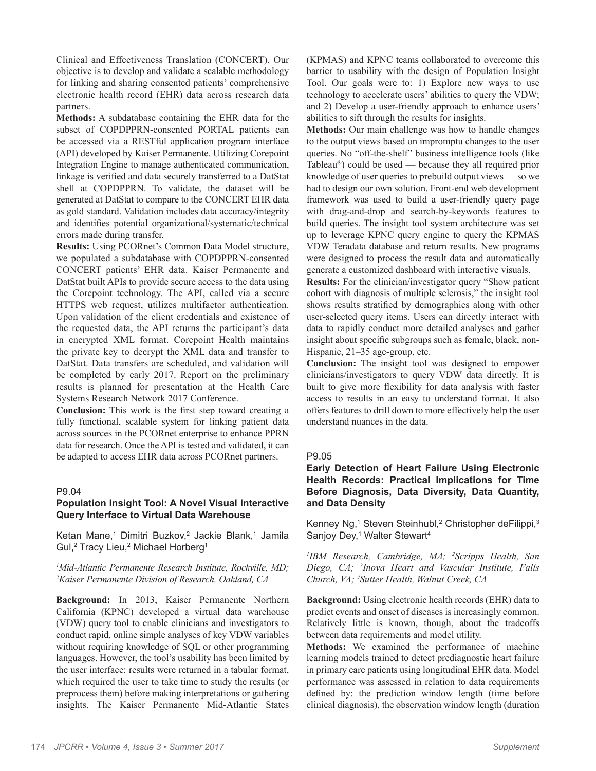Clinical and Effectiveness Translation (CONCERT). Our objective is to develop and validate a scalable methodology for linking and sharing consented patients' comprehensive electronic health record (EHR) data across research data partners.

**Methods:** A subdatabase containing the EHR data for the subset of COPDPPRN-consented PORTAL patients can be accessed via a RESTful application program interface (API) developed by Kaiser Permanente. Utilizing Corepoint Integration Engine to manage authenticated communication, linkage is verified and data securely transferred to a DatStat shell at COPDPPRN. To validate, the dataset will be generated at DatStat to compare to the CONCERT EHR data as gold standard. Validation includes data accuracy/integrity and identifies potential organizational/systematic/technical errors made during transfer.

**Results:** Using PCORnet's Common Data Model structure, we populated a subdatabase with COPDPPRN-consented CONCERT patients' EHR data. Kaiser Permanente and DatStat built APIs to provide secure access to the data using the Corepoint technology. The API, called via a secure HTTPS web request, utilizes multifactor authentication. Upon validation of the client credentials and existence of the requested data, the API returns the participant's data in encrypted XML format. Corepoint Health maintains the private key to decrypt the XML data and transfer to DatStat. Data transfers are scheduled, and validation will be completed by early 2017. Report on the preliminary results is planned for presentation at the Health Care Systems Research Network 2017 Conference.

**Conclusion:** This work is the first step toward creating a fully functional, scalable system for linking patient data across sources in the PCORnet enterprise to enhance PPRN data for research. Once the API is tested and validated, it can be adapted to access EHR data across PCORnet partners.

#### P9.04

# **Population Insight Tool: A Novel Visual Interactive Query Interface to Virtual Data Warehouse**

Ketan Mane,<sup>1</sup> Dimitri Buzkov,<sup>2</sup> Jackie Blank,<sup>1</sup> Jamila Gul,<sup>2</sup> Tracy Lieu,<sup>2</sup> Michael Horberg<sup>1</sup>

# *1 Mid-Atlantic Permanente Research Institute, Rockville, MD; 2 Kaiser Permanente Division of Research, Oakland, CA*

**Background:** In 2013, Kaiser Permanente Northern California (KPNC) developed a virtual data warehouse (VDW) query tool to enable clinicians and investigators to conduct rapid, online simple analyses of key VDW variables without requiring knowledge of SQL or other programming languages. However, the tool's usability has been limited by the user interface: results were returned in a tabular format, which required the user to take time to study the results (or preprocess them) before making interpretations or gathering insights. The Kaiser Permanente Mid-Atlantic States

(KPMAS) and KPNC teams collaborated to overcome this barrier to usability with the design of Population Insight Tool. Our goals were to: 1) Explore new ways to use technology to accelerate users' abilities to query the VDW; and 2) Develop a user-friendly approach to enhance users' abilities to sift through the results for insights.

**Methods:** Our main challenge was how to handle changes to the output views based on impromptu changes to the user queries. No "off-the-shelf" business intelligence tools (like Tableau®) could be used –– because they all required prior knowledge of user queries to prebuild output views –– so we had to design our own solution. Front-end web development framework was used to build a user-friendly query page with drag-and-drop and search-by-keywords features to build queries. The insight tool system architecture was set up to leverage KPNC query engine to query the KPMAS VDW Teradata database and return results. New programs were designed to process the result data and automatically generate a customized dashboard with interactive visuals.

**Results:** For the clinician/investigator query "Show patient cohort with diagnosis of multiple sclerosis," the insight tool shows results stratified by demographics along with other user-selected query items. Users can directly interact with data to rapidly conduct more detailed analyses and gather insight about specific subgroups such as female, black, non-Hispanic, 21–35 age-group, etc.

**Conclusion:** The insight tool was designed to empower clinicians/investigators to query VDW data directly. It is built to give more flexibility for data analysis with faster access to results in an easy to understand format. It also offers features to drill down to more effectively help the user understand nuances in the data.

#### P9.05

# **Early Detection of Heart Failure Using Electronic Health Records: Practical Implications for Time Before Diagnosis, Data Diversity, Data Quantity, and Data Density**

Kenney Ng,1 Steven Steinhubl,<sup>2</sup> Christopher deFilippi,<sup>3</sup> Sanjoy Dey,<sup>1</sup> Walter Stewart<sup>4</sup>

*1 IBM Research, Cambridge, MA; 2 Scripps Health, San Diego, CA; 3 Inova Heart and Vascular Institute, Falls Church, VA; 4 Sutter Health, Walnut Creek, CA*

**Background:** Using electronic health records (EHR) data to predict events and onset of diseases is increasingly common. Relatively little is known, though, about the tradeoffs between data requirements and model utility.

**Methods:** We examined the performance of machine learning models trained to detect prediagnostic heart failure in primary care patients using longitudinal EHR data. Model performance was assessed in relation to data requirements defined by: the prediction window length (time before clinical diagnosis), the observation window length (duration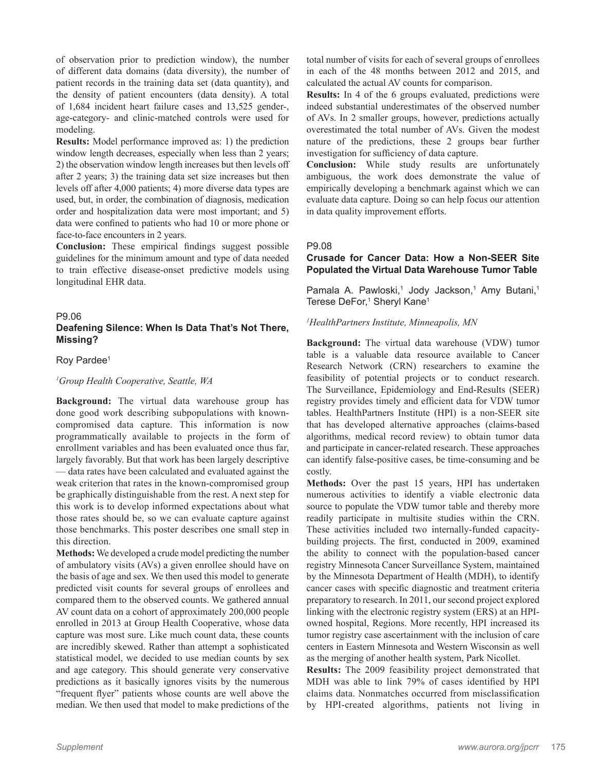of observation prior to prediction window), the number of different data domains (data diversity), the number of patient records in the training data set (data quantity), and the density of patient encounters (data density). A total of 1,684 incident heart failure cases and 13,525 gender-, age-category- and clinic-matched controls were used for modeling.

**Results:** Model performance improved as: 1) the prediction window length decreases, especially when less than 2 years; 2) the observation window length increases but then levels off after 2 years; 3) the training data set size increases but then levels off after 4,000 patients; 4) more diverse data types are used, but, in order, the combination of diagnosis, medication order and hospitalization data were most important; and 5) data were confined to patients who had 10 or more phone or face-to-face encounters in 2 years.

**Conclusion:** These empirical findings suggest possible guidelines for the minimum amount and type of data needed to train effective disease-onset predictive models using longitudinal EHR data.

#### P9.06

# **Deafening Silence: When Is Data That's Not There, Missing?**

#### Roy Pardee<sup>1</sup>

#### *1 Group Health Cooperative, Seattle, WA*

**Background:** The virtual data warehouse group has done good work describing subpopulations with knowncompromised data capture. This information is now programmatically available to projects in the form of enrollment variables and has been evaluated once thus far, largely favorably. But that work has been largely descriptive –– data rates have been calculated and evaluated against the weak criterion that rates in the known-compromised group be graphically distinguishable from the rest. A next step for this work is to develop informed expectations about what those rates should be, so we can evaluate capture against those benchmarks. This poster describes one small step in this direction.

**Methods:** We developed a crude model predicting the number of ambulatory visits (AVs) a given enrollee should have on the basis of age and sex. We then used this model to generate predicted visit counts for several groups of enrollees and compared them to the observed counts. We gathered annual AV count data on a cohort of approximately 200,000 people enrolled in 2013 at Group Health Cooperative, whose data capture was most sure. Like much count data, these counts are incredibly skewed. Rather than attempt a sophisticated statistical model, we decided to use median counts by sex and age category. This should generate very conservative predictions as it basically ignores visits by the numerous "frequent flyer" patients whose counts are well above the median. We then used that model to make predictions of the

total number of visits for each of several groups of enrollees in each of the 48 months between 2012 and 2015, and calculated the actual AV counts for comparison.

**Results:** In 4 of the 6 groups evaluated, predictions were indeed substantial underestimates of the observed number of AVs. In 2 smaller groups, however, predictions actually overestimated the total number of AVs. Given the modest nature of the predictions, these 2 groups bear further investigation for sufficiency of data capture.

**Conclusion:** While study results are unfortunately ambiguous, the work does demonstrate the value of empirically developing a benchmark against which we can evaluate data capture. Doing so can help focus our attention in data quality improvement efforts.

#### P9.08

# **Crusade for Cancer Data: How a Non-SEER Site Populated the Virtual Data Warehouse Tumor Table**

Pamala A. Pawloski,<sup>1</sup> Jody Jackson,<sup>1</sup> Amy Butani,<sup>1</sup> Terese DeFor,<sup>1</sup> Sheryl Kane<sup>1</sup>

#### *1 HealthPartners Institute, Minneapolis, MN*

**Background:** The virtual data warehouse (VDW) tumor table is a valuable data resource available to Cancer Research Network (CRN) researchers to examine the feasibility of potential projects or to conduct research. The Surveillance, Epidemiology and End-Results (SEER) registry provides timely and efficient data for VDW tumor tables. HealthPartners Institute (HPI) is a non-SEER site that has developed alternative approaches (claims-based algorithms, medical record review) to obtain tumor data and participate in cancer-related research. These approaches can identify false-positive cases, be time-consuming and be costly.

**Methods:** Over the past 15 years, HPI has undertaken numerous activities to identify a viable electronic data source to populate the VDW tumor table and thereby more readily participate in multisite studies within the CRN. These activities included two internally-funded capacitybuilding projects. The first, conducted in 2009, examined the ability to connect with the population-based cancer registry Minnesota Cancer Surveillance System, maintained by the Minnesota Department of Health (MDH), to identify cancer cases with specific diagnostic and treatment criteria preparatory to research. In 2011, our second project explored linking with the electronic registry system (ERS) at an HPIowned hospital, Regions. More recently, HPI increased its tumor registry case ascertainment with the inclusion of care centers in Eastern Minnesota and Western Wisconsin as well as the merging of another health system, Park Nicollet.

**Results:** The 2009 feasibility project demonstrated that MDH was able to link 79% of cases identified by HPI claims data. Nonmatches occurred from misclassification by HPI-created algorithms, patients not living in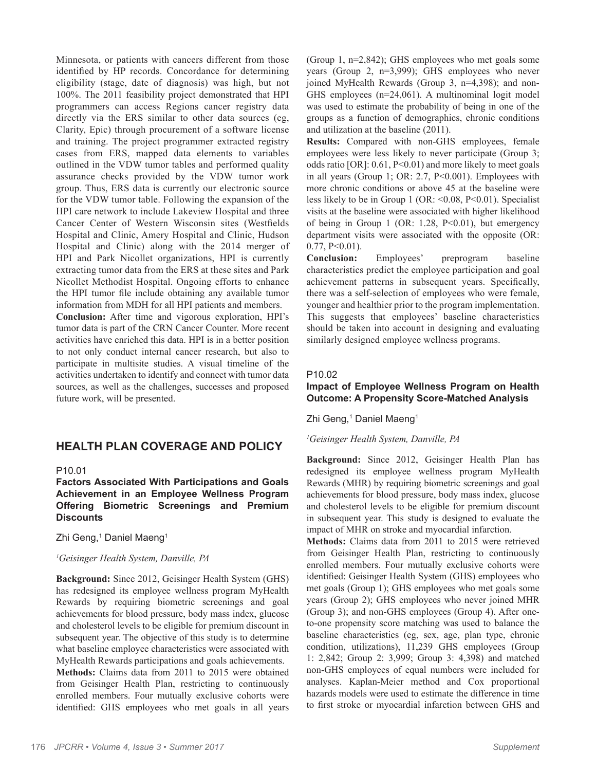Minnesota, or patients with cancers different from those identified by HP records. Concordance for determining eligibility (stage, date of diagnosis) was high, but not 100%. The 2011 feasibility project demonstrated that HPI programmers can access Regions cancer registry data directly via the ERS similar to other data sources (eg, Clarity, Epic) through procurement of a software license and training. The project programmer extracted registry cases from ERS, mapped data elements to variables outlined in the VDW tumor tables and performed quality assurance checks provided by the VDW tumor work group. Thus, ERS data is currently our electronic source for the VDW tumor table. Following the expansion of the HPI care network to include Lakeview Hospital and three Cancer Center of Western Wisconsin sites (Westfields Hospital and Clinic, Amery Hospital and Clinic, Hudson Hospital and Clinic) along with the 2014 merger of HPI and Park Nicollet organizations, HPI is currently extracting tumor data from the ERS at these sites and Park Nicollet Methodist Hospital. Ongoing efforts to enhance the HPI tumor file include obtaining any available tumor information from MDH for all HPI patients and members.

**Conclusion:** After time and vigorous exploration, HPI's tumor data is part of the CRN Cancer Counter. More recent activities have enriched this data. HPI is in a better position to not only conduct internal cancer research, but also to participate in multisite studies. A visual timeline of the activities undertaken to identify and connect with tumor data sources, as well as the challenges, successes and proposed future work, will be presented.

# **HEALTH PLAN COVERAGE AND POLICY**

#### P10.01

**Factors Associated With Participations and Goals Achievement in an Employee Wellness Program Offering Biometric Screenings and Premium Discounts**

Zhi Geng,<sup>1</sup> Daniel Maeng<sup>1</sup>

#### *1 Geisinger Health System, Danville, PA*

**Background:** Since 2012, Geisinger Health System (GHS) has redesigned its employee wellness program MyHealth Rewards by requiring biometric screenings and goal achievements for blood pressure, body mass index, glucose and cholesterol levels to be eligible for premium discount in subsequent year. The objective of this study is to determine what baseline employee characteristics were associated with MyHealth Rewards participations and goals achievements.

**Methods:** Claims data from 2011 to 2015 were obtained from Geisinger Health Plan, restricting to continuously enrolled members. Four mutually exclusive cohorts were identified: GHS employees who met goals in all years (Group 1, n=2,842); GHS employees who met goals some years (Group 2, n=3,999); GHS employees who never joined MyHealth Rewards (Group 3, n=4,398); and non-GHS employees (n=24,061). A multinominal logit model was used to estimate the probability of being in one of the groups as a function of demographics, chronic conditions and utilization at the baseline (2011).

**Results:** Compared with non-GHS employees, female employees were less likely to never participate (Group 3; odds ratio [OR]: 0.61, P<0.01) and more likely to meet goals in all years (Group 1; OR: 2.7, P<0.001). Employees with more chronic conditions or above 45 at the baseline were less likely to be in Group 1 (OR:  $\leq 0.08$ , P $\leq 0.01$ ). Specialist visits at the baseline were associated with higher likelihood of being in Group 1 (OR: 1.28,  $P<0.01$ ), but emergency department visits were associated with the opposite (OR:  $0.77, P<0.01$ ).

**Conclusion:** Employees' preprogram baseline characteristics predict the employee participation and goal achievement patterns in subsequent years. Specifically, there was a self-selection of employees who were female, younger and healthier prior to the program implementation. This suggests that employees' baseline characteristics should be taken into account in designing and evaluating similarly designed employee wellness programs.

#### P10.02

# **Impact of Employee Wellness Program on Health Outcome: A Propensity Score-Matched Analysis**

Zhi Geng,<sup>1</sup> Daniel Maeng<sup>1</sup>

#### *1 Geisinger Health System, Danville, PA*

**Background:** Since 2012, Geisinger Health Plan has redesigned its employee wellness program MyHealth Rewards (MHR) by requiring biometric screenings and goal achievements for blood pressure, body mass index, glucose and cholesterol levels to be eligible for premium discount in subsequent year. This study is designed to evaluate the impact of MHR on stroke and myocardial infarction.

**Methods:** Claims data from 2011 to 2015 were retrieved from Geisinger Health Plan, restricting to continuously enrolled members. Four mutually exclusive cohorts were identified: Geisinger Health System (GHS) employees who met goals (Group 1); GHS employees who met goals some years (Group 2); GHS employees who never joined MHR (Group 3); and non-GHS employees (Group 4). After oneto-one propensity score matching was used to balance the baseline characteristics (eg, sex, age, plan type, chronic condition, utilizations), 11,239 GHS employees (Group 1: 2,842; Group 2: 3,999; Group 3: 4,398) and matched non-GHS employees of equal numbers were included for analyses. Kaplan-Meier method and Cox proportional hazards models were used to estimate the difference in time to first stroke or myocardial infarction between GHS and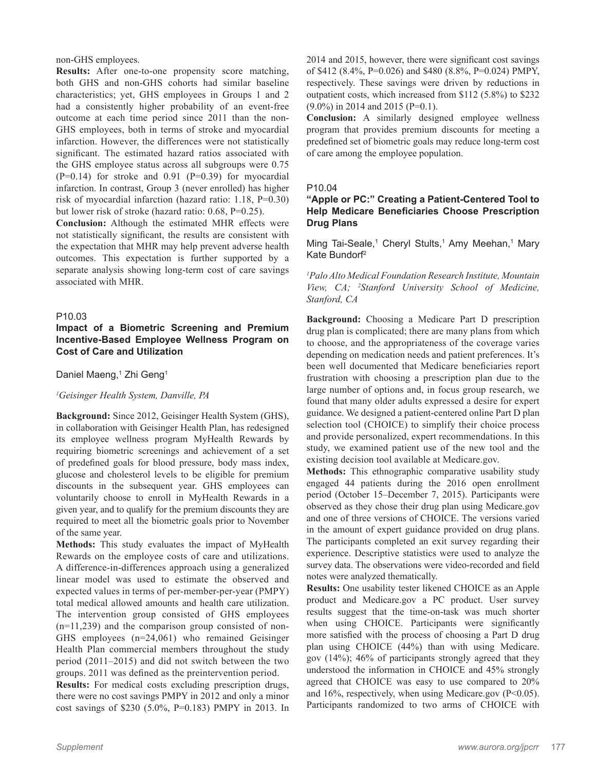non-GHS employees.

**Results:** After one-to-one propensity score matching, both GHS and non-GHS cohorts had similar baseline characteristics; yet, GHS employees in Groups 1 and 2 had a consistently higher probability of an event-free outcome at each time period since 2011 than the non-GHS employees, both in terms of stroke and myocardial infarction. However, the differences were not statistically significant. The estimated hazard ratios associated with the GHS employee status across all subgroups were 0.75  $(P=0.14)$  for stroke and 0.91  $(P=0.39)$  for myocardial infarction. In contrast, Group 3 (never enrolled) has higher risk of myocardial infarction (hazard ratio: 1.18, P=0.30) but lower risk of stroke (hazard ratio: 0.68, P=0.25).

**Conclusion:** Although the estimated MHR effects were not statistically significant, the results are consistent with the expectation that MHR may help prevent adverse health outcomes. This expectation is further supported by a separate analysis showing long-term cost of care savings associated with MHR.

# P10.03

# **Impact of a Biometric Screening and Premium Incentive-Based Employee Wellness Program on Cost of Care and Utilization**

Daniel Maeng,<sup>1</sup> Zhi Geng<sup>1</sup>

#### *1 Geisinger Health System, Danville, PA*

**Background:** Since 2012, Geisinger Health System (GHS), in collaboration with Geisinger Health Plan, has redesigned its employee wellness program MyHealth Rewards by requiring biometric screenings and achievement of a set of predefined goals for blood pressure, body mass index, glucose and cholesterol levels to be eligible for premium discounts in the subsequent year. GHS employees can voluntarily choose to enroll in MyHealth Rewards in a given year, and to qualify for the premium discounts they are required to meet all the biometric goals prior to November of the same year.

**Methods:** This study evaluates the impact of MyHealth Rewards on the employee costs of care and utilizations. A difference-in-differences approach using a generalized linear model was used to estimate the observed and expected values in terms of per-member-per-year (PMPY) total medical allowed amounts and health care utilization. The intervention group consisted of GHS employees (n=11,239) and the comparison group consisted of non-GHS employees (n=24,061) who remained Geisinger Health Plan commercial members throughout the study period (2011–2015) and did not switch between the two groups. 2011 was defined as the preintervention period.

**Results:** For medical costs excluding prescription drugs, there were no cost savings PMPY in 2012 and only a minor cost savings of \$230 (5.0%, P=0.183) PMPY in 2013. In 2014 and 2015, however, there were significant cost savings of \$412 (8.4%, P=0.026) and \$480 (8.8%, P=0.024) PMPY, respectively. These savings were driven by reductions in outpatient costs, which increased from \$112 (5.8%) to \$232 (9.0%) in 2014 and 2015 (P=0.1).

**Conclusion:** A similarly designed employee wellness program that provides premium discounts for meeting a predefined set of biometric goals may reduce long-term cost of care among the employee population.

#### P10.04

# **"Apple or PC:" Creating a Patient-Centered Tool to Help Medicare Beneficiaries Choose Prescription Drug Plans**

Ming Tai-Seale,<sup>1</sup> Cheryl Stults,<sup>1</sup> Amy Meehan,<sup>1</sup> Mary Kate Bundorf2

*1 Palo Alto Medical Foundation Research Institute, Mountain View, CA; 2 Stanford University School of Medicine, Stanford, CA*

**Background:** Choosing a Medicare Part D prescription drug plan is complicated; there are many plans from which to choose, and the appropriateness of the coverage varies depending on medication needs and patient preferences. It's been well documented that Medicare beneficiaries report frustration with choosing a prescription plan due to the large number of options and, in focus group research, we found that many older adults expressed a desire for expert guidance. We designed a patient-centered online Part D plan selection tool (CHOICE) to simplify their choice process and provide personalized, expert recommendations. In this study, we examined patient use of the new tool and the existing decision tool available at Medicare.gov.

**Methods:** This ethnographic comparative usability study engaged 44 patients during the 2016 open enrollment period (October 15–December 7, 2015). Participants were observed as they chose their drug plan using Medicare.gov and one of three versions of CHOICE. The versions varied in the amount of expert guidance provided on drug plans. The participants completed an exit survey regarding their experience. Descriptive statistics were used to analyze the survey data. The observations were video-recorded and field notes were analyzed thematically.

**Results:** One usability tester likened CHOICE as an Apple product and Medicare.gov a PC product. User survey results suggest that the time-on-task was much shorter when using CHOICE. Participants were significantly more satisfied with the process of choosing a Part D drug plan using CHOICE (44%) than with using Medicare. gov (14%); 46% of participants strongly agreed that they understood the information in CHOICE and 45% strongly agreed that CHOICE was easy to use compared to 20% and 16%, respectively, when using Medicare.gov (P<0.05). Participants randomized to two arms of CHOICE with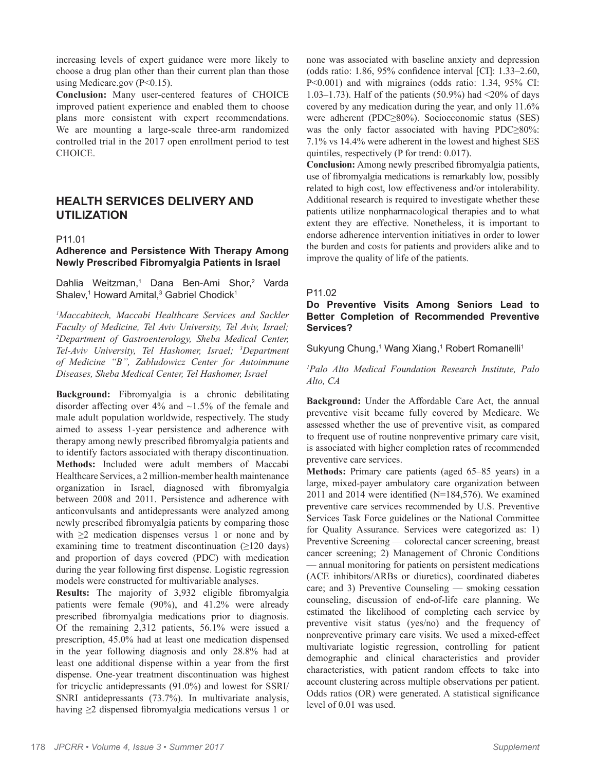increasing levels of expert guidance were more likely to choose a drug plan other than their current plan than those using Medicare.gov (P<0.15).

**Conclusion:** Many user-centered features of CHOICE improved patient experience and enabled them to choose plans more consistent with expert recommendations. We are mounting a large-scale three-arm randomized controlled trial in the 2017 open enrollment period to test CHOICE.

# **HEALTH SERVICES DELIVERY AND UTILIZATION**

#### P11.01

# **Adherence and Persistence With Therapy Among Newly Prescribed Fibromyalgia Patients in Israel**

Dahlia Weitzman,<sup>1</sup> Dana Ben-Ami Shor,<sup>2</sup> Varda Shalev,<sup>1</sup> Howard Amital,<sup>3</sup> Gabriel Chodick<sup>1</sup>

*1 Maccabitech, Maccabi Healthcare Services and Sackler Faculty of Medicine, Tel Aviv University, Tel Aviv, Israel; 2 Department of Gastroenterology, Sheba Medical Center, Tel-Aviv University, Tel Hashomer, Israel; 3 Department of Medicine "B", Zabludowicz Center for Autoimmune Diseases, Sheba Medical Center, Tel Hashomer, Israel*

**Background:** Fibromyalgia is a chronic debilitating disorder affecting over  $4\%$  and  $\sim$ 1.5% of the female and male adult population worldwide, respectively. The study aimed to assess 1-year persistence and adherence with therapy among newly prescribed fibromyalgia patients and to identify factors associated with therapy discontinuation. **Methods:** Included were adult members of Maccabi Healthcare Services, a 2 million-member health maintenance organization in Israel, diagnosed with fibromyalgia between 2008 and 2011. Persistence and adherence with anticonvulsants and antidepressants were analyzed among newly prescribed fibromyalgia patients by comparing those with  $\geq 2$  medication dispenses versus 1 or none and by examining time to treatment discontinuation  $(\geq 120 \text{ days})$ and proportion of days covered (PDC) with medication during the year following first dispense. Logistic regression models were constructed for multivariable analyses.

**Results:** The majority of 3,932 eligible fibromyalgia patients were female (90%), and 41.2% were already prescribed fibromyalgia medications prior to diagnosis. Of the remaining 2,312 patients, 56.1% were issued a prescription, 45.0% had at least one medication dispensed in the year following diagnosis and only 28.8% had at least one additional dispense within a year from the first dispense. One-year treatment discontinuation was highest for tricyclic antidepressants (91.0%) and lowest for SSRI/ SNRI antidepressants (73.7%). In multivariate analysis, having ≥2 dispensed fibromyalgia medications versus 1 or

none was associated with baseline anxiety and depression (odds ratio: 1.86, 95% confidence interval [CI]: 1.33–2.60, P<0.001) and with migraines (odds ratio: 1.34, 95% CI: 1.03–1.73). Half of the patients  $(50.9\%)$  had  $\langle 20\%$  of days covered by any medication during the year, and only 11.6% were adherent (PDC≥80%). Socioeconomic status (SES) was the only factor associated with having PDC≥80%: 7.1% vs 14.4% were adherent in the lowest and highest SES quintiles, respectively (P for trend: 0.017).

**Conclusion:** Among newly prescribed fibromyalgia patients, use of fibromyalgia medications is remarkably low, possibly related to high cost, low effectiveness and/or intolerability. Additional research is required to investigate whether these patients utilize nonpharmacological therapies and to what extent they are effective. Nonetheless, it is important to endorse adherence intervention initiatives in order to lower the burden and costs for patients and providers alike and to improve the quality of life of the patients.

#### P11.02

# **Do Preventive Visits Among Seniors Lead to Better Completion of Recommended Preventive Services?**

Sukyung Chung,<sup>1</sup> Wang Xiang,<sup>1</sup> Robert Romanelli<sup>1</sup>

*1 Palo Alto Medical Foundation Research Institute, Palo Alto, CA*

**Background:** Under the Affordable Care Act, the annual preventive visit became fully covered by Medicare. We assessed whether the use of preventive visit, as compared to frequent use of routine nonpreventive primary care visit, is associated with higher completion rates of recommended preventive care services.

**Methods:** Primary care patients (aged 65–85 years) in a large, mixed-payer ambulatory care organization between 2011 and 2014 were identified (N=184,576). We examined preventive care services recommended by U.S. Preventive Services Task Force guidelines or the National Committee for Quality Assurance. Services were categorized as: 1) Preventive Screening –– colorectal cancer screening, breast cancer screening; 2) Management of Chronic Conditions –– annual monitoring for patients on persistent medications (ACE inhibitors/ARBs or diuretics), coordinated diabetes care; and 3) Preventive Counseling –– smoking cessation counseling, discussion of end-of-life care planning. We estimated the likelihood of completing each service by preventive visit status (yes/no) and the frequency of nonpreventive primary care visits. We used a mixed-effect multivariate logistic regression, controlling for patient demographic and clinical characteristics and provider characteristics, with patient random effects to take into account clustering across multiple observations per patient. Odds ratios (OR) were generated. A statistical significance level of 0.01 was used.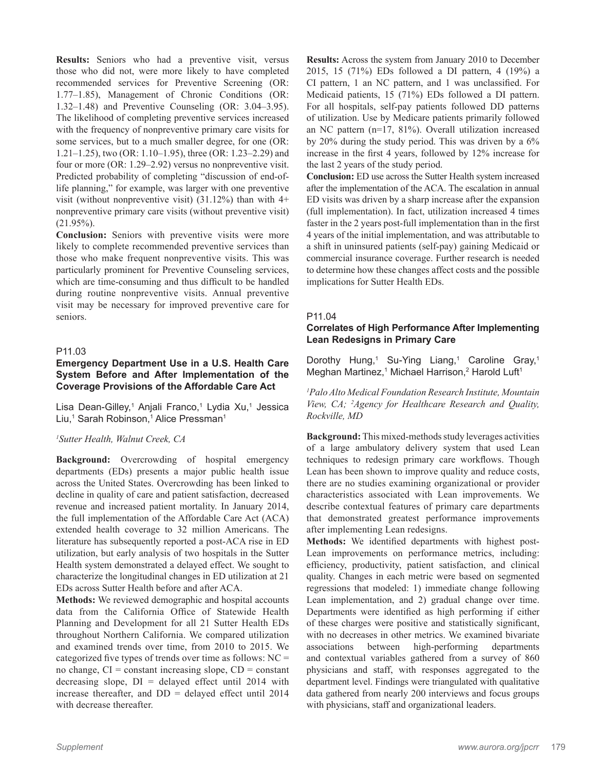**Results:** Seniors who had a preventive visit, versus those who did not, were more likely to have completed recommended services for Preventive Screening (OR: 1.77–1.85), Management of Chronic Conditions (OR: 1.32–1.48) and Preventive Counseling (OR: 3.04–3.95). The likelihood of completing preventive services increased with the frequency of nonpreventive primary care visits for some services, but to a much smaller degree, for one (OR: 1.21–1.25), two (OR: 1.10–1.95), three (OR: 1.23–2.29) and four or more (OR: 1.29–2.92) versus no nonpreventive visit. Predicted probability of completing "discussion of end-oflife planning," for example, was larger with one preventive visit (without nonpreventive visit)  $(31.12\%)$  than with 4+ nonpreventive primary care visits (without preventive visit) (21.95%).

**Conclusion:** Seniors with preventive visits were more likely to complete recommended preventive services than those who make frequent nonpreventive visits. This was particularly prominent for Preventive Counseling services, which are time-consuming and thus difficult to be handled during routine nonpreventive visits. Annual preventive visit may be necessary for improved preventive care for seniors.

# P11.03

# **Emergency Department Use in a U.S. Health Care System Before and After Implementation of the Coverage Provisions of the Affordable Care Act**

Lisa Dean-Gilley,<sup>1</sup> Anjali Franco,<sup>1</sup> Lydia Xu,<sup>1</sup> Jessica Liu,<sup>1</sup> Sarah Robinson,<sup>1</sup> Alice Pressman<sup>1</sup>

# *1 Sutter Health, Walnut Creek, CA*

**Background:** Overcrowding of hospital emergency departments (EDs) presents a major public health issue across the United States. Overcrowding has been linked to decline in quality of care and patient satisfaction, decreased revenue and increased patient mortality. In January 2014, the full implementation of the Affordable Care Act (ACA) extended health coverage to 32 million Americans. The literature has subsequently reported a post-ACA rise in ED utilization, but early analysis of two hospitals in the Sutter Health system demonstrated a delayed effect. We sought to characterize the longitudinal changes in ED utilization at 21 EDs across Sutter Health before and after ACA.

**Methods:** We reviewed demographic and hospital accounts data from the California Office of Statewide Health Planning and Development for all 21 Sutter Health EDs throughout Northern California. We compared utilization and examined trends over time, from 2010 to 2015. We categorized five types of trends over time as follows: NC = no change,  $CI = constant$  increasing slope,  $CD = constant$ decreasing slope,  $DI =$  delayed effect until 2014 with increase thereafter, and  $DD =$  delayed effect until 2014 with decrease thereafter.

**Results:** Across the system from January 2010 to December 2015, 15 (71%) EDs followed a DI pattern, 4 (19%) a CI pattern, 1 an NC pattern, and 1 was unclassified. For Medicaid patients, 15 (71%) EDs followed a DI pattern. For all hospitals, self-pay patients followed DD patterns of utilization. Use by Medicare patients primarily followed an NC pattern (n=17, 81%). Overall utilization increased by 20% during the study period. This was driven by a 6% increase in the first 4 years, followed by 12% increase for the last 2 years of the study period.

**Conclusion:** ED use across the Sutter Health system increased after the implementation of the ACA. The escalation in annual ED visits was driven by a sharp increase after the expansion (full implementation). In fact, utilization increased 4 times faster in the 2 years post-full implementation than in the first 4 years of the initial implementation, and was attributable to a shift in uninsured patients (self-pay) gaining Medicaid or commercial insurance coverage. Further research is needed to determine how these changes affect costs and the possible implications for Sutter Health EDs.

#### P11.04

# **Correlates of High Performance After Implementing Lean Redesigns in Primary Care**

Dorothy Hung,<sup>1</sup> Su-Ying Liang,<sup>1</sup> Caroline Gray,<sup>1</sup> Meghan Martinez,<sup>1</sup> Michael Harrison,<sup>2</sup> Harold Luft<sup>1</sup>

*1 Palo Alto Medical Foundation Research Institute, Mountain View, CA; 2 Agency for Healthcare Research and Quality, Rockville, MD*

**Background:** This mixed-methods study leverages activities of a large ambulatory delivery system that used Lean techniques to redesign primary care workflows. Though Lean has been shown to improve quality and reduce costs, there are no studies examining organizational or provider characteristics associated with Lean improvements. We describe contextual features of primary care departments that demonstrated greatest performance improvements after implementing Lean redesigns.

**Methods:** We identified departments with highest post-Lean improvements on performance metrics, including: efficiency, productivity, patient satisfaction, and clinical quality. Changes in each metric were based on segmented regressions that modeled: 1) immediate change following Lean implementation, and 2) gradual change over time. Departments were identified as high performing if either of these charges were positive and statistically significant, with no decreases in other metrics. We examined bivariate associations between high-performing departments and contextual variables gathered from a survey of 860 physicians and staff, with responses aggregated to the department level. Findings were triangulated with qualitative data gathered from nearly 200 interviews and focus groups with physicians, staff and organizational leaders.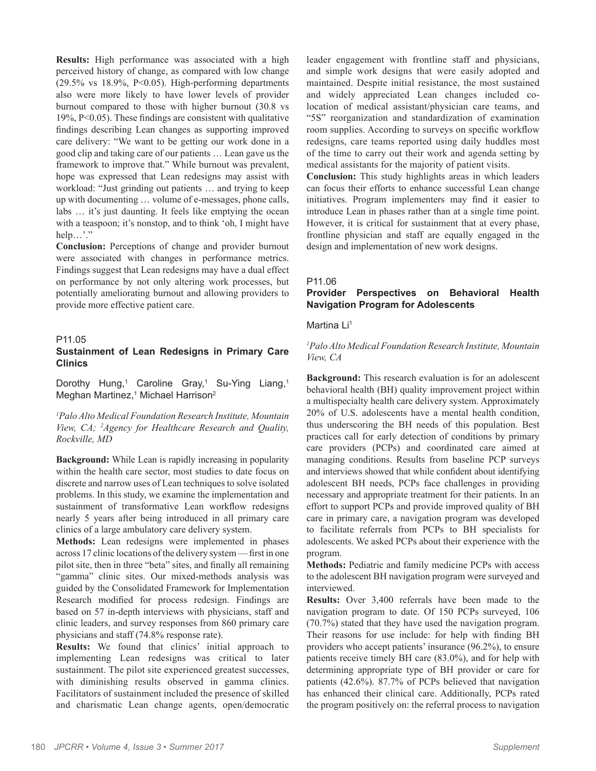**Results:** High performance was associated with a high perceived history of change, as compared with low change (29.5% vs 18.9%, P<0.05). High-performing departments also were more likely to have lower levels of provider burnout compared to those with higher burnout (30.8 vs 19%, P<0.05). These findings are consistent with qualitative findings describing Lean changes as supporting improved care delivery: "We want to be getting our work done in a good clip and taking care of our patients … Lean gave us the framework to improve that." While burnout was prevalent, hope was expressed that Lean redesigns may assist with workload: "Just grinding out patients … and trying to keep up with documenting … volume of e-messages, phone calls, labs … it's just daunting. It feels like emptying the ocean with a teaspoon; it's nonstop, and to think 'oh, I might have help…'." **Conclusion:** Perceptions of change and provider burnout

were associated with changes in performance metrics. Findings suggest that Lean redesigns may have a dual effect on performance by not only altering work processes, but potentially ameliorating burnout and allowing providers to provide more effective patient care.

# P11.05

# **Sustainment of Lean Redesigns in Primary Care Clinics**

Dorothy Hung,<sup>1</sup> Caroline Gray,<sup>1</sup> Su-Ying Liang,<sup>1</sup> Meghan Martinez,<sup>1</sup> Michael Harrison<sup>2</sup>

*1 Palo Alto Medical Foundation Research Institute, Mountain View, CA; 2 Agency for Healthcare Research and Quality, Rockville, MD*

**Background:** While Lean is rapidly increasing in popularity within the health care sector, most studies to date focus on discrete and narrow uses of Lean techniques to solve isolated problems. In this study, we examine the implementation and sustainment of transformative Lean workflow redesigns nearly 5 years after being introduced in all primary care clinics of a large ambulatory care delivery system.

**Methods:** Lean redesigns were implemented in phases across 17 clinic locations of the delivery system — first in one pilot site, then in three "beta" sites, and finally all remaining "gamma" clinic sites. Our mixed-methods analysis was guided by the Consolidated Framework for Implementation Research modified for process redesign. Findings are based on 57 in-depth interviews with physicians, staff and clinic leaders, and survey responses from 860 primary care physicians and staff (74.8% response rate).

**Results:** We found that clinics' initial approach to implementing Lean redesigns was critical to later sustainment. The pilot site experienced greatest successes, with diminishing results observed in gamma clinics. Facilitators of sustainment included the presence of skilled and charismatic Lean change agents, open/democratic

leader engagement with frontline staff and physicians, and simple work designs that were easily adopted and maintained. Despite initial resistance, the most sustained and widely appreciated Lean changes included colocation of medical assistant/physician care teams, and "5S" reorganization and standardization of examination room supplies. According to surveys on specific workflow redesigns, care teams reported using daily huddles most of the time to carry out their work and agenda setting by medical assistants for the majority of patient visits.

**Conclusion:** This study highlights areas in which leaders can focus their efforts to enhance successful Lean change initiatives. Program implementers may find it easier to introduce Lean in phases rather than at a single time point. However, it is critical for sustainment that at every phase, frontline physician and staff are equally engaged in the design and implementation of new work designs.

#### P11.06

# **Provider Perspectives on Behavioral Health Navigation Program for Adolescents**

#### Martina Li<sup>1</sup>

# *1 Palo Alto Medical Foundation Research Institute, Mountain View, CA*

**Background:** This research evaluation is for an adolescent behavioral health (BH) quality improvement project within a multispecialty health care delivery system. Approximately 20% of U.S. adolescents have a mental health condition, thus underscoring the BH needs of this population. Best practices call for early detection of conditions by primary care providers (PCPs) and coordinated care aimed at managing conditions. Results from baseline PCP surveys and interviews showed that while confident about identifying adolescent BH needs, PCPs face challenges in providing necessary and appropriate treatment for their patients. In an effort to support PCPs and provide improved quality of BH care in primary care, a navigation program was developed to facilitate referrals from PCPs to BH specialists for adolescents. We asked PCPs about their experience with the program.

**Methods:** Pediatric and family medicine PCPs with access to the adolescent BH navigation program were surveyed and interviewed.

**Results:** Over 3,400 referrals have been made to the navigation program to date. Of 150 PCPs surveyed, 106 (70.7%) stated that they have used the navigation program. Their reasons for use include: for help with finding BH providers who accept patients' insurance (96.2%), to ensure patients receive timely BH care (83.0%), and for help with determining appropriate type of BH provider or care for patients (42.6%). 87.7% of PCPs believed that navigation has enhanced their clinical care. Additionally, PCPs rated the program positively on: the referral process to navigation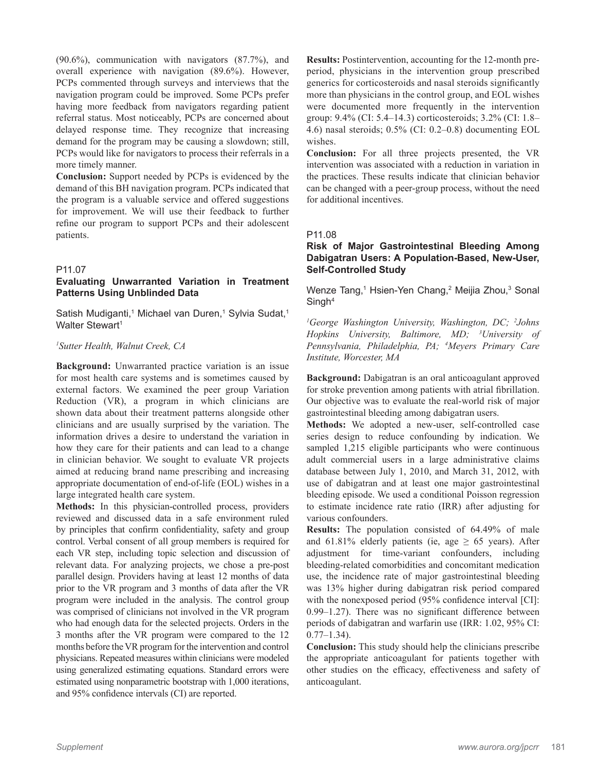(90.6%), communication with navigators (87.7%), and overall experience with navigation (89.6%). However, PCPs commented through surveys and interviews that the navigation program could be improved. Some PCPs prefer having more feedback from navigators regarding patient referral status. Most noticeably, PCPs are concerned about delayed response time. They recognize that increasing demand for the program may be causing a slowdown; still, PCPs would like for navigators to process their referrals in a more timely manner.

**Conclusion:** Support needed by PCPs is evidenced by the demand of this BH navigation program. PCPs indicated that the program is a valuable service and offered suggestions for improvement. We will use their feedback to further refine our program to support PCPs and their adolescent patients.

#### P11.07

# **Evaluating Unwarranted Variation in Treatment Patterns Using Unblinded Data**

Satish Mudiganti,<sup>1</sup> Michael van Duren,<sup>1</sup> Sylvia Sudat,<sup>1</sup> Walter Stewart<sup>1</sup>

#### *1 Sutter Health, Walnut Creek, CA*

**Background:** Unwarranted practice variation is an issue for most health care systems and is sometimes caused by external factors. We examined the peer group Variation Reduction (VR), a program in which clinicians are shown data about their treatment patterns alongside other clinicians and are usually surprised by the variation. The information drives a desire to understand the variation in how they care for their patients and can lead to a change in clinician behavior. We sought to evaluate VR projects aimed at reducing brand name prescribing and increasing appropriate documentation of end-of-life (EOL) wishes in a large integrated health care system.

**Methods:** In this physician-controlled process, providers reviewed and discussed data in a safe environment ruled by principles that confirm confidentiality, safety and group control. Verbal consent of all group members is required for each VR step, including topic selection and discussion of relevant data. For analyzing projects, we chose a pre-post parallel design. Providers having at least 12 months of data prior to the VR program and 3 months of data after the VR program were included in the analysis. The control group was comprised of clinicians not involved in the VR program who had enough data for the selected projects. Orders in the 3 months after the VR program were compared to the 12 months before the VR program for the intervention and control physicians. Repeated measures within clinicians were modeled using generalized estimating equations. Standard errors were estimated using nonparametric bootstrap with 1,000 iterations, and 95% confidence intervals (CI) are reported.

**Results:** Postintervention, accounting for the 12-month preperiod, physicians in the intervention group prescribed generics for corticosteroids and nasal steroids significantly more than physicians in the control group, and EOL wishes were documented more frequently in the intervention group: 9.4% (CI: 5.4–14.3) corticosteroids; 3.2% (CI: 1.8– 4.6) nasal steroids; 0.5% (CI: 0.2–0.8) documenting EOL wishes.

**Conclusion:** For all three projects presented, the VR intervention was associated with a reduction in variation in the practices. These results indicate that clinician behavior can be changed with a peer-group process, without the need for additional incentives.

#### P11.08

## **Risk of Major Gastrointestinal Bleeding Among Dabigatran Users: A Population-Based, New-User, Self-Controlled Study**

Wenze Tang,<sup>1</sup> Hsien-Yen Chang,<sup>2</sup> Meijia Zhou,<sup>3</sup> Sonal Singh<sup>4</sup>

*1 George Washington University, Washington, DC; 2 Johns Hopkins University, Baltimore, MD; 3 University of Pennsylvania, Philadelphia, PA; 4 Meyers Primary Care Institute, Worcester, MA*

**Background:** Dabigatran is an oral anticoagulant approved for stroke prevention among patients with atrial fibrillation. Our objective was to evaluate the real-world risk of major gastrointestinal bleeding among dabigatran users.

**Methods:** We adopted a new-user, self-controlled case series design to reduce confounding by indication. We sampled 1,215 eligible participants who were continuous adult commercial users in a large administrative claims database between July 1, 2010, and March 31, 2012, with use of dabigatran and at least one major gastrointestinal bleeding episode. We used a conditional Poisson regression to estimate incidence rate ratio (IRR) after adjusting for various confounders.

**Results:** The population consisted of 64.49% of male and 61.81% elderly patients (ie, age  $\geq$  65 years). After adjustment for time-variant confounders, including bleeding-related comorbidities and concomitant medication use, the incidence rate of major gastrointestinal bleeding was 13% higher during dabigatran risk period compared with the nonexposed period (95% confidence interval [CI]: 0.99–1.27). There was no significant difference between periods of dabigatran and warfarin use (IRR: 1.02, 95% CI:  $0.77 - 1.34$ ).

**Conclusion:** This study should help the clinicians prescribe the appropriate anticoagulant for patients together with other studies on the efficacy, effectiveness and safety of anticoagulant.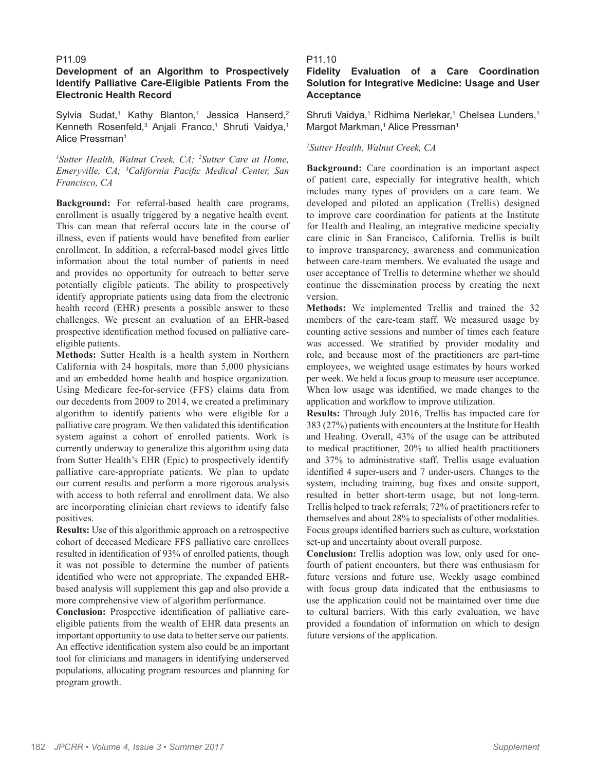#### P11.09

#### **Development of an Algorithm to Prospectively Identify Palliative Care-Eligible Patients From the Electronic Health Record**

Sylvia Sudat,<sup>1</sup> Kathy Blanton,<sup>1</sup> Jessica Hanserd,<sup>2</sup> Kenneth Rosenfeld,<sup>3</sup> Anjali Franco,<sup>1</sup> Shruti Vaidya,<sup>1</sup> Alice Pressman<sup>1</sup>

*1 Sutter Health, Walnut Creek, CA; 2 Sutter Care at Home, Emeryville, CA; 3 California Pacific Medical Center, San Francisco, CA*

**Background:** For referral-based health care programs, enrollment is usually triggered by a negative health event. This can mean that referral occurs late in the course of illness, even if patients would have benefited from earlier enrollment. In addition, a referral-based model gives little information about the total number of patients in need and provides no opportunity for outreach to better serve potentially eligible patients. The ability to prospectively identify appropriate patients using data from the electronic health record (EHR) presents a possible answer to these challenges. We present an evaluation of an EHR-based prospective identification method focused on palliative careeligible patients.

**Methods:** Sutter Health is a health system in Northern California with 24 hospitals, more than 5,000 physicians and an embedded home health and hospice organization. Using Medicare fee-for-service (FFS) claims data from our decedents from 2009 to 2014, we created a preliminary algorithm to identify patients who were eligible for a palliative care program. We then validated this identification system against a cohort of enrolled patients. Work is currently underway to generalize this algorithm using data from Sutter Health's EHR (Epic) to prospectively identify palliative care-appropriate patients. We plan to update our current results and perform a more rigorous analysis with access to both referral and enrollment data. We also are incorporating clinician chart reviews to identify false positives.

**Results:** Use of this algorithmic approach on a retrospective cohort of deceased Medicare FFS palliative care enrollees resulted in identification of 93% of enrolled patients, though it was not possible to determine the number of patients identified who were not appropriate. The expanded EHRbased analysis will supplement this gap and also provide a more comprehensive view of algorithm performance.

**Conclusion:** Prospective identification of palliative careeligible patients from the wealth of EHR data presents an important opportunity to use data to better serve our patients. An effective identification system also could be an important tool for clinicians and managers in identifying underserved populations, allocating program resources and planning for program growth.

#### P11.10

# **Fidelity Evaluation of a Care Coordination Solution for Integrative Medicine: Usage and User Acceptance**

Shruti Vaidya,<sup>1</sup> Ridhima Nerlekar,<sup>1</sup> Chelsea Lunders,<sup>1</sup> Margot Markman,<sup>1</sup> Alice Pressman<sup>1</sup>

#### *1 Sutter Health, Walnut Creek, CA*

**Background:** Care coordination is an important aspect of patient care, especially for integrative health, which includes many types of providers on a care team. We developed and piloted an application (Trellis) designed to improve care coordination for patients at the Institute for Health and Healing, an integrative medicine specialty care clinic in San Francisco, California. Trellis is built to improve transparency, awareness and communication between care-team members. We evaluated the usage and user acceptance of Trellis to determine whether we should continue the dissemination process by creating the next version.

**Methods:** We implemented Trellis and trained the 32 members of the care-team staff. We measured usage by counting active sessions and number of times each feature was accessed. We stratified by provider modality and role, and because most of the practitioners are part-time employees, we weighted usage estimates by hours worked per week. We held a focus group to measure user acceptance. When low usage was identified, we made changes to the application and workflow to improve utilization.

**Results:** Through July 2016, Trellis has impacted care for 383 (27%) patients with encounters at the Institute for Health and Healing. Overall, 43% of the usage can be attributed to medical practitioner, 20% to allied health practitioners and 37% to administrative staff. Trellis usage evaluation identified 4 super-users and 7 under-users. Changes to the system, including training, bug fixes and onsite support, resulted in better short-term usage, but not long-term. Trellis helped to track referrals; 72% of practitioners refer to themselves and about 28% to specialists of other modalities. Focus groups identified barriers such as culture, workstation set-up and uncertainty about overall purpose.

**Conclusion:** Trellis adoption was low, only used for onefourth of patient encounters, but there was enthusiasm for future versions and future use. Weekly usage combined with focus group data indicated that the enthusiasms to use the application could not be maintained over time due to cultural barriers. With this early evaluation, we have provided a foundation of information on which to design future versions of the application.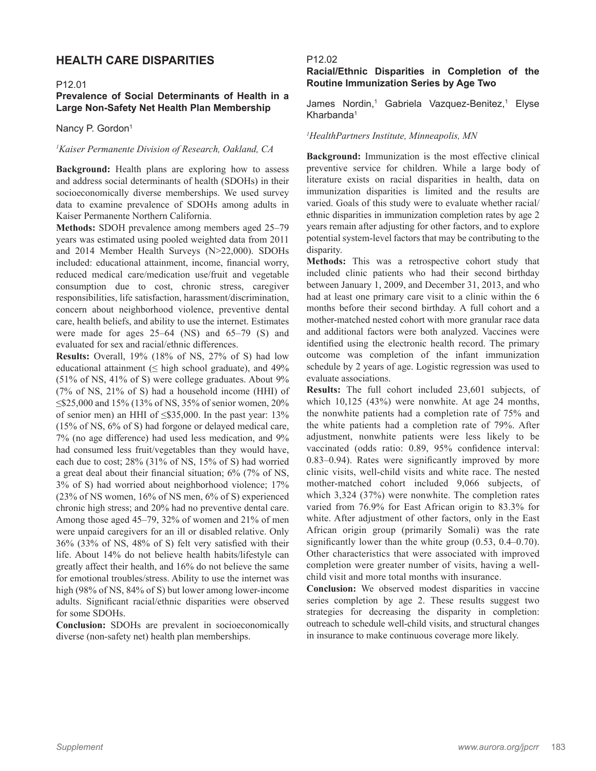# **HEALTH CARE DISPARITIES**

#### P12.01

# **Prevalence of Social Determinants of Health in a Large Non-Safety Net Health Plan Membership**

Nancy P. Gordon<sup>1</sup>

#### *1 Kaiser Permanente Division of Research, Oakland, CA*

**Background:** Health plans are exploring how to assess and address social determinants of health (SDOHs) in their socioeconomically diverse memberships. We used survey data to examine prevalence of SDOHs among adults in Kaiser Permanente Northern California.

**Methods:** SDOH prevalence among members aged 25–79 years was estimated using pooled weighted data from 2011 and 2014 Member Health Surveys (N>22,000). SDOHs included: educational attainment, income, financial worry, reduced medical care/medication use/fruit and vegetable consumption due to cost, chronic stress, caregiver responsibilities, life satisfaction, harassment/discrimination, concern about neighborhood violence, preventive dental care, health beliefs, and ability to use the internet. Estimates were made for ages 25–64 (NS) and 65–79 (S) and evaluated for sex and racial/ethnic differences.

**Results:** Overall, 19% (18% of NS, 27% of S) had low educational attainment ( $\leq$  high school graduate), and 49% (51% of NS, 41% of S) were college graduates. About 9% (7% of NS, 21% of S) had a household income (HHI) of ≤\$25,000 and 15% (13% of NS, 35% of senior women, 20% of senior men) an HHI of  $\leq$ \$35,000. In the past year: 13% (15% of NS, 6% of S) had forgone or delayed medical care, 7% (no age difference) had used less medication, and 9% had consumed less fruit/vegetables than they would have, each due to cost; 28% (31% of NS, 15% of S) had worried a great deal about their financial situation; 6% (7% of NS, 3% of S) had worried about neighborhood violence; 17% (23% of NS women, 16% of NS men, 6% of S) experienced chronic high stress; and 20% had no preventive dental care. Among those aged 45–79, 32% of women and 21% of men were unpaid caregivers for an ill or disabled relative. Only 36% (33% of NS, 48% of S) felt very satisfied with their life. About 14% do not believe health habits/lifestyle can greatly affect their health, and 16% do not believe the same for emotional troubles/stress. Ability to use the internet was high (98% of NS, 84% of S) but lower among lower-income adults. Significant racial/ethnic disparities were observed for some SDOHs.

**Conclusion:** SDOHs are prevalent in socioeconomically diverse (non-safety net) health plan memberships.

#### P12.02

# **Racial/Ethnic Disparities in Completion of the Routine Immunization Series by Age Two**

James Nordin,<sup>1</sup> Gabriela Vazquez-Benitez,<sup>1</sup> Elyse Kharbanda<sup>1</sup>

#### *1 HealthPartners Institute, Minneapolis, MN*

**Background:** Immunization is the most effective clinical preventive service for children. While a large body of literature exists on racial disparities in health, data on immunization disparities is limited and the results are varied. Goals of this study were to evaluate whether racial/ ethnic disparities in immunization completion rates by age 2 years remain after adjusting for other factors, and to explore potential system-level factors that may be contributing to the disparity.

**Methods:** This was a retrospective cohort study that included clinic patients who had their second birthday between January 1, 2009, and December 31, 2013, and who had at least one primary care visit to a clinic within the 6 months before their second birthday. A full cohort and a mother-matched nested cohort with more granular race data and additional factors were both analyzed. Vaccines were identified using the electronic health record. The primary outcome was completion of the infant immunization schedule by 2 years of age. Logistic regression was used to evaluate associations.

**Results:** The full cohort included 23,601 subjects, of which 10,125 (43%) were nonwhite. At age 24 months, the nonwhite patients had a completion rate of 75% and the white patients had a completion rate of 79%. After adjustment, nonwhite patients were less likely to be vaccinated (odds ratio: 0.89, 95% confidence interval: 0.83–0.94). Rates were significantly improved by more clinic visits, well-child visits and white race. The nested mother-matched cohort included 9,066 subjects, of which 3,324 (37%) were nonwhite. The completion rates varied from 76.9% for East African origin to 83.3% for white. After adjustment of other factors, only in the East African origin group (primarily Somali) was the rate significantly lower than the white group (0.53, 0.4–0.70). Other characteristics that were associated with improved completion were greater number of visits, having a wellchild visit and more total months with insurance.

**Conclusion:** We observed modest disparities in vaccine series completion by age 2. These results suggest two strategies for decreasing the disparity in completion: outreach to schedule well-child visits, and structural changes in insurance to make continuous coverage more likely.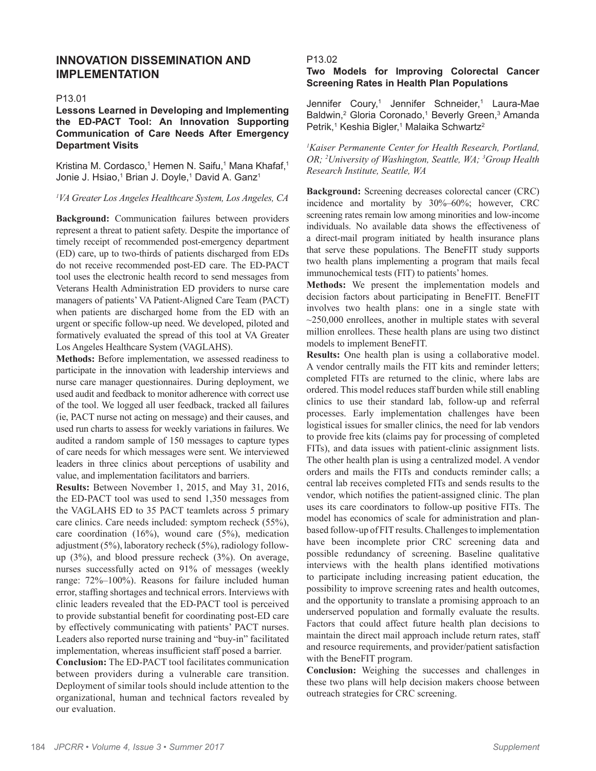# **INNOVATION DISSEMINATION AND IMPLEMENTATION**

#### P13.01

**Lessons Learned in Developing and Implementing the ED-PACT Tool: An Innovation Supporting Communication of Care Needs After Emergency Department Visits**

Kristina M. Cordasco,<sup>1</sup> Hemen N. Saifu,<sup>1</sup> Mana Khafaf,<sup>1</sup> Jonie J. Hsiao,<sup>1</sup> Brian J. Doyle,<sup>1</sup> David A. Ganz<sup>1</sup>

#### *1 VA Greater Los Angeles Healthcare System, Los Angeles, CA*

**Background:** Communication failures between providers represent a threat to patient safety. Despite the importance of timely receipt of recommended post-emergency department (ED) care, up to two-thirds of patients discharged from EDs do not receive recommended post-ED care. The ED-PACT tool uses the electronic health record to send messages from Veterans Health Administration ED providers to nurse care managers of patients' VA Patient-Aligned Care Team (PACT) when patients are discharged home from the ED with an urgent or specific follow-up need. We developed, piloted and formatively evaluated the spread of this tool at VA Greater Los Angeles Healthcare System (VAGLAHS).

**Methods:** Before implementation, we assessed readiness to participate in the innovation with leadership interviews and nurse care manager questionnaires. During deployment, we used audit and feedback to monitor adherence with correct use of the tool. We logged all user feedback, tracked all failures (ie, PACT nurse not acting on message) and their causes, and used run charts to assess for weekly variations in failures. We audited a random sample of 150 messages to capture types of care needs for which messages were sent. We interviewed leaders in three clinics about perceptions of usability and value, and implementation facilitators and barriers.

**Results:** Between November 1, 2015, and May 31, 2016, the ED-PACT tool was used to send 1,350 messages from the VAGLAHS ED to 35 PACT teamlets across 5 primary care clinics. Care needs included: symptom recheck (55%), care coordination (16%), wound care (5%), medication adjustment (5%), laboratory recheck (5%), radiology followup (3%), and blood pressure recheck (3%). On average, nurses successfully acted on 91% of messages (weekly range: 72%–100%). Reasons for failure included human error, staffing shortages and technical errors. Interviews with clinic leaders revealed that the ED-PACT tool is perceived to provide substantial benefit for coordinating post-ED care by effectively communicating with patients' PACT nurses. Leaders also reported nurse training and "buy-in" facilitated implementation, whereas insufficient staff posed a barrier.

**Conclusion:** The ED-PACT tool facilitates communication between providers during a vulnerable care transition. Deployment of similar tools should include attention to the organizational, human and technical factors revealed by our evaluation.

# P13.02

# **Two Models for Improving Colorectal Cancer Screening Rates in Health Plan Populations**

Jennifer Coury,<sup>1</sup> Jennifer Schneider,<sup>1</sup> Laura-Mae Baldwin,<sup>2</sup> Gloria Coronado,<sup>1</sup> Beverly Green,<sup>3</sup> Amanda Petrik,<sup>1</sup> Keshia Bigler,<sup>1</sup> Malaika Schwartz<sup>2</sup>

*1 Kaiser Permanente Center for Health Research, Portland, OR; 2 University of Washington, Seattle, WA; 3 Group Health Research Institute, Seattle, WA*

**Background:** Screening decreases colorectal cancer (CRC) incidence and mortality by 30%–60%; however, CRC screening rates remain low among minorities and low-income individuals. No available data shows the effectiveness of a direct-mail program initiated by health insurance plans that serve these populations. The BeneFIT study supports two health plans implementing a program that mails fecal immunochemical tests (FIT) to patients' homes.

**Methods:** We present the implementation models and decision factors about participating in BeneFIT. BeneFIT involves two health plans: one in a single state with  $\sim$ 250,000 enrollees, another in multiple states with several million enrollees. These health plans are using two distinct models to implement BeneFIT.

**Results:** One health plan is using a collaborative model. A vendor centrally mails the FIT kits and reminder letters; completed FITs are returned to the clinic, where labs are ordered. This model reduces staff burden while still enabling clinics to use their standard lab, follow-up and referral processes. Early implementation challenges have been logistical issues for smaller clinics, the need for lab vendors to provide free kits (claims pay for processing of completed FITs), and data issues with patient-clinic assignment lists. The other health plan is using a centralized model. A vendor orders and mails the FITs and conducts reminder calls; a central lab receives completed FITs and sends results to the vendor, which notifies the patient-assigned clinic. The plan uses its care coordinators to follow-up positive FITs. The model has economics of scale for administration and planbased follow-up of FIT results. Challenges to implementation have been incomplete prior CRC screening data and possible redundancy of screening. Baseline qualitative interviews with the health plans identified motivations to participate including increasing patient education, the possibility to improve screening rates and health outcomes, and the opportunity to translate a promising approach to an underserved population and formally evaluate the results. Factors that could affect future health plan decisions to maintain the direct mail approach include return rates, staff and resource requirements, and provider/patient satisfaction with the BeneFIT program.

**Conclusion:** Weighing the successes and challenges in these two plans will help decision makers choose between outreach strategies for CRC screening.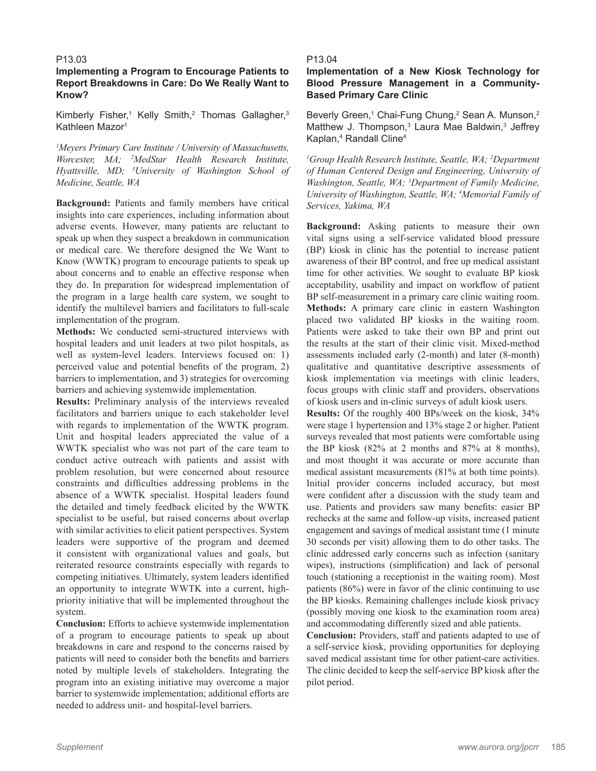# **Implementing a Program to Encourage Patients to Report Breakdowns in Care: Do We Really Want to Know?**

Kimberly Fisher,<sup>1</sup> Kelly Smith,<sup>2</sup> Thomas Gallagher,<sup>3</sup> Kathleen Mazor<sup>1</sup>

*1 Meyers Primary Care Institute / University of Massachusetts, Worcester, MA; 2 MedStar Health Research Institute, Hyattsville, MD; 3 University of Washington School of Medicine, Seattle, WA*

**Background:** Patients and family members have critical insights into care experiences, including information about adverse events. However, many patients are reluctant to speak up when they suspect a breakdown in communication or medical care. We therefore designed the We Want to Know (WWTK) program to encourage patients to speak up about concerns and to enable an effective response when they do. In preparation for widespread implementation of the program in a large health care system, we sought to identify the multilevel barriers and facilitators to full-scale implementation of the program.

**Methods:** We conducted semi-structured interviews with hospital leaders and unit leaders at two pilot hospitals, as well as system-level leaders. Interviews focused on: 1) perceived value and potential benefits of the program, 2) barriers to implementation, and 3) strategies for overcoming barriers and achieving systemwide implementation.

**Results:** Preliminary analysis of the interviews revealed facilitators and barriers unique to each stakeholder level with regards to implementation of the WWTK program. Unit and hospital leaders appreciated the value of a WWTK specialist who was not part of the care team to conduct active outreach with patients and assist with problem resolution, but were concerned about resource constraints and difficulties addressing problems in the absence of a WWTK specialist. Hospital leaders found the detailed and timely feedback elicited by the WWTK specialist to be useful, but raised concerns about overlap with similar activities to elicit patient perspectives. System leaders were supportive of the program and deemed it consistent with organizational values and goals, but reiterated resource constraints especially with regards to competing initiatives. Ultimately, system leaders identified an opportunity to integrate WWTK into a current, highpriority initiative that will be implemented throughout the system.

**Conclusion:** Efforts to achieve systemwide implementation of a program to encourage patients to speak up about breakdowns in care and respond to the concerns raised by patients will need to consider both the benefits and barriers noted by multiple levels of stakeholders. Integrating the program into an existing initiative may overcome a major barrier to systemwide implementation; additional efforts are needed to address unit- and hospital-level barriers.

#### P13.04

# **Implementation of a New Kiosk Technology for Blood Pressure Management in a Community-Based Primary Care Clinic**

Beverly Green,<sup>1</sup> Chai-Fung Chung,<sup>2</sup> Sean A. Munson,<sup>2</sup> Matthew J. Thompson,<sup>3</sup> Laura Mae Baldwin,<sup>3</sup> Jeffrey Kaplan,4 Randall Cline4

<sup>1</sup>Group Health Research Institute, Seattle, WA; <sup>2</sup>Department *of Human Centered Design and Engineering, University of Washington, Seattle, WA; 3 Department of Family Medicine, University of Washington, Seattle, WA; 4 Memorial Family of Services, Yakima, WA*

**Background:** Asking patients to measure their own vital signs using a self-service validated blood pressure (BP) kiosk in clinic has the potential to increase patient awareness of their BP control, and free up medical assistant time for other activities. We sought to evaluate BP kiosk acceptability, usability and impact on workflow of patient BP self-measurement in a primary care clinic waiting room. **Methods:** A primary care clinic in eastern Washington placed two validated BP kiosks in the waiting room. Patients were asked to take their own BP and print out the results at the start of their clinic visit. Mixed-method assessments included early (2-month) and later (8-month) qualitative and quantitative descriptive assessments of kiosk implementation via meetings with clinic leaders, focus groups with clinic staff and providers, observations of kiosk users and in-clinic surveys of adult kiosk users.

**Results:** Of the roughly 400 BPs/week on the kiosk, 34% were stage 1 hypertension and 13% stage 2 or higher. Patient surveys revealed that most patients were comfortable using the BP kiosk (82% at 2 months and 87% at 8 months), and most thought it was accurate or more accurate than medical assistant measurements (81% at both time points). Initial provider concerns included accuracy, but most were confident after a discussion with the study team and use. Patients and providers saw many benefits: easier BP rechecks at the same and follow-up visits, increased patient engagement and savings of medical assistant time (1 minute 30 seconds per visit) allowing them to do other tasks. The clinic addressed early concerns such as infection (sanitary wipes), instructions (simplification) and lack of personal touch (stationing a receptionist in the waiting room). Most patients (86%) were in favor of the clinic continuing to use the BP kiosks. Remaining challenges include kiosk privacy (possibly moving one kiosk to the examination room area) and accommodating differently sized and able patients.

**Conclusion:** Providers, staff and patients adapted to use of a self-service kiosk, providing opportunities for deploying saved medical assistant time for other patient-care activities. The clinic decided to keep the self-service BP kiosk after the pilot period.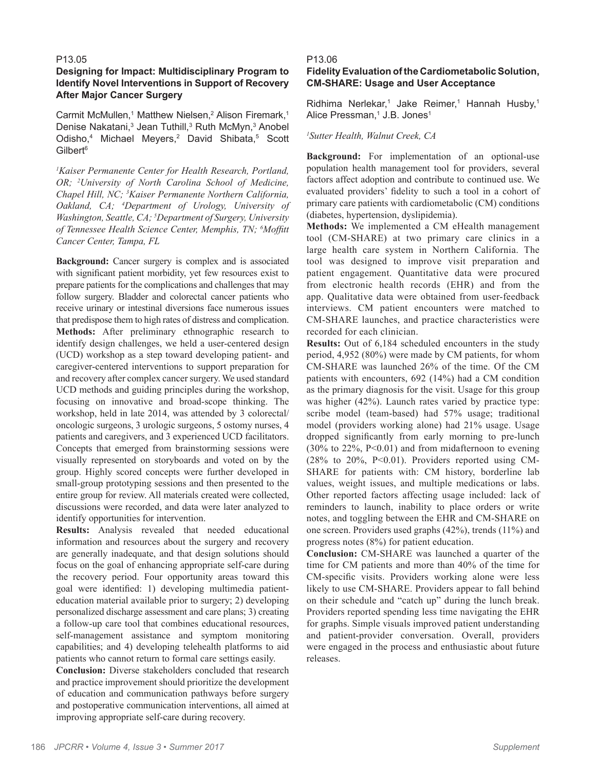# **Designing for Impact: Multidisciplinary Program to Identify Novel Interventions in Support of Recovery After Major Cancer Surgery**

Carmit McMullen,<sup>1</sup> Matthew Nielsen,<sup>2</sup> Alison Firemark,<sup>1</sup> Denise Nakatani,<sup>3</sup> Jean Tuthill,<sup>3</sup> Ruth McMyn,<sup>3</sup> Anobel Odisho,<sup>4</sup> Michael Meyers,<sup>2</sup> David Shibata,<sup>5</sup> Scott Gilbert<sup>6</sup>

*1 Kaiser Permanente Center for Health Research, Portland, OR; 2 University of North Carolina School of Medicine, Chapel Hill, NC; 3 Kaiser Permanente Northern California, Oakland, CA; 4 Department of Urology, University of Washington, Seattle, CA; 5 Department of Surgery, University of Tennessee Health Science Center, Memphis, TN; 6 Moffitt Cancer Center, Tampa, FL*

**Background:** Cancer surgery is complex and is associated with significant patient morbidity, yet few resources exist to prepare patients for the complications and challenges that may follow surgery. Bladder and colorectal cancer patients who receive urinary or intestinal diversions face numerous issues that predispose them to high rates of distress and complication. **Methods:** After preliminary ethnographic research to identify design challenges, we held a user-centered design (UCD) workshop as a step toward developing patient- and caregiver-centered interventions to support preparation for and recovery after complex cancer surgery. We used standard UCD methods and guiding principles during the workshop, focusing on innovative and broad-scope thinking. The workshop, held in late 2014, was attended by 3 colorectal/ oncologic surgeons, 3 urologic surgeons, 5 ostomy nurses, 4 patients and caregivers, and 3 experienced UCD facilitators. Concepts that emerged from brainstorming sessions were visually represented on storyboards and voted on by the group. Highly scored concepts were further developed in small-group prototyping sessions and then presented to the entire group for review. All materials created were collected, discussions were recorded, and data were later analyzed to identify opportunities for intervention.

**Results:** Analysis revealed that needed educational information and resources about the surgery and recovery are generally inadequate, and that design solutions should focus on the goal of enhancing appropriate self-care during the recovery period. Four opportunity areas toward this goal were identified: 1) developing multimedia patienteducation material available prior to surgery; 2) developing personalized discharge assessment and care plans; 3) creating a follow-up care tool that combines educational resources, self-management assistance and symptom monitoring capabilities; and 4) developing telehealth platforms to aid patients who cannot return to formal care settings easily.

**Conclusion:** Diverse stakeholders concluded that research and practice improvement should prioritize the development of education and communication pathways before surgery and postoperative communication interventions, all aimed at improving appropriate self-care during recovery.

#### P13.06

# **Fidelity Evaluation of the Cardiometabolic Solution, CM-SHARE: Usage and User Acceptance**

Ridhima Nerlekar,<sup>1</sup> Jake Reimer,<sup>1</sup> Hannah Husby,<sup>1</sup> Alice Pressman,<sup>1</sup> J.B. Jones<sup>1</sup>

#### *1 Sutter Health, Walnut Creek, CA*

**Background:** For implementation of an optional-use population health management tool for providers, several factors affect adoption and contribute to continued use. We evaluated providers' fidelity to such a tool in a cohort of primary care patients with cardiometabolic (CM) conditions (diabetes, hypertension, dyslipidemia).

**Methods:** We implemented a CM eHealth management tool (CM-SHARE) at two primary care clinics in a large health care system in Northern California. The tool was designed to improve visit preparation and patient engagement. Quantitative data were procured from electronic health records (EHR) and from the app. Qualitative data were obtained from user-feedback interviews. CM patient encounters were matched to CM-SHARE launches, and practice characteristics were recorded for each clinician.

**Results:** Out of 6,184 scheduled encounters in the study period, 4,952 (80%) were made by CM patients, for whom CM-SHARE was launched 26% of the time. Of the CM patients with encounters, 692 (14%) had a CM condition as the primary diagnosis for the visit. Usage for this group was higher (42%). Launch rates varied by practice type: scribe model (team-based) had 57% usage; traditional model (providers working alone) had 21% usage. Usage dropped significantly from early morning to pre-lunch  $(30\%$  to  $22\%$ , P<0.01) and from midafternoon to evening (28% to 20%, P<0.01). Providers reported using CM-SHARE for patients with: CM history, borderline lab values, weight issues, and multiple medications or labs. Other reported factors affecting usage included: lack of reminders to launch, inability to place orders or write notes, and toggling between the EHR and CM-SHARE on one screen. Providers used graphs (42%), trends (11%) and progress notes (8%) for patient education.

**Conclusion:** CM-SHARE was launched a quarter of the time for CM patients and more than 40% of the time for CM-specific visits. Providers working alone were less likely to use CM-SHARE. Providers appear to fall behind on their schedule and "catch up" during the lunch break. Providers reported spending less time navigating the EHR for graphs. Simple visuals improved patient understanding and patient-provider conversation. Overall, providers were engaged in the process and enthusiastic about future releases.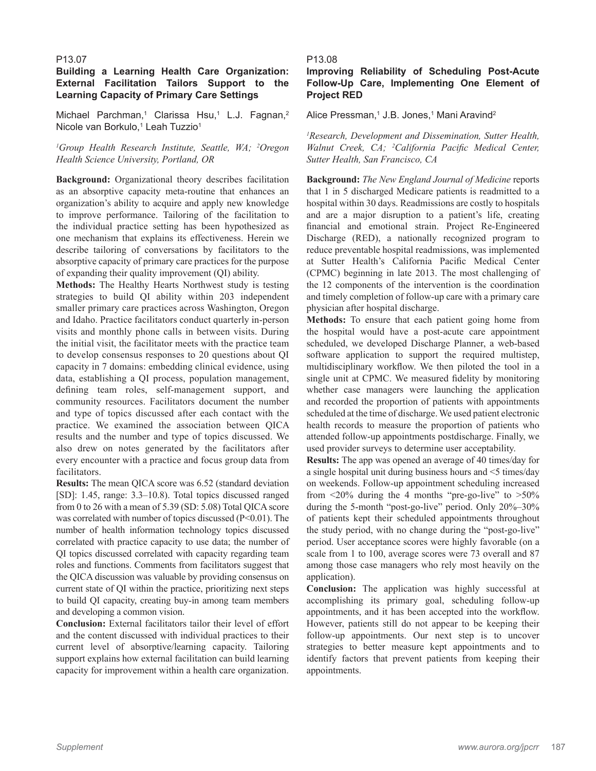# **Building a Learning Health Care Organization: External Facilitation Tailors Support to the Learning Capacity of Primary Care Settings**

Michael Parchman,<sup>1</sup> Clarissa Hsu,<sup>1</sup> L.J. Fagnan,<sup>2</sup> Nicole van Borkulo,<sup>1</sup> Leah Tuzzio<sup>1</sup>

# <sup>1</sup>Group Health Research Institute, Seattle, WA; <sup>2</sup>Oregon *Health Science University, Portland, OR*

**Background:** Organizational theory describes facilitation as an absorptive capacity meta-routine that enhances an organization's ability to acquire and apply new knowledge to improve performance. Tailoring of the facilitation to the individual practice setting has been hypothesized as one mechanism that explains its effectiveness. Herein we describe tailoring of conversations by facilitators to the absorptive capacity of primary care practices for the purpose of expanding their quality improvement (QI) ability.

**Methods:** The Healthy Hearts Northwest study is testing strategies to build QI ability within 203 independent smaller primary care practices across Washington, Oregon and Idaho. Practice facilitators conduct quarterly in-person visits and monthly phone calls in between visits. During the initial visit, the facilitator meets with the practice team to develop consensus responses to 20 questions about QI capacity in 7 domains: embedding clinical evidence, using data, establishing a QI process, population management, defining team roles, self-management support, and community resources. Facilitators document the number and type of topics discussed after each contact with the practice. We examined the association between QICA results and the number and type of topics discussed. We also drew on notes generated by the facilitators after every encounter with a practice and focus group data from facilitators.

**Results:** The mean QICA score was 6.52 (standard deviation [SD]: 1.45, range: 3.3–10.8). Total topics discussed ranged from 0 to 26 with a mean of 5.39 (SD: 5.08) Total QICA score was correlated with number of topics discussed (P<0.01). The number of health information technology topics discussed correlated with practice capacity to use data; the number of QI topics discussed correlated with capacity regarding team roles and functions. Comments from facilitators suggest that the QICA discussion was valuable by providing consensus on current state of QI within the practice, prioritizing next steps to build QI capacity, creating buy-in among team members and developing a common vision.

**Conclusion:** External facilitators tailor their level of effort and the content discussed with individual practices to their current level of absorptive/learning capacity. Tailoring support explains how external facilitation can build learning capacity for improvement within a health care organization.

## P13.08

# **Improving Reliability of Scheduling Post-Acute Follow-Up Care, Implementing One Element of Project RED**

Alice Pressman,<sup>1</sup> J.B. Jones,<sup>1</sup> Mani Aravind<sup>2</sup>

*1 Research, Development and Dissemination, Sutter Health, Walnut Creek, CA; 2 California Pacific Medical Center, Sutter Health, San Francisco, CA*

**Background:** *The New England Journal of Medicine* reports that 1 in 5 discharged Medicare patients is readmitted to a hospital within 30 days. Readmissions are costly to hospitals and are a major disruption to a patient's life, creating financial and emotional strain. Project Re-Engineered Discharge (RED), a nationally recognized program to reduce preventable hospital readmissions, was implemented at Sutter Health's California Pacific Medical Center (CPMC) beginning in late 2013. The most challenging of the 12 components of the intervention is the coordination and timely completion of follow-up care with a primary care physician after hospital discharge.

**Methods:** To ensure that each patient going home from the hospital would have a post-acute care appointment scheduled, we developed Discharge Planner, a web-based software application to support the required multistep, multidisciplinary workflow. We then piloted the tool in a single unit at CPMC. We measured fidelity by monitoring whether case managers were launching the application and recorded the proportion of patients with appointments scheduled at the time of discharge. We used patient electronic health records to measure the proportion of patients who attended follow-up appointments postdischarge. Finally, we used provider surveys to determine user acceptability.

**Results:** The app was opened an average of 40 times/day for a single hospital unit during business hours and <5 times/day on weekends. Follow-up appointment scheduling increased from  $\leq$ 20% during the 4 months "pre-go-live" to  $\geq$ 50% during the 5-month "post-go-live" period. Only 20%–30% of patients kept their scheduled appointments throughout the study period, with no change during the "post-go-live" period. User acceptance scores were highly favorable (on a scale from 1 to 100, average scores were 73 overall and 87 among those case managers who rely most heavily on the application).

**Conclusion:** The application was highly successful at accomplishing its primary goal, scheduling follow-up appointments, and it has been accepted into the workflow. However, patients still do not appear to be keeping their follow-up appointments. Our next step is to uncover strategies to better measure kept appointments and to identify factors that prevent patients from keeping their appointments.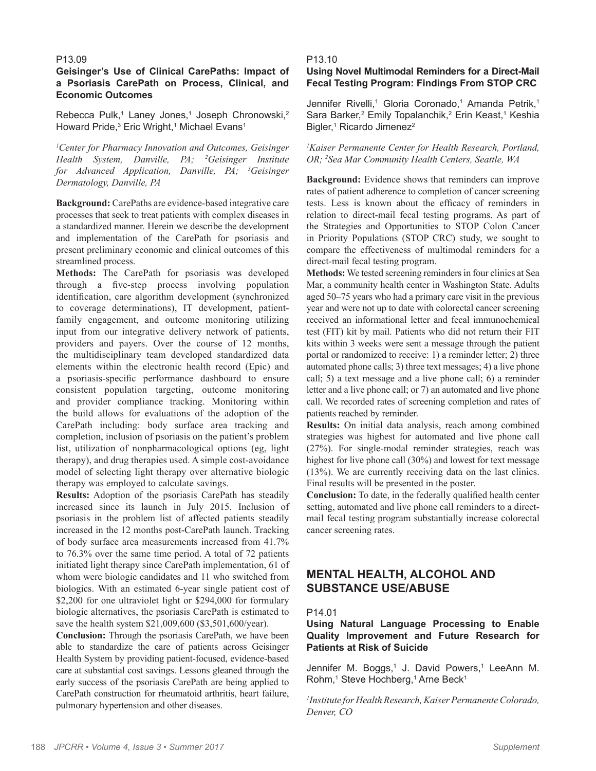# **Geisinger's Use of Clinical CarePaths: Impact of a Psoriasis CarePath on Process, Clinical, and Economic Outcomes**

Rebecca Pulk,<sup>1</sup> Laney Jones,<sup>1</sup> Joseph Chronowski,<sup>2</sup> Howard Pride,<sup>3</sup> Eric Wright,<sup>1</sup> Michael Evans<sup>1</sup>

*1 Center for Pharmacy Innovation and Outcomes, Geisinger Health System, Danville, PA; 2 Geisinger Institute for Advanced Application, Danville, PA; 3 Geisinger Dermatology, Danville, PA*

**Background:** CarePaths are evidence-based integrative care processes that seek to treat patients with complex diseases in a standardized manner. Herein we describe the development and implementation of the CarePath for psoriasis and present preliminary economic and clinical outcomes of this streamlined process.

**Methods:** The CarePath for psoriasis was developed through a five-step process involving population identification, care algorithm development (synchronized to coverage determinations), IT development, patientfamily engagement, and outcome monitoring utilizing input from our integrative delivery network of patients, providers and payers. Over the course of 12 months, the multidisciplinary team developed standardized data elements within the electronic health record (Epic) and a psoriasis-specific performance dashboard to ensure consistent population targeting, outcome monitoring and provider compliance tracking. Monitoring within the build allows for evaluations of the adoption of the CarePath including: body surface area tracking and completion, inclusion of psoriasis on the patient's problem list, utilization of nonpharmacological options (eg, light therapy), and drug therapies used. A simple cost-avoidance model of selecting light therapy over alternative biologic therapy was employed to calculate savings.

**Results:** Adoption of the psoriasis CarePath has steadily increased since its launch in July 2015. Inclusion of psoriasis in the problem list of affected patients steadily increased in the 12 months post-CarePath launch. Tracking of body surface area measurements increased from 41.7% to 76.3% over the same time period. A total of 72 patients initiated light therapy since CarePath implementation, 61 of whom were biologic candidates and 11 who switched from biologics. With an estimated 6-year single patient cost of \$2,200 for one ultraviolet light or \$294,000 for formulary biologic alternatives, the psoriasis CarePath is estimated to save the health system \$21,009,600 (\$3,501,600/year).

**Conclusion:** Through the psoriasis CarePath, we have been able to standardize the care of patients across Geisinger Health System by providing patient-focused, evidence-based care at substantial cost savings. Lessons gleaned through the early success of the psoriasis CarePath are being applied to CarePath construction for rheumatoid arthritis, heart failure, pulmonary hypertension and other diseases.

#### P13.10

# **Using Novel Multimodal Reminders for a Direct-Mail Fecal Testing Program: Findings From STOP CRC**

Jennifer Rivelli,<sup>1</sup> Gloria Coronado,<sup>1</sup> Amanda Petrik,<sup>1</sup> Sara Barker,<sup>2</sup> Emily Topalanchik,<sup>2</sup> Erin Keast,<sup>1</sup> Keshia Bigler,<sup>1</sup> Ricardo Jimenez<sup>2</sup>

*1 Kaiser Permanente Center for Health Research, Portland, OR; 2 Sea Mar Community Health Centers, Seattle, WA*

**Background:** Evidence shows that reminders can improve rates of patient adherence to completion of cancer screening tests. Less is known about the efficacy of reminders in relation to direct-mail fecal testing programs. As part of the Strategies and Opportunities to STOP Colon Cancer in Priority Populations (STOP CRC) study, we sought to compare the effectiveness of multimodal reminders for a direct-mail fecal testing program.

**Methods:** We tested screening reminders in four clinics at Sea Mar, a community health center in Washington State. Adults aged 50–75 years who had a primary care visit in the previous year and were not up to date with colorectal cancer screening received an informational letter and fecal immunochemical test (FIT) kit by mail. Patients who did not return their FIT kits within 3 weeks were sent a message through the patient portal or randomized to receive: 1) a reminder letter; 2) three automated phone calls; 3) three text messages; 4) a live phone call; 5) a text message and a live phone call; 6) a reminder letter and a live phone call; or 7) an automated and live phone call. We recorded rates of screening completion and rates of patients reached by reminder.

**Results:** On initial data analysis, reach among combined strategies was highest for automated and live phone call (27%). For single-modal reminder strategies, reach was highest for live phone call (30%) and lowest for text message (13%). We are currently receiving data on the last clinics. Final results will be presented in the poster.

**Conclusion:** To date, in the federally qualified health center setting, automated and live phone call reminders to a directmail fecal testing program substantially increase colorectal cancer screening rates.

# **MENTAL HEALTH, ALCOHOL AND SUBSTANCE USE/ABUSE**

# P14.01

# **Using Natural Language Processing to Enable Quality Improvement and Future Research for Patients at Risk of Suicide**

Jennifer M. Boggs,<sup>1</sup> J. David Powers,<sup>1</sup> LeeAnn M. Rohm,1 Steve Hochberg,1 Arne Beck1

*1 Institute for Health Research, Kaiser Permanente Colorado, Denver, CO*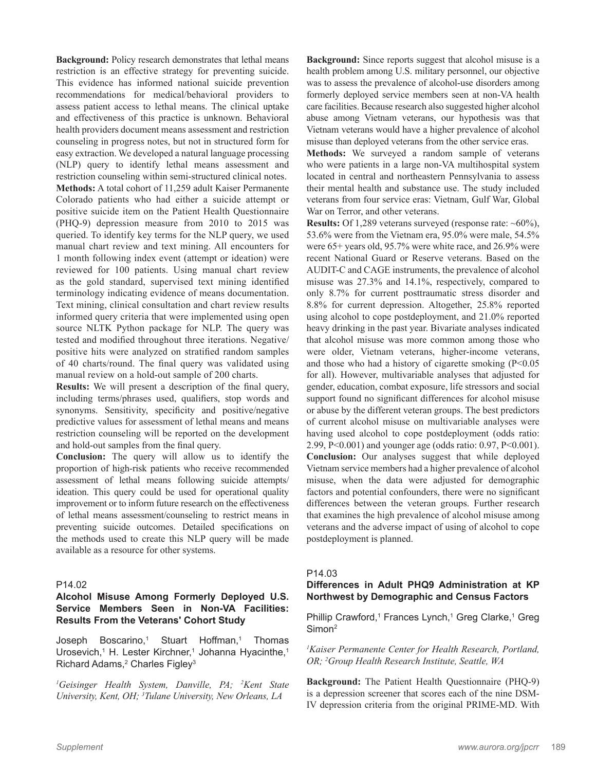**Background:** Policy research demonstrates that lethal means restriction is an effective strategy for preventing suicide. This evidence has informed national suicide prevention recommendations for medical/behavioral providers to assess patient access to lethal means. The clinical uptake and effectiveness of this practice is unknown. Behavioral health providers document means assessment and restriction counseling in progress notes, but not in structured form for easy extraction. We developed a natural language processing (NLP) query to identify lethal means assessment and restriction counseling within semi-structured clinical notes. **Methods:** A total cohort of 11,259 adult Kaiser Permanente Colorado patients who had either a suicide attempt or positive suicide item on the Patient Health Questionnaire (PHQ-9) depression measure from 2010 to 2015 was queried. To identify key terms for the NLP query, we used manual chart review and text mining. All encounters for 1 month following index event (attempt or ideation) were reviewed for 100 patients. Using manual chart review as the gold standard, supervised text mining identified terminology indicating evidence of means documentation. Text mining, clinical consultation and chart review results informed query criteria that were implemented using open source NLTK Python package for NLP. The query was tested and modified throughout three iterations. Negative/ positive hits were analyzed on stratified random samples of 40 charts/round. The final query was validated using manual review on a hold-out sample of 200 charts.

**Results:** We will present a description of the final query, including terms/phrases used, qualifiers, stop words and synonyms. Sensitivity, specificity and positive/negative predictive values for assessment of lethal means and means restriction counseling will be reported on the development and hold-out samples from the final query.

**Conclusion:** The query will allow us to identify the proportion of high-risk patients who receive recommended assessment of lethal means following suicide attempts/ ideation. This query could be used for operational quality improvement or to inform future research on the effectiveness of lethal means assessment/counseling to restrict means in preventing suicide outcomes. Detailed specifications on the methods used to create this NLP query will be made available as a resource for other systems.

#### P14.02

# **Alcohol Misuse Among Formerly Deployed U.S. Service Members Seen in Non-VA Facilities: Results From the Veterans' Cohort Study**

Joseph Boscarino,<sup>1</sup> Stuart Hoffman,<sup>1</sup> Thomas Urosevich,<sup>1</sup> H. Lester Kirchner,<sup>1</sup> Johanna Hyacinthe,<sup>1</sup> Richard Adams,<sup>2</sup> Charles Figley<sup>3</sup>

*1 Geisinger Health System, Danville, PA; 2 Kent State University, Kent, OH; 3 Tulane University, New Orleans, LA*

**Background:** Since reports suggest that alcohol misuse is a health problem among U.S. military personnel, our objective was to assess the prevalence of alcohol-use disorders among formerly deployed service members seen at non-VA health care facilities. Because research also suggested higher alcohol abuse among Vietnam veterans, our hypothesis was that Vietnam veterans would have a higher prevalence of alcohol misuse than deployed veterans from the other service eras.

**Methods:** We surveyed a random sample of veterans who were patients in a large non-VA multihospital system located in central and northeastern Pennsylvania to assess their mental health and substance use. The study included veterans from four service eras: Vietnam, Gulf War, Global War on Terror, and other veterans.

**Results:** Of 1,289 veterans surveyed (response rate: ~60%), 53.6% were from the Vietnam era, 95.0% were male, 54.5% were 65+ years old, 95.7% were white race, and 26.9% were recent National Guard or Reserve veterans. Based on the AUDIT-C and CAGE instruments, the prevalence of alcohol misuse was 27.3% and 14.1%, respectively, compared to only 8.7% for current posttraumatic stress disorder and 8.8% for current depression. Altogether, 25.8% reported using alcohol to cope postdeployment, and 21.0% reported heavy drinking in the past year. Bivariate analyses indicated that alcohol misuse was more common among those who were older, Vietnam veterans, higher-income veterans, and those who had a history of cigarette smoking (P<0.05 for all). However, multivariable analyses that adjusted for gender, education, combat exposure, life stressors and social support found no significant differences for alcohol misuse or abuse by the different veteran groups. The best predictors of current alcohol misuse on multivariable analyses were having used alcohol to cope postdeployment (odds ratio: 2.99, P<0.001) and younger age (odds ratio: 0.97, P<0.001). **Conclusion:** Our analyses suggest that while deployed Vietnam service members had a higher prevalence of alcohol misuse, when the data were adjusted for demographic factors and potential confounders, there were no significant differences between the veteran groups. Further research that examines the high prevalence of alcohol misuse among veterans and the adverse impact of using of alcohol to cope postdeployment is planned.

# P14.03

**Differences in Adult PHQ9 Administration at KP Northwest by Demographic and Census Factors**

Phillip Crawford,<sup>1</sup> Frances Lynch,<sup>1</sup> Greg Clarke,<sup>1</sup> Greg Simon<sup>2</sup>

*1 Kaiser Permanente Center for Health Research, Portland, OR; 2 Group Health Research Institute, Seattle, WA*

**Background:** The Patient Health Questionnaire (PHQ-9) is a depression screener that scores each of the nine DSM-IV depression criteria from the original PRIME-MD. With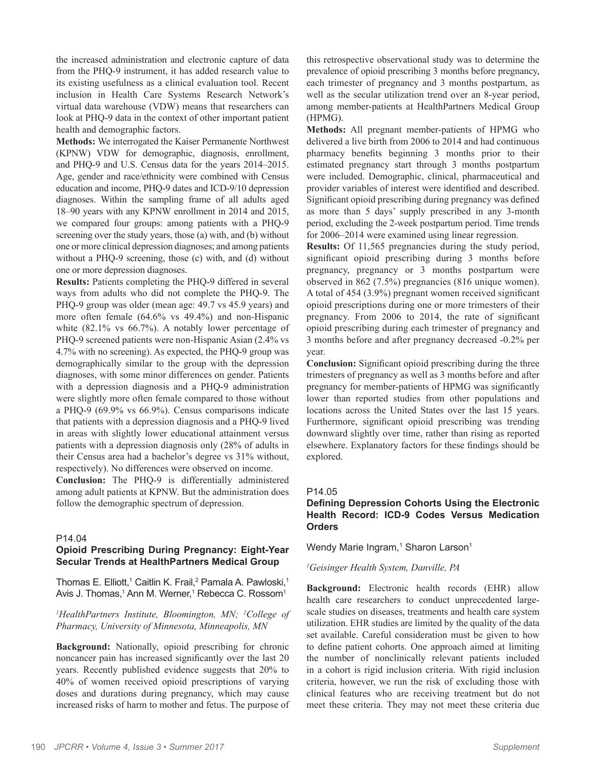the increased administration and electronic capture of data from the PHQ-9 instrument, it has added research value to its existing usefulness as a clinical evaluation tool. Recent inclusion in Health Care Systems Research Network's virtual data warehouse (VDW) means that researchers can look at PHQ-9 data in the context of other important patient health and demographic factors.

**Methods:** We interrogated the Kaiser Permanente Northwest (KPNW) VDW for demographic, diagnosis, enrollment, and PHQ-9 and U.S. Census data for the years 2014–2015. Age, gender and race/ethnicity were combined with Census education and income, PHQ-9 dates and ICD-9/10 depression diagnoses. Within the sampling frame of all adults aged 18–90 years with any KPNW enrollment in 2014 and 2015, we compared four groups: among patients with a PHQ-9 screening over the study years, those (a) with, and (b) without one or more clinical depression diagnoses; and among patients without a PHQ-9 screening, those (c) with, and (d) without one or more depression diagnoses.

**Results:** Patients completing the PHQ-9 differed in several ways from adults who did not complete the PHQ-9. The PHQ-9 group was older (mean age: 49.7 vs 45.9 years) and more often female (64.6% vs 49.4%) and non-Hispanic white  $(82.1\% \text{ vs } 66.7\%)$ . A notably lower percentage of PHQ-9 screened patients were non-Hispanic Asian (2.4% vs 4.7% with no screening). As expected, the PHQ-9 group was demographically similar to the group with the depression diagnoses, with some minor differences on gender. Patients with a depression diagnosis and a PHQ-9 administration were slightly more often female compared to those without a PHQ-9 (69.9% vs 66.9%). Census comparisons indicate that patients with a depression diagnosis and a PHQ-9 lived in areas with slightly lower educational attainment versus patients with a depression diagnosis only (28% of adults in their Census area had a bachelor's degree vs 31% without, respectively). No differences were observed on income.

**Conclusion:** The PHQ-9 is differentially administered among adult patients at KPNW. But the administration does follow the demographic spectrum of depression.

#### P14.04

# **Opioid Prescribing During Pregnancy: Eight-Year Secular Trends at HealthPartners Medical Group**

Thomas E. Elliott,<sup>1</sup> Caitlin K. Frail,<sup>2</sup> Pamala A. Pawloski,<sup>1</sup> Avis J. Thomas,<sup>1</sup> Ann M. Werner,<sup>1</sup> Rebecca C. Rossom<sup>1</sup>

*1 HealthPartners Institute, Bloomington, MN; 2 College of Pharmacy, University of Minnesota, Minneapolis, MN*

**Background:** Nationally, opioid prescribing for chronic noncancer pain has increased significantly over the last 20 years. Recently published evidence suggests that 20% to 40% of women received opioid prescriptions of varying doses and durations during pregnancy, which may cause increased risks of harm to mother and fetus. The purpose of this retrospective observational study was to determine the prevalence of opioid prescribing 3 months before pregnancy, each trimester of pregnancy and 3 months postpartum, as well as the secular utilization trend over an 8-year period, among member-patients at HealthPartners Medical Group (HPMG).

**Methods:** All pregnant member-patients of HPMG who delivered a live birth from 2006 to 2014 and had continuous pharmacy benefits beginning 3 months prior to their estimated pregnancy start through 3 months postpartum were included. Demographic, clinical, pharmaceutical and provider variables of interest were identified and described. Significant opioid prescribing during pregnancy was defined as more than 5 days' supply prescribed in any 3-month period, excluding the 2-week postpartum period. Time trends for 2006–2014 were examined using linear regression.

**Results:** Of 11,565 pregnancies during the study period, significant opioid prescribing during 3 months before pregnancy, pregnancy or 3 months postpartum were observed in 862 (7.5%) pregnancies (816 unique women). A total of 454 (3.9%) pregnant women received significant opioid prescriptions during one or more trimesters of their pregnancy. From 2006 to 2014, the rate of significant opioid prescribing during each trimester of pregnancy and 3 months before and after pregnancy decreased -0.2% per year.

**Conclusion:** Significant opioid prescribing during the three trimesters of pregnancy as well as 3 months before and after pregnancy for member-patients of HPMG was significantly lower than reported studies from other populations and locations across the United States over the last 15 years. Furthermore, significant opioid prescribing was trending downward slightly over time, rather than rising as reported elsewhere. Explanatory factors for these findings should be explored.

# P14.05

# **Defining Depression Cohorts Using the Electronic Health Record: ICD-9 Codes Versus Medication Orders**

Wendy Marie Ingram,<sup>1</sup> Sharon Larson<sup>1</sup>

# *1 Geisinger Health System, Danville, PA*

**Background:** Electronic health records (EHR) allow health care researchers to conduct unprecedented largescale studies on diseases, treatments and health care system utilization. EHR studies are limited by the quality of the data set available. Careful consideration must be given to how to define patient cohorts. One approach aimed at limiting the number of nonclinically relevant patients included in a cohort is rigid inclusion criteria. With rigid inclusion criteria, however, we run the risk of excluding those with clinical features who are receiving treatment but do not meet these criteria. They may not meet these criteria due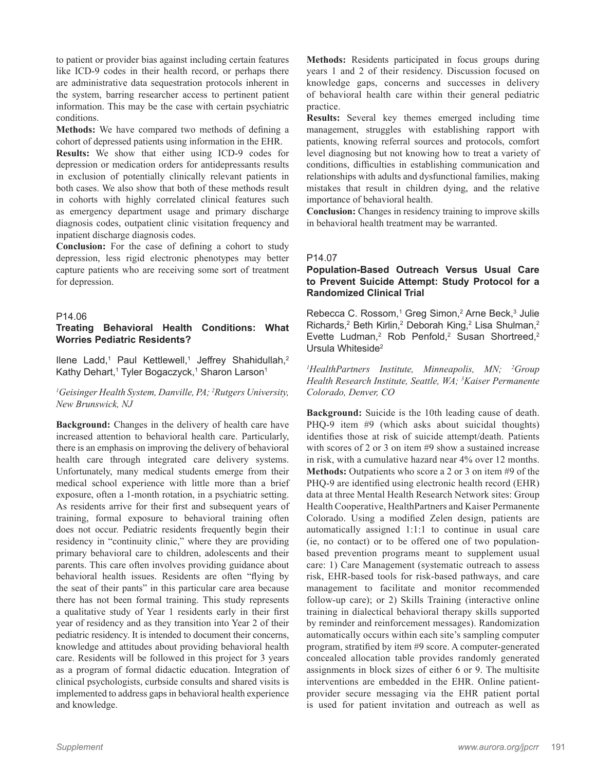to patient or provider bias against including certain features like ICD-9 codes in their health record, or perhaps there are administrative data sequestration protocols inherent in the system, barring researcher access to pertinent patient information. This may be the case with certain psychiatric conditions.

**Methods:** We have compared two methods of defining a cohort of depressed patients using information in the EHR.

**Results:** We show that either using ICD-9 codes for depression or medication orders for antidepressants results in exclusion of potentially clinically relevant patients in both cases. We also show that both of these methods result in cohorts with highly correlated clinical features such as emergency department usage and primary discharge diagnosis codes, outpatient clinic visitation frequency and inpatient discharge diagnosis codes.

**Conclusion:** For the case of defining a cohort to study depression, less rigid electronic phenotypes may better capture patients who are receiving some sort of treatment for depression.

#### P14.06

# **Treating Behavioral Health Conditions: What Worries Pediatric Residents?**

Ilene Ladd,<sup>1</sup> Paul Kettlewell,<sup>1</sup> Jeffrey Shahidullah,<sup>2</sup> Kathy Dehart,<sup>1</sup> Tyler Bogaczyck,<sup>1</sup> Sharon Larson<sup>1</sup>

#### *1 Geisinger Health System, Danville, PA; 2 Rutgers University, New Brunswick, NJ*

**Background:** Changes in the delivery of health care have increased attention to behavioral health care. Particularly, there is an emphasis on improving the delivery of behavioral health care through integrated care delivery systems. Unfortunately, many medical students emerge from their medical school experience with little more than a brief exposure, often a 1-month rotation, in a psychiatric setting. As residents arrive for their first and subsequent years of training, formal exposure to behavioral training often does not occur. Pediatric residents frequently begin their residency in "continuity clinic," where they are providing primary behavioral care to children, adolescents and their parents. This care often involves providing guidance about behavioral health issues. Residents are often "flying by the seat of their pants" in this particular care area because there has not been formal training. This study represents a qualitative study of Year 1 residents early in their first year of residency and as they transition into Year 2 of their pediatric residency. It is intended to document their concerns, knowledge and attitudes about providing behavioral health care. Residents will be followed in this project for 3 years as a program of formal didactic education. Integration of clinical psychologists, curbside consults and shared visits is implemented to address gaps in behavioral health experience and knowledge.

**Methods:** Residents participated in focus groups during years 1 and 2 of their residency. Discussion focused on knowledge gaps, concerns and successes in delivery of behavioral health care within their general pediatric practice.

**Results:** Several key themes emerged including time management, struggles with establishing rapport with patients, knowing referral sources and protocols, comfort level diagnosing but not knowing how to treat a variety of conditions, difficulties in establishing communication and relationships with adults and dysfunctional families, making mistakes that result in children dying, and the relative importance of behavioral health.

**Conclusion:** Changes in residency training to improve skills in behavioral health treatment may be warranted.

#### P14.07

# **Population-Based Outreach Versus Usual Care to Prevent Suicide Attempt: Study Protocol for a Randomized Clinical Trial**

Rebecca C. Rossom,<sup>1</sup> Greg Simon,<sup>2</sup> Arne Beck,<sup>3</sup> Julie Richards,<sup>2</sup> Beth Kirlin,<sup>2</sup> Deborah King,<sup>2</sup> Lisa Shulman,<sup>2</sup> Evette Ludman,<sup>2</sup> Rob Penfold,<sup>2</sup> Susan Shortreed,<sup>2</sup> Ursula Whiteside2

*1 HealthPartners Institute, Minneapolis, MN; 2 Group Health Research Institute, Seattle, WA; 3 Kaiser Permanente Colorado, Denver, CO*

**Background:** Suicide is the 10th leading cause of death. PHQ-9 item #9 (which asks about suicidal thoughts) identifies those at risk of suicide attempt/death. Patients with scores of 2 or 3 on item #9 show a sustained increase in risk, with a cumulative hazard near 4% over 12 months. **Methods:** Outpatients who score a 2 or 3 on item #9 of the PHQ-9 are identified using electronic health record (EHR) data at three Mental Health Research Network sites: Group Health Cooperative, HealthPartners and Kaiser Permanente Colorado. Using a modified Zelen design, patients are automatically assigned 1:1:1 to continue in usual care (ie, no contact) or to be offered one of two populationbased prevention programs meant to supplement usual care: 1) Care Management (systematic outreach to assess risk, EHR-based tools for risk-based pathways, and care management to facilitate and monitor recommended follow-up care); or 2) Skills Training (interactive online training in dialectical behavioral therapy skills supported by reminder and reinforcement messages). Randomization automatically occurs within each site's sampling computer program, stratified by item #9 score. A computer-generated concealed allocation table provides randomly generated assignments in block sizes of either 6 or 9. The multisite interventions are embedded in the EHR. Online patientprovider secure messaging via the EHR patient portal is used for patient invitation and outreach as well as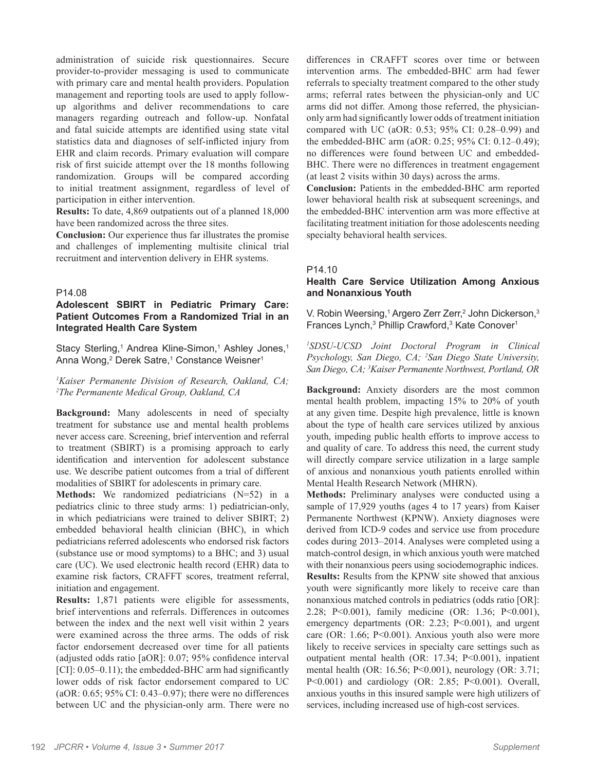administration of suicide risk questionnaires. Secure provider-to-provider messaging is used to communicate with primary care and mental health providers. Population management and reporting tools are used to apply followup algorithms and deliver recommendations to care managers regarding outreach and follow-up. Nonfatal and fatal suicide attempts are identified using state vital statistics data and diagnoses of self-inflicted injury from EHR and claim records. Primary evaluation will compare risk of first suicide attempt over the 18 months following randomization. Groups will be compared according to initial treatment assignment, regardless of level of participation in either intervention.

**Results:** To date, 4,869 outpatients out of a planned 18,000 have been randomized across the three sites.

**Conclusion:** Our experience thus far illustrates the promise and challenges of implementing multisite clinical trial recruitment and intervention delivery in EHR systems.

#### P14.08

# **Adolescent SBIRT in Pediatric Primary Care: Patient Outcomes From a Randomized Trial in an Integrated Health Care System**

Stacy Sterling,<sup>1</sup> Andrea Kline-Simon,<sup>1</sup> Ashley Jones,<sup>1</sup> Anna Wong,<sup>2</sup> Derek Satre,<sup>1</sup> Constance Weisner<sup>1</sup>

*1 Kaiser Permanente Division of Research, Oakland, CA; 2 The Permanente Medical Group, Oakland, CA*

**Background:** Many adolescents in need of specialty treatment for substance use and mental health problems never access care. Screening, brief intervention and referral to treatment (SBIRT) is a promising approach to early identification and intervention for adolescent substance use. We describe patient outcomes from a trial of different modalities of SBIRT for adolescents in primary care.

**Methods:** We randomized pediatricians (N=52) in a pediatrics clinic to three study arms: 1) pediatrician-only, in which pediatricians were trained to deliver SBIRT; 2) embedded behavioral health clinician (BHC), in which pediatricians referred adolescents who endorsed risk factors (substance use or mood symptoms) to a BHC; and 3) usual care (UC). We used electronic health record (EHR) data to examine risk factors, CRAFFT scores, treatment referral, initiation and engagement.

**Results:** 1,871 patients were eligible for assessments, brief interventions and referrals. Differences in outcomes between the index and the next well visit within 2 years were examined across the three arms. The odds of risk factor endorsement decreased over time for all patients (adjusted odds ratio [aOR]: 0.07; 95% confidence interval  $[CI]: 0.05-0.11$ ; the embedded-BHC arm had significantly lower odds of risk factor endorsement compared to UC (aOR: 0.65; 95% CI: 0.43–0.97); there were no differences between UC and the physician-only arm. There were no differences in CRAFFT scores over time or between intervention arms. The embedded-BHC arm had fewer referrals to specialty treatment compared to the other study arms; referral rates between the physician-only and UC arms did not differ. Among those referred, the physicianonly arm had significantly lower odds of treatment initiation compared with UC (aOR: 0.53; 95% CI: 0.28–0.99) and the embedded-BHC arm (aOR: 0.25; 95% CI: 0.12–0.49); no differences were found between UC and embedded-BHC. There were no differences in treatment engagement (at least 2 visits within 30 days) across the arms.

**Conclusion:** Patients in the embedded-BHC arm reported lower behavioral health risk at subsequent screenings, and the embedded-BHC intervention arm was more effective at facilitating treatment initiation for those adolescents needing specialty behavioral health services.

#### P14.10

# **Health Care Service Utilization Among Anxious and Nonanxious Youth**

V. Robin Weersing,<sup>1</sup> Argero Zerr Zerr,<sup>2</sup> John Dickerson,<sup>3</sup> Frances Lynch,<sup>3</sup> Phillip Crawford,<sup>3</sup> Kate Conover<sup>1</sup>

*1 SDSU-UCSD Joint Doctoral Program in Clinical Psychology, San Diego, CA; 2 San Diego State University, San Diego, CA; 3 Kaiser Permanente Northwest, Portland, OR*

**Background:** Anxiety disorders are the most common mental health problem, impacting 15% to 20% of youth at any given time. Despite high prevalence, little is known about the type of health care services utilized by anxious youth, impeding public health efforts to improve access to and quality of care. To address this need, the current study will directly compare service utilization in a large sample of anxious and nonanxious youth patients enrolled within Mental Health Research Network (MHRN).

**Methods:** Preliminary analyses were conducted using a sample of 17,929 youths (ages 4 to 17 years) from Kaiser Permanente Northwest (KPNW). Anxiety diagnoses were derived from ICD-9 codes and service use from procedure codes during 2013–2014. Analyses were completed using a match-control design, in which anxious youth were matched with their nonanxious peers using sociodemographic indices. **Results:** Results from the KPNW site showed that anxious youth were significantly more likely to receive care than nonanxious matched controls in pediatrics (odds ratio [OR]: 2.28; P<0.001), family medicine (OR: 1.36; P<0.001), emergency departments (OR: 2.23; P<0.001), and urgent care (OR: 1.66; P<0.001). Anxious youth also were more likely to receive services in specialty care settings such as outpatient mental health (OR: 17.34; P<0.001), inpatient mental health (OR: 16.56; P<0.001), neurology (OR: 3.71; P<0.001) and cardiology (OR: 2.85; P<0.001). Overall, anxious youths in this insured sample were high utilizers of services, including increased use of high-cost services.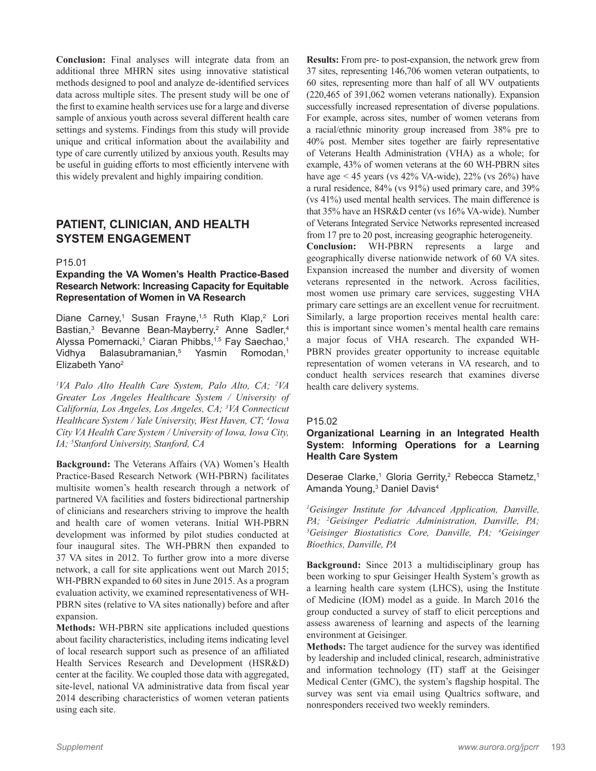**Conclusion:** Final analyses will integrate data from an additional three MHRN sites using innovative statistical methods designed to pool and analyze de-identified services data across multiple sites. The present study will be one of the first to examine health services use for a large and diverse sample of anxious youth across several different health care settings and systems. Findings from this study will provide unique and critical information about the availability and type of care currently utilized by anxious youth. Results may be useful in guiding efforts to most efficiently intervene with this widely prevalent and highly impairing condition.

# **PATIENT, CLINICIAN, AND HEALTH SYSTEM ENGAGEMENT**

#### P15.01

# **Expanding the VA Women's Health Practice-Based Research Network: Increasing Capacity for Equitable Representation of Women in VA Research**

Diane Carney,<sup>1</sup> Susan Frayne,<sup>1,5</sup> Ruth Klap,<sup>2</sup> Lori Bastian,<sup>3</sup> Bevanne Bean-Mayberry,<sup>2</sup> Anne Sadler,<sup>4</sup> Alyssa Pomernacki,<sup>1</sup> Ciaran Phibbs,<sup>1,5</sup> Fay Saechao,<sup>1</sup> Vidhya Balasubramanian,<sup>5</sup> Yasmin Romodan,<sup>1</sup> Elizabeth Yano2

*1 VA Palo Alto Health Care System, Palo Alto, CA; 2 VA Greater Los Angeles Healthcare System / University of California, Los Angeles, Los Angeles, CA; 3 VA Connecticut Healthcare System / Yale University, West Haven, CT; 4 Iowa City VA Health Care System / University of Iowa, Iowa City, IA; 5 Stanford University, Stanford, CA*

**Background:** The Veterans Affairs (VA) Women's Health Practice-Based Research Network (WH-PBRN) facilitates multisite women's health research through a network of partnered VA facilities and fosters bidirectional partnership of clinicians and researchers striving to improve the health and health care of women veterans. Initial WH-PBRN development was informed by pilot studies conducted at four inaugural sites. The WH-PBRN then expanded to 37 VA sites in 2012. To further grow into a more diverse network, a call for site applications went out March 2015; WH-PBRN expanded to 60 sites in June 2015. As a program evaluation activity, we examined representativeness of WH-PBRN sites (relative to VA sites nationally) before and after expansion.

**Methods:** WH-PBRN site applications included questions about facility characteristics, including items indicating level of local research support such as presence of an affiliated Health Services Research and Development (HSR&D) center at the facility. We coupled those data with aggregated, site-level, national VA administrative data from fiscal year 2014 describing characteristics of women veteran patients using each site.

**Results:** From pre- to post-expansion, the network grew from 37 sites, representing 146,706 women veteran outpatients, to 60 sites, representing more than half of all WV outpatients (220,465 of 391,062 women veterans nationally). Expansion successfully increased representation of diverse populations. For example, across sites, number of women veterans from a racial/ethnic minority group increased from 38% pre to 40% post. Member sites together are fairly representative of Veterans Health Administration (VHA) as a whole; for example, 43% of women veterans at the 60 WH-PBRN sites have age < 45 years (vs  $42\%$  VA-wide),  $22\%$  (vs  $26\%$ ) have a rural residence, 84% (vs 91%) used primary care, and 39% (vs 41%) used mental health services. The main difference is that 35% have an HSR&D center (vs 16% VA-wide). Number of Veterans Integrated Service Networks represented increased from 17 pre to 20 post, increasing geographic heterogeneity.

**Conclusion:** WH-PBRN represents a large and geographically diverse nationwide network of 60 VA sites. Expansion increased the number and diversity of women veterans represented in the network. Across facilities, most women use primary care services, suggesting VHA primary care settings are an excellent venue for recruitment. Similarly, a large proportion receives mental health care: this is important since women's mental health care remains a major focus of VHA research. The expanded WH-PBRN provides greater opportunity to increase equitable representation of women veterans in VA research, and to conduct health services research that examines diverse health care delivery systems.

#### P15.02

# **Organizational Learning in an Integrated Health System: Informing Operations for a Learning Health Care System**

Deserae Clarke,<sup>1</sup> Gloria Gerrity,<sup>2</sup> Rebecca Stametz,<sup>1</sup> Amanda Young,<sup>3</sup> Daniel Davis<sup>4</sup>

*1 Geisinger Institute for Advanced Application, Danville, PA; 2 Geisinger Pediatric Administration, Danville, PA; 3 Geisinger Biostatistics Core, Danville, PA; 4 Geisinger Bioethics, Danville, PA*

**Background:** Since 2013 a multidisciplinary group has been working to spur Geisinger Health System's growth as a learning health care system (LHCS), using the Institute of Medicine (IOM) model as a guide. In March 2016 the group conducted a survey of staff to elicit perceptions and assess awareness of learning and aspects of the learning environment at Geisinger.

**Methods:** The target audience for the survey was identified by leadership and included clinical, research, administrative and information technology (IT) staff at the Geisinger Medical Center (GMC), the system's flagship hospital. The survey was sent via email using Qualtrics software, and nonresponders received two weekly reminders.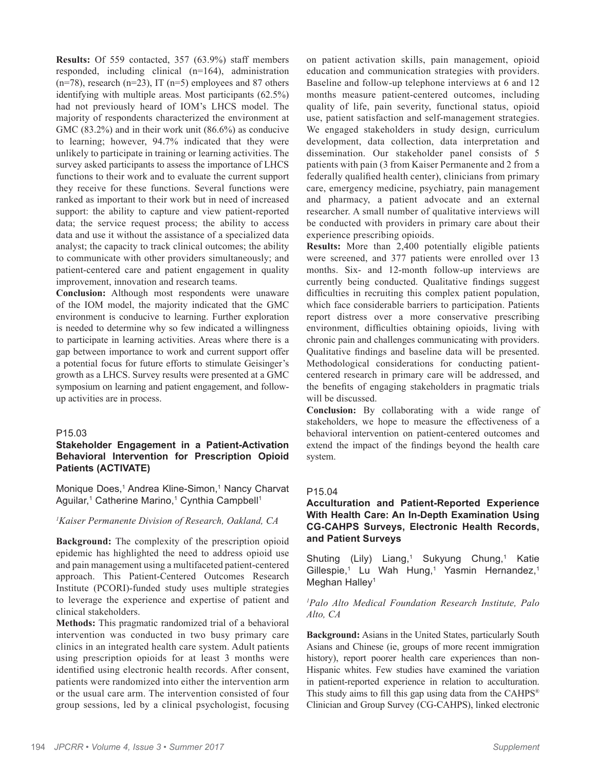**Results:** Of 559 contacted, 357 (63.9%) staff members responded, including clinical (n=164), administration  $(n=78)$ , research  $(n=23)$ , IT  $(n=5)$  employees and 87 others identifying with multiple areas. Most participants (62.5%) had not previously heard of IOM's LHCS model. The majority of respondents characterized the environment at GMC (83.2%) and in their work unit (86.6%) as conducive to learning; however, 94.7% indicated that they were unlikely to participate in training or learning activities. The survey asked participants to assess the importance of LHCS functions to their work and to evaluate the current support they receive for these functions. Several functions were ranked as important to their work but in need of increased support: the ability to capture and view patient-reported data; the service request process; the ability to access data and use it without the assistance of a specialized data analyst; the capacity to track clinical outcomes; the ability to communicate with other providers simultaneously; and patient-centered care and patient engagement in quality improvement, innovation and research teams.

**Conclusion:** Although most respondents were unaware of the IOM model, the majority indicated that the GMC environment is conducive to learning. Further exploration is needed to determine why so few indicated a willingness to participate in learning activities. Areas where there is a gap between importance to work and current support offer a potential focus for future efforts to stimulate Geisinger's growth as a LHCS. Survey results were presented at a GMC symposium on learning and patient engagement, and followup activities are in process.

# P15.03

# **Stakeholder Engagement in a Patient-Activation Behavioral Intervention for Prescription Opioid Patients (ACTIVATE)**

Monique Does,<sup>1</sup> Andrea Kline-Simon,<sup>1</sup> Nancy Charvat Aguilar,<sup>1</sup> Catherine Marino,<sup>1</sup> Cynthia Campbell<sup>1</sup>

#### *1 Kaiser Permanente Division of Research, Oakland, CA*

**Background:** The complexity of the prescription opioid epidemic has highlighted the need to address opioid use and pain management using a multifaceted patient-centered approach. This Patient-Centered Outcomes Research Institute (PCORI)-funded study uses multiple strategies to leverage the experience and expertise of patient and clinical stakeholders.

**Methods:** This pragmatic randomized trial of a behavioral intervention was conducted in two busy primary care clinics in an integrated health care system. Adult patients using prescription opioids for at least 3 months were identified using electronic health records. After consent, patients were randomized into either the intervention arm or the usual care arm. The intervention consisted of four group sessions, led by a clinical psychologist, focusing on patient activation skills, pain management, opioid education and communication strategies with providers. Baseline and follow-up telephone interviews at 6 and 12 months measure patient-centered outcomes, including quality of life, pain severity, functional status, opioid use, patient satisfaction and self-management strategies. We engaged stakeholders in study design, curriculum development, data collection, data interpretation and dissemination. Our stakeholder panel consists of 5 patients with pain (3 from Kaiser Permanente and 2 from a federally qualified health center), clinicians from primary care, emergency medicine, psychiatry, pain management and pharmacy, a patient advocate and an external researcher. A small number of qualitative interviews will be conducted with providers in primary care about their experience prescribing opioids.

**Results:** More than 2,400 potentially eligible patients were screened, and 377 patients were enrolled over 13 months. Six- and 12-month follow-up interviews are currently being conducted. Qualitative findings suggest difficulties in recruiting this complex patient population, which face considerable barriers to participation. Patients report distress over a more conservative prescribing environment, difficulties obtaining opioids, living with chronic pain and challenges communicating with providers. Qualitative findings and baseline data will be presented. Methodological considerations for conducting patientcentered research in primary care will be addressed, and the benefits of engaging stakeholders in pragmatic trials will be discussed.

**Conclusion:** By collaborating with a wide range of stakeholders, we hope to measure the effectiveness of a behavioral intervention on patient-centered outcomes and extend the impact of the findings beyond the health care system.

#### P15.04

# **Acculturation and Patient-Reported Experience With Health Care: An In-Depth Examination Using CG-CAHPS Surveys, Electronic Health Records, and Patient Surveys**

Shuting (Lily) Liang,<sup>1</sup> Sukyung Chung,<sup>1</sup> Katie Gillespie,<sup>1</sup> Lu Wah Hung,<sup>1</sup> Yasmin Hernandez,<sup>1</sup> Meghan Halley<sup>1</sup>

#### *1 Palo Alto Medical Foundation Research Institute, Palo Alto, CA*

**Background:** Asians in the United States, particularly South Asians and Chinese (ie, groups of more recent immigration history), report poorer health care experiences than non-Hispanic whites. Few studies have examined the variation in patient-reported experience in relation to acculturation. This study aims to fill this gap using data from the CAHPS<sup>®</sup> Clinician and Group Survey (CG-CAHPS), linked electronic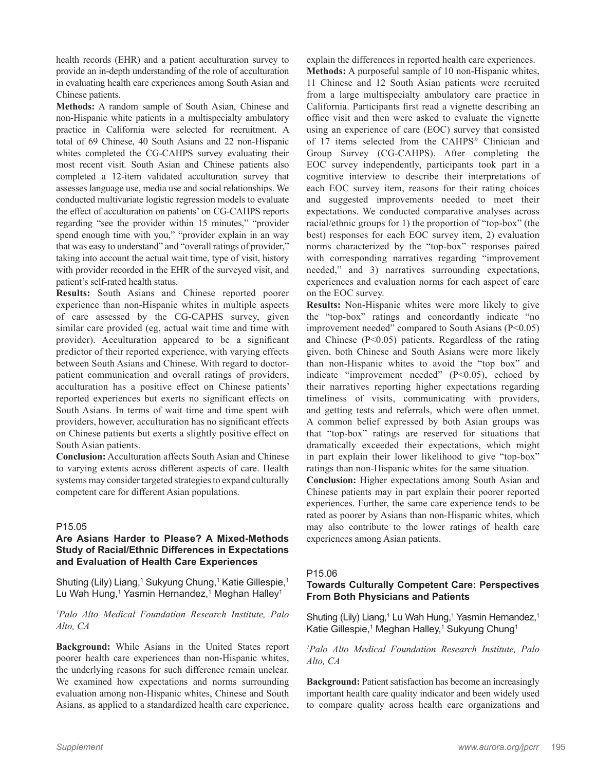health records (EHR) and a patient acculturation survey to provide an in-depth understanding of the role of acculturation in evaluating health care experiences among South Asian and Chinese patients.

**Methods:** A random sample of South Asian, Chinese and non-Hispanic white patients in a multispecialty ambulatory practice in California were selected for recruitment. A total of 69 Chinese, 40 South Asians and 22 non-Hispanic whites completed the CG-CAHPS survey evaluating their most recent visit. South Asian and Chinese patients also completed a 12-item validated acculturation survey that assesses language use, media use and social relationships. We conducted multivariate logistic regression models to evaluate the effect of acculturation on patients' on CG-CAHPS reports regarding "see the provider within 15 minutes," "provider spend enough time with you," "provider explain in an way that was easy to understand" and "overall ratings of provider," taking into account the actual wait time, type of visit, history with provider recorded in the EHR of the surveyed visit, and patient's self-rated health status.

**Results:** South Asians and Chinese reported poorer experience than non-Hispanic whites in multiple aspects of care assessed by the CG-CAPHS survey, given similar care provided (eg, actual wait time and time with provider). Acculturation appeared to be a significant predictor of their reported experience, with varying effects between South Asians and Chinese. With regard to doctorpatient communication and overall ratings of providers, acculturation has a positive effect on Chinese patients' reported experiences but exerts no significant effects on South Asians. In terms of wait time and time spent with providers, however, acculturation has no significant effects on Chinese patients but exerts a slightly positive effect on South Asian patients.

**Conclusion:** Acculturation affects South Asian and Chinese to varying extents across different aspects of care. Health systems may consider targeted strategies to expand culturally competent care for different Asian populations.

# P15.05

# **Are Asians Harder to Please? A Mixed-Methods Study of Racial/Ethnic Differences in Expectations and Evaluation of Health Care Experiences**

Shuting (Lily) Liang,<sup>1</sup> Sukyung Chung,<sup>1</sup> Katie Gillespie,<sup>1</sup> Lu Wah Hung,<sup>1</sup> Yasmin Hernandez,<sup>1</sup> Meghan Halley<sup>1</sup>

#### *1 Palo Alto Medical Foundation Research Institute, Palo Alto, CA*

**Background:** While Asians in the United States report poorer health care experiences than non-Hispanic whites, the underlying reasons for such difference remain unclear. We examined how expectations and norms surrounding evaluation among non-Hispanic whites, Chinese and South Asians, as applied to a standardized health care experience,

explain the differences in reported health care experiences.

**Methods:** A purposeful sample of 10 non-Hispanic whites, 11 Chinese and 12 South Asian patients were recruited from a large multispecialty ambulatory care practice in California. Participants first read a vignette describing an office visit and then were asked to evaluate the vignette using an experience of care (EOC) survey that consisted of 17 items selected from the CAHPS® Clinician and Group Survey (CG-CAHPS). After completing the EOC survey independently, participants took part in a cognitive interview to describe their interpretations of each EOC survey item, reasons for their rating choices and suggested improvements needed to meet their expectations. We conducted comparative analyses across racial/ethnic groups for 1) the proportion of "top-box" (the best) responses for each EOC survey item, 2) evaluation norms characterized by the "top-box" responses paired with corresponding narratives regarding "improvement needed," and 3) narratives surrounding expectations, experiences and evaluation norms for each aspect of care on the EOC survey.

**Results:** Non-Hispanic whites were more likely to give the "top-box" ratings and concordantly indicate "no improvement needed" compared to South Asians  $(P<0.05)$ and Chinese (P<0.05) patients. Regardless of the rating given, both Chinese and South Asians were more likely than non-Hispanic whites to avoid the "top box" and indicate "improvement needed" (P<0.05), echoed by their narratives reporting higher expectations regarding timeliness of visits, communicating with providers, and getting tests and referrals, which were often unmet. A common belief expressed by both Asian groups was that "top-box" ratings are reserved for situations that dramatically exceeded their expectations, which might in part explain their lower likelihood to give "top-box" ratings than non-Hispanic whites for the same situation.

**Conclusion:** Higher expectations among South Asian and Chinese patients may in part explain their poorer reported experiences. Further, the same care experience tends to be rated as poorer by Asians than non-Hispanic whites, which may also contribute to the lower ratings of health care experiences among Asian patients.

# P15.06

# **Towards Culturally Competent Care: Perspectives From Both Physicians and Patients**

Shuting (Lily) Liang,<sup>1</sup> Lu Wah Hung,<sup>1</sup> Yasmin Hernandez,<sup>1</sup> Katie Gillespie,<sup>1</sup> Meghan Halley,<sup>1</sup> Sukyung Chung<sup>1</sup>

*1 Palo Alto Medical Foundation Research Institute, Palo Alto, CA*

**Background:** Patient satisfaction has become an increasingly important health care quality indicator and been widely used to compare quality across health care organizations and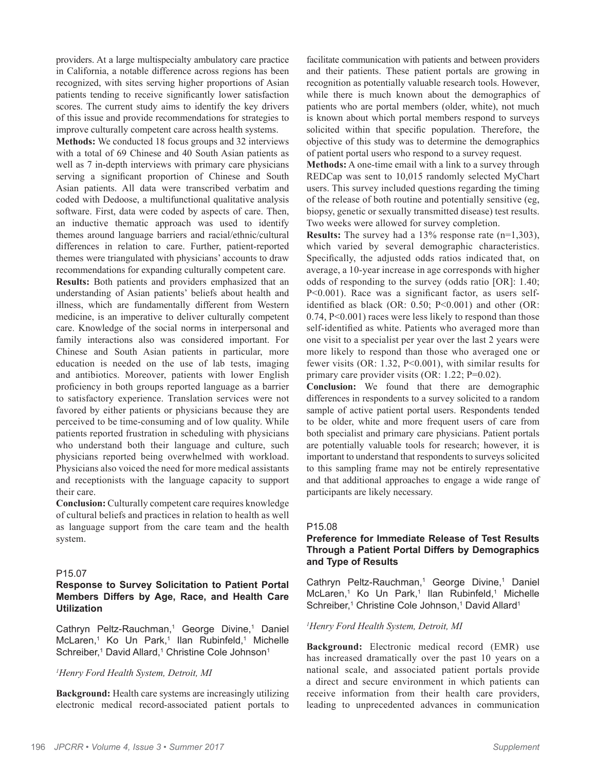providers. At a large multispecialty ambulatory care practice in California, a notable difference across regions has been recognized, with sites serving higher proportions of Asian patients tending to receive significantly lower satisfaction scores. The current study aims to identify the key drivers of this issue and provide recommendations for strategies to improve culturally competent care across health systems.

**Methods:** We conducted 18 focus groups and 32 interviews with a total of 69 Chinese and 40 South Asian patients as well as 7 in-depth interviews with primary care physicians serving a significant proportion of Chinese and South Asian patients. All data were transcribed verbatim and coded with Dedoose, a multifunctional qualitative analysis software. First, data were coded by aspects of care. Then, an inductive thematic approach was used to identify themes around language barriers and racial/ethnic/cultural differences in relation to care. Further, patient-reported themes were triangulated with physicians' accounts to draw recommendations for expanding culturally competent care.

**Results:** Both patients and providers emphasized that an understanding of Asian patients' beliefs about health and illness, which are fundamentally different from Western medicine, is an imperative to deliver culturally competent care. Knowledge of the social norms in interpersonal and family interactions also was considered important. For Chinese and South Asian patients in particular, more education is needed on the use of lab tests, imaging and antibiotics. Moreover, patients with lower English proficiency in both groups reported language as a barrier to satisfactory experience. Translation services were not favored by either patients or physicians because they are perceived to be time-consuming and of low quality. While patients reported frustration in scheduling with physicians who understand both their language and culture, such physicians reported being overwhelmed with workload. Physicians also voiced the need for more medical assistants and receptionists with the language capacity to support their care.

**Conclusion:** Culturally competent care requires knowledge of cultural beliefs and practices in relation to health as well as language support from the care team and the health system.

# P15.07

# **Response to Survey Solicitation to Patient Portal Members Differs by Age, Race, and Health Care Utilization**

Cathryn Peltz-Rauchman,<sup>1</sup> George Divine,<sup>1</sup> Daniel McLaren,<sup>1</sup> Ko Un Park,<sup>1</sup> llan Rubinfeld,<sup>1</sup> Michelle Schreiber,<sup>1</sup> David Allard,<sup>1</sup> Christine Cole Johnson<sup>1</sup>

#### *1 Henry Ford Health System, Detroit, MI*

**Background:** Health care systems are increasingly utilizing electronic medical record-associated patient portals to facilitate communication with patients and between providers and their patients. These patient portals are growing in recognition as potentially valuable research tools. However, while there is much known about the demographics of patients who are portal members (older, white), not much is known about which portal members respond to surveys solicited within that specific population. Therefore, the objective of this study was to determine the demographics of patient portal users who respond to a survey request.

**Methods:** A one-time email with a link to a survey through REDCap was sent to 10,015 randomly selected MyChart users. This survey included questions regarding the timing of the release of both routine and potentially sensitive (eg, biopsy, genetic or sexually transmitted disease) test results. Two weeks were allowed for survey completion.

**Results:** The survey had a 13% response rate (n=1,303), which varied by several demographic characteristics. Specifically, the adjusted odds ratios indicated that, on average, a 10-year increase in age corresponds with higher odds of responding to the survey (odds ratio [OR]: 1.40; P<0.001). Race was a significant factor, as users selfidentified as black (OR: 0.50; P<0.001) and other (OR: 0.74, P<0.001) races were less likely to respond than those self-identified as white. Patients who averaged more than one visit to a specialist per year over the last 2 years were more likely to respond than those who averaged one or fewer visits (OR: 1.32, P<0.001), with similar results for primary care provider visits (OR: 1.22; P=0.02).

**Conclusion:** We found that there are demographic differences in respondents to a survey solicited to a random sample of active patient portal users. Respondents tended to be older, white and more frequent users of care from both specialist and primary care physicians. Patient portals are potentially valuable tools for research; however, it is important to understand that respondents to surveys solicited to this sampling frame may not be entirely representative and that additional approaches to engage a wide range of participants are likely necessary.

# P15.08

# **Preference for Immediate Release of Test Results Through a Patient Portal Differs by Demographics and Type of Results**

Cathryn Peltz-Rauchman,<sup>1</sup> George Divine,<sup>1</sup> Daniel McLaren,<sup>1</sup> Ko Un Park,<sup>1</sup> llan Rubinfeld,<sup>1</sup> Michelle Schreiber,<sup>1</sup> Christine Cole Johnson,<sup>1</sup> David Allard<sup>1</sup>

#### *1 Henry Ford Health System, Detroit, MI*

**Background:** Electronic medical record (EMR) use has increased dramatically over the past 10 years on a national scale, and associated patient portals provide a direct and secure environment in which patients can receive information from their health care providers, leading to unprecedented advances in communication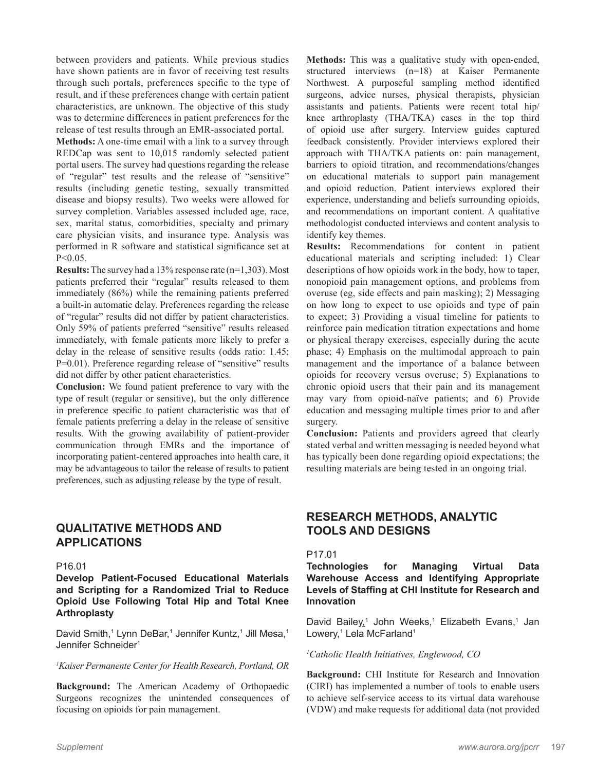between providers and patients. While previous studies have shown patients are in favor of receiving test results through such portals, preferences specific to the type of result, and if these preferences change with certain patient characteristics, are unknown. The objective of this study was to determine differences in patient preferences for the release of test results through an EMR-associated portal.

**Methods:** A one-time email with a link to a survey through REDCap was sent to 10,015 randomly selected patient portal users. The survey had questions regarding the release of "regular" test results and the release of "sensitive" results (including genetic testing, sexually transmitted disease and biopsy results). Two weeks were allowed for survey completion. Variables assessed included age, race, sex, marital status, comorbidities, specialty and primary care physician visits, and insurance type. Analysis was performed in R software and statistical significance set at P<0.05.

**Results:** The survey had a 13% response rate (n=1,303). Most patients preferred their "regular" results released to them immediately (86%) while the remaining patients preferred a built-in automatic delay. Preferences regarding the release of "regular" results did not differ by patient characteristics. Only 59% of patients preferred "sensitive" results released immediately, with female patients more likely to prefer a delay in the release of sensitive results (odds ratio: 1.45; P=0.01). Preference regarding release of "sensitive" results did not differ by other patient characteristics.

**Conclusion:** We found patient preference to vary with the type of result (regular or sensitive), but the only difference in preference specific to patient characteristic was that of female patients preferring a delay in the release of sensitive results. With the growing availability of patient-provider communication through EMRs and the importance of incorporating patient-centered approaches into health care, it may be advantageous to tailor the release of results to patient preferences, such as adjusting release by the type of result.

# **QUALITATIVE METHODS AND APPLICATIONS**

#### P16.01

**Develop Patient-Focused Educational Materials and Scripting for a Randomized Trial to Reduce Opioid Use Following Total Hip and Total Knee Arthroplasty**

David Smith,<sup>1</sup> Lynn DeBar,<sup>1</sup> Jennifer Kuntz,<sup>1</sup> Jill Mesa,<sup>1</sup> Jennifer Schneider1

#### *1 Kaiser Permanente Center for Health Research, Portland, OR*

**Background:** The American Academy of Orthopaedic Surgeons recognizes the unintended consequences of focusing on opioids for pain management.

**Methods:** This was a qualitative study with open-ended, structured interviews (n=18) at Kaiser Permanente Northwest. A purposeful sampling method identified surgeons, advice nurses, physical therapists, physician assistants and patients. Patients were recent total hip/ knee arthroplasty (THA/TKA) cases in the top third of opioid use after surgery. Interview guides captured feedback consistently. Provider interviews explored their approach with THA/TKA patients on: pain management, barriers to opioid titration, and recommendations/changes on educational materials to support pain management and opioid reduction. Patient interviews explored their experience, understanding and beliefs surrounding opioids, and recommendations on important content. A qualitative methodologist conducted interviews and content analysis to identify key themes.

**Results:** Recommendations for content in patient educational materials and scripting included: 1) Clear descriptions of how opioids work in the body, how to taper, nonopioid pain management options, and problems from overuse (eg, side effects and pain masking); 2) Messaging on how long to expect to use opioids and type of pain to expect; 3) Providing a visual timeline for patients to reinforce pain medication titration expectations and home or physical therapy exercises, especially during the acute phase; 4) Emphasis on the multimodal approach to pain management and the importance of a balance between opioids for recovery versus overuse; 5) Explanations to chronic opioid users that their pain and its management may vary from opioid-naïve patients; and 6) Provide education and messaging multiple times prior to and after surgery.

**Conclusion:** Patients and providers agreed that clearly stated verbal and written messaging is needed beyond what has typically been done regarding opioid expectations; the resulting materials are being tested in an ongoing trial.

# **RESEARCH METHODS, ANALYTIC TOOLS AND DESIGNS**

#### P17.01

**Technologies for Managing Virtual Data Warehouse Access and Identifying Appropriate Levels of Staffing at CHI Institute for Research and Innovation**

David Bailey,<sup>1</sup> John Weeks,<sup>1</sup> Elizabeth Evans,<sup>1</sup> Jan Lowery,<sup>1</sup> Lela McFarland<sup>1</sup>

*1 Catholic Health Initiatives, Englewood, CO*

**Background:** CHI Institute for Research and Innovation (CIRI) has implemented a number of tools to enable users to achieve self-service access to its virtual data warehouse (VDW) and make requests for additional data (not provided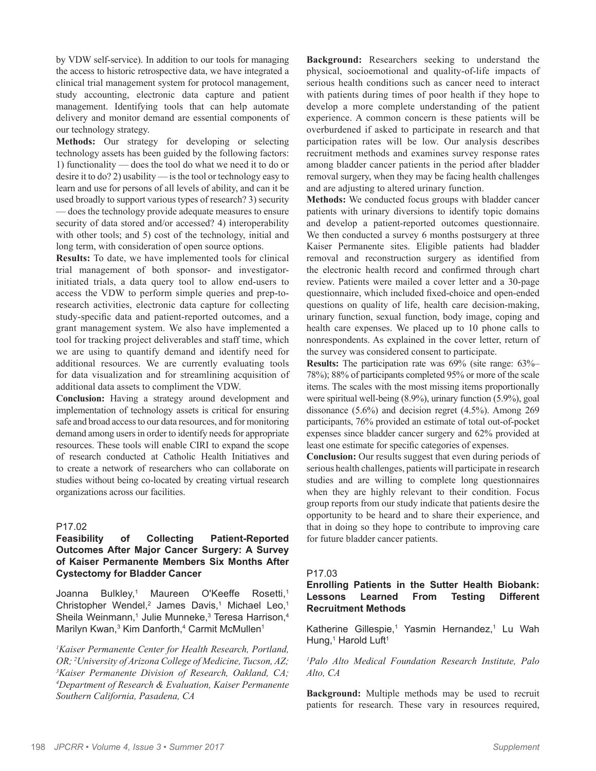by VDW self-service). In addition to our tools for managing the access to historic retrospective data, we have integrated a clinical trial management system for protocol management, study accounting, electronic data capture and patient management. Identifying tools that can help automate delivery and monitor demand are essential components of our technology strategy.

**Methods:** Our strategy for developing or selecting technology assets has been guided by the following factors: 1) functionality –– does the tool do what we need it to do or desire it to do? 2) usability –– is the tool or technology easy to learn and use for persons of all levels of ability, and can it be used broadly to support various types of research? 3) security –– does the technology provide adequate measures to ensure security of data stored and/or accessed? 4) interoperability with other tools; and 5) cost of the technology, initial and long term, with consideration of open source options.

**Results:** To date, we have implemented tools for clinical trial management of both sponsor- and investigatorinitiated trials, a data query tool to allow end-users to access the VDW to perform simple queries and prep-toresearch activities, electronic data capture for collecting study-specific data and patient-reported outcomes, and a grant management system. We also have implemented a tool for tracking project deliverables and staff time, which we are using to quantify demand and identify need for additional resources. We are currently evaluating tools for data visualization and for streamlining acquisition of additional data assets to compliment the VDW.

**Conclusion:** Having a strategy around development and implementation of technology assets is critical for ensuring safe and broad access to our data resources, and for monitoring demand among users in order to identify needs for appropriate resources. These tools will enable CIRI to expand the scope of research conducted at Catholic Health Initiatives and to create a network of researchers who can collaborate on studies without being co-located by creating virtual research organizations across our facilities.

# P17.02

# **Feasibility of Collecting Patient-Reported Outcomes After Major Cancer Surgery: A Survey of Kaiser Permanente Members Six Months After Cystectomy for Bladder Cancer**

Joanna Bulkley,<sup>1</sup> Maureen O'Keeffe Rosetti.<sup>1</sup> Christopher Wendel,<sup>2</sup> James Davis,<sup>1</sup> Michael Leo,<sup>1</sup> Sheila Weinmann,<sup>1</sup> Julie Munneke,<sup>3</sup> Teresa Harrison,<sup>4</sup> Marilyn Kwan,<sup>3</sup> Kim Danforth,<sup>4</sup> Carmit McMullen<sup>1</sup>

*1 Kaiser Permanente Center for Health Research, Portland, OR; <sup>2</sup> University of Arizona College of Medicine, Tucson, AZ;*  $\frac{3K}{2}$  *Medicine, Dermanente, Division of Research, Oakland, CA: Kaiser Permanente Division of Research, Oakland, CA; 4 Department of Research & Evaluation, Kaiser Permanente Southern California, Pasadena, CA*

**Background:** Researchers seeking to understand the physical, socioemotional and quality-of-life impacts of serious health conditions such as cancer need to interact with patients during times of poor health if they hope to develop a more complete understanding of the patient experience. A common concern is these patients will be overburdened if asked to participate in research and that participation rates will be low. Our analysis describes recruitment methods and examines survey response rates among bladder cancer patients in the period after bladder removal surgery, when they may be facing health challenges and are adjusting to altered urinary function.

**Methods:** We conducted focus groups with bladder cancer patients with urinary diversions to identify topic domains and develop a patient-reported outcomes questionnaire. We then conducted a survey 6 months postsurgery at three Kaiser Permanente sites. Eligible patients had bladder removal and reconstruction surgery as identified from the electronic health record and confirmed through chart review. Patients were mailed a cover letter and a 30-page questionnaire, which included fixed-choice and open-ended questions on quality of life, health care decision-making, urinary function, sexual function, body image, coping and health care expenses. We placed up to 10 phone calls to nonrespondents. As explained in the cover letter, return of the survey was considered consent to participate.

**Results:** The participation rate was 69% (site range: 63%– 78%); 88% of participants completed 95% or more of the scale items. The scales with the most missing items proportionally were spiritual well-being (8.9%), urinary function (5.9%), goal dissonance (5.6%) and decision regret (4.5%). Among 269 participants, 76% provided an estimate of total out-of-pocket expenses since bladder cancer surgery and 62% provided at least one estimate for specific categories of expenses.

**Conclusion:** Our results suggest that even during periods of serious health challenges, patients will participate in research studies and are willing to complete long questionnaires when they are highly relevant to their condition. Focus group reports from our study indicate that patients desire the opportunity to be heard and to share their experience, and that in doing so they hope to contribute to improving care for future bladder cancer patients.

# P17.03

# **Enrolling Patients in the Sutter Health Biobank: Lessons Learned From Testing Different Recruitment Methods**

Katherine Gillespie,<sup>1</sup> Yasmin Hernandez,<sup>1</sup> Lu Wah Hung,<sup>1</sup> Harold Luft<sup>1</sup>

*1 Palo Alto Medical Foundation Research Institute, Palo Alto, CA*

**Background:** Multiple methods may be used to recruit patients for research. These vary in resources required,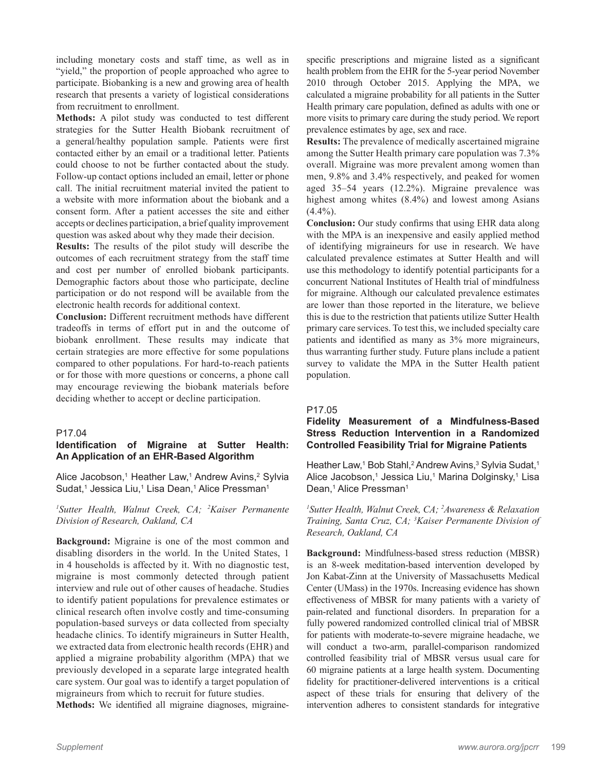including monetary costs and staff time, as well as in "yield," the proportion of people approached who agree to participate. Biobanking is a new and growing area of health research that presents a variety of logistical considerations from recruitment to enrollment.

**Methods:** A pilot study was conducted to test different strategies for the Sutter Health Biobank recruitment of a general/healthy population sample. Patients were first contacted either by an email or a traditional letter. Patients could choose to not be further contacted about the study. Follow-up contact options included an email, letter or phone call. The initial recruitment material invited the patient to a website with more information about the biobank and a consent form. After a patient accesses the site and either accepts or declines participation, a brief quality improvement question was asked about why they made their decision.

**Results:** The results of the pilot study will describe the outcomes of each recruitment strategy from the staff time and cost per number of enrolled biobank participants. Demographic factors about those who participate, decline participation or do not respond will be available from the electronic health records for additional context.

**Conclusion:** Different recruitment methods have different tradeoffs in terms of effort put in and the outcome of biobank enrollment. These results may indicate that certain strategies are more effective for some populations compared to other populations. For hard-to-reach patients or for those with more questions or concerns, a phone call may encourage reviewing the biobank materials before deciding whether to accept or decline participation.

#### P17.04

# **Identification of Migraine at Sutter Health: An Application of an EHR-Based Algorithm**

Alice Jacobson,<sup>1</sup> Heather Law,<sup>1</sup> Andrew Avins,<sup>2</sup> Sylvia Sudat,<sup>1</sup> Jessica Liu,<sup>1</sup> Lisa Dean,<sup>1</sup> Alice Pressman<sup>1</sup>

*1 Sutter Health, Walnut Creek, CA; 2 Kaiser Permanente Division of Research, Oakland, CA*

**Background:** Migraine is one of the most common and disabling disorders in the world. In the United States, 1 in 4 households is affected by it. With no diagnostic test, migraine is most commonly detected through patient interview and rule out of other causes of headache. Studies to identify patient populations for prevalence estimates or clinical research often involve costly and time-consuming population-based surveys or data collected from specialty headache clinics. To identify migraineurs in Sutter Health, we extracted data from electronic health records (EHR) and applied a migraine probability algorithm (MPA) that we previously developed in a separate large integrated health care system. Our goal was to identify a target population of migraineurs from which to recruit for future studies.

**Methods:** We identified all migraine diagnoses, migraine-

specific prescriptions and migraine listed as a significant health problem from the EHR for the 5-year period November 2010 through October 2015. Applying the MPA, we calculated a migraine probability for all patients in the Sutter Health primary care population, defined as adults with one or more visits to primary care during the study period. We report prevalence estimates by age, sex and race.

**Results:** The prevalence of medically ascertained migraine among the Sutter Health primary care population was 7.3% overall. Migraine was more prevalent among women than men, 9.8% and 3.4% respectively, and peaked for women aged 35–54 years (12.2%). Migraine prevalence was highest among whites (8.4%) and lowest among Asians  $(4.4\%)$ .

**Conclusion:** Our study confirms that using EHR data along with the MPA is an inexpensive and easily applied method of identifying migraineurs for use in research. We have calculated prevalence estimates at Sutter Health and will use this methodology to identify potential participants for a concurrent National Institutes of Health trial of mindfulness for migraine. Although our calculated prevalence estimates are lower than those reported in the literature, we believe this is due to the restriction that patients utilize Sutter Health primary care services. To test this, we included specialty care patients and identified as many as 3% more migraineurs, thus warranting further study. Future plans include a patient survey to validate the MPA in the Sutter Health patient population.

#### P17.05

# **Fidelity Measurement of a Mindfulness-Based Stress Reduction Intervention in a Randomized Controlled Feasibility Trial for Migraine Patients**

Heather Law,<sup>1</sup> Bob Stahl,<sup>2</sup> Andrew Avins,<sup>3</sup> Sylvia Sudat,<sup>1</sup> Alice Jacobson,1 Jessica Liu,1 Marina Dolginsky,1 Lisa Dean,<sup>1</sup> Alice Pressman<sup>1</sup>

*1 Sutter Health, Walnut Creek, CA; 2 Awareness & Relaxation Training, Santa Cruz, CA; 3 Kaiser Permanente Division of Research, Oakland, CA*

**Background:** Mindfulness-based stress reduction (MBSR) is an 8-week meditation-based intervention developed by Jon Kabat-Zinn at the University of Massachusetts Medical Center (UMass) in the 1970s. Increasing evidence has shown effectiveness of MBSR for many patients with a variety of pain-related and functional disorders. In preparation for a fully powered randomized controlled clinical trial of MBSR for patients with moderate-to-severe migraine headache, we will conduct a two-arm, parallel-comparison randomized controlled feasibility trial of MBSR versus usual care for 60 migraine patients at a large health system. Documenting fidelity for practitioner-delivered interventions is a critical aspect of these trials for ensuring that delivery of the intervention adheres to consistent standards for integrative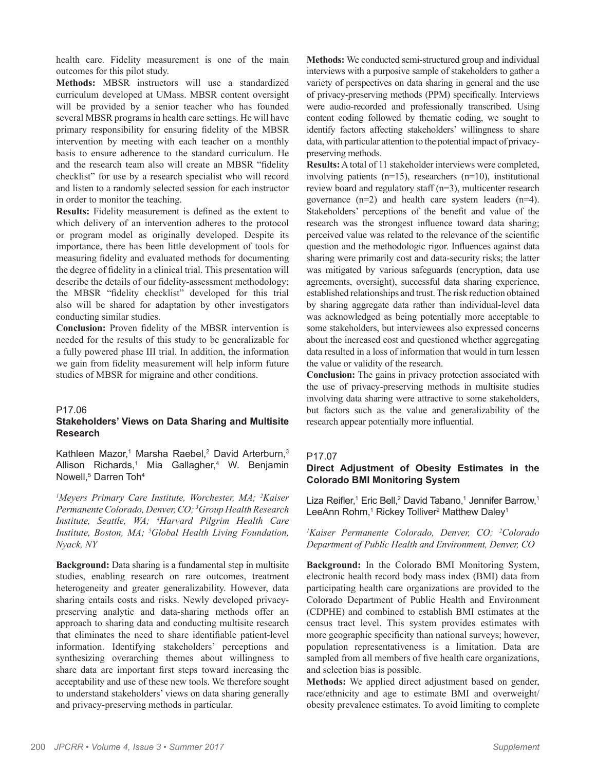health care. Fidelity measurement is one of the main outcomes for this pilot study.

**Methods:** MBSR instructors will use a standardized curriculum developed at UMass. MBSR content oversight will be provided by a senior teacher who has founded several MBSR programs in health care settings. He will have primary responsibility for ensuring fidelity of the MBSR intervention by meeting with each teacher on a monthly basis to ensure adherence to the standard curriculum. He and the research team also will create an MBSR "fidelity checklist" for use by a research specialist who will record and listen to a randomly selected session for each instructor in order to monitor the teaching.

**Results:** Fidelity measurement is defined as the extent to which delivery of an intervention adheres to the protocol or program model as originally developed. Despite its importance, there has been little development of tools for measuring fidelity and evaluated methods for documenting the degree of fidelity in a clinical trial. This presentation will describe the details of our fidelity-assessment methodology; the MBSR "fidelity checklist" developed for this trial also will be shared for adaptation by other investigators conducting similar studies.

**Conclusion:** Proven fidelity of the MBSR intervention is needed for the results of this study to be generalizable for a fully powered phase III trial. In addition, the information we gain from fidelity measurement will help inform future studies of MBSR for migraine and other conditions.

#### P17.06

# **Stakeholders' Views on Data Sharing and Multisite Research**

Kathleen Mazor,<sup>1</sup> Marsha Raebel,<sup>2</sup> David Arterburn,<sup>3</sup> Allison Richards,<sup>1</sup> Mia Gallagher,<sup>4</sup> W. Benjamin Nowell,<sup>5</sup> Darren Toh<sup>4</sup>

*1 Meyers Primary Care Institute, Worchester, MA; 2 Kaiser Permanente Colorado, Denver, CO; 3 Group Health Research Institute, Seattle, WA; 4 Harvard Pilgrim Health Care Institute, Boston, MA; 5 Global Health Living Foundation, Nyack, NY*

**Background:** Data sharing is a fundamental step in multisite studies, enabling research on rare outcomes, treatment heterogeneity and greater generalizability. However, data sharing entails costs and risks. Newly developed privacypreserving analytic and data-sharing methods offer an approach to sharing data and conducting multisite research that eliminates the need to share identifiable patient-level information. Identifying stakeholders' perceptions and synthesizing overarching themes about willingness to share data are important first steps toward increasing the acceptability and use of these new tools. We therefore sought to understand stakeholders' views on data sharing generally and privacy-preserving methods in particular.

**Methods:** We conducted semi-structured group and individual interviews with a purposive sample of stakeholders to gather a variety of perspectives on data sharing in general and the use of privacy-preserving methods (PPM) specifically. Interviews were audio-recorded and professionally transcribed. Using content coding followed by thematic coding, we sought to identify factors affecting stakeholders' willingness to share data, with particular attention to the potential impact of privacypreserving methods.

**Results:** A total of 11 stakeholder interviews were completed, involving patients (n=15), researchers (n=10), institutional review board and regulatory staff (n=3), multicenter research governance (n=2) and health care system leaders (n=4). Stakeholders' perceptions of the benefit and value of the research was the strongest influence toward data sharing; perceived value was related to the relevance of the scientific question and the methodologic rigor. Influences against data sharing were primarily cost and data-security risks; the latter was mitigated by various safeguards (encryption, data use agreements, oversight), successful data sharing experience, established relationships and trust. The risk reduction obtained by sharing aggregate data rather than individual-level data was acknowledged as being potentially more acceptable to some stakeholders, but interviewees also expressed concerns about the increased cost and questioned whether aggregating data resulted in a loss of information that would in turn lessen the value or validity of the research.

**Conclusion:** The gains in privacy protection associated with the use of privacy-preserving methods in multisite studies involving data sharing were attractive to some stakeholders, but factors such as the value and generalizability of the research appear potentially more influential.

# P17.07

# **Direct Adjustment of Obesity Estimates in the Colorado BMI Monitoring System**

Liza Reifler,<sup>1</sup> Eric Bell,<sup>2</sup> David Tabano,<sup>1</sup> Jennifer Barrow,<sup>1</sup> LeeAnn Rohm,<sup>1</sup> Rickey Tolliver<sup>2</sup> Matthew Daley<sup>1</sup>

*1 Kaiser Permanente Colorado, Denver, CO; 2 Colorado Department of Public Health and Environment, Denver, CO*

**Background:** In the Colorado BMI Monitoring System, electronic health record body mass index (BMI) data from participating health care organizations are provided to the Colorado Department of Public Health and Environment (CDPHE) and combined to establish BMI estimates at the census tract level. This system provides estimates with more geographic specificity than national surveys; however, population representativeness is a limitation. Data are sampled from all members of five health care organizations, and selection bias is possible.

**Methods:** We applied direct adjustment based on gender, race/ethnicity and age to estimate BMI and overweight/ obesity prevalence estimates. To avoid limiting to complete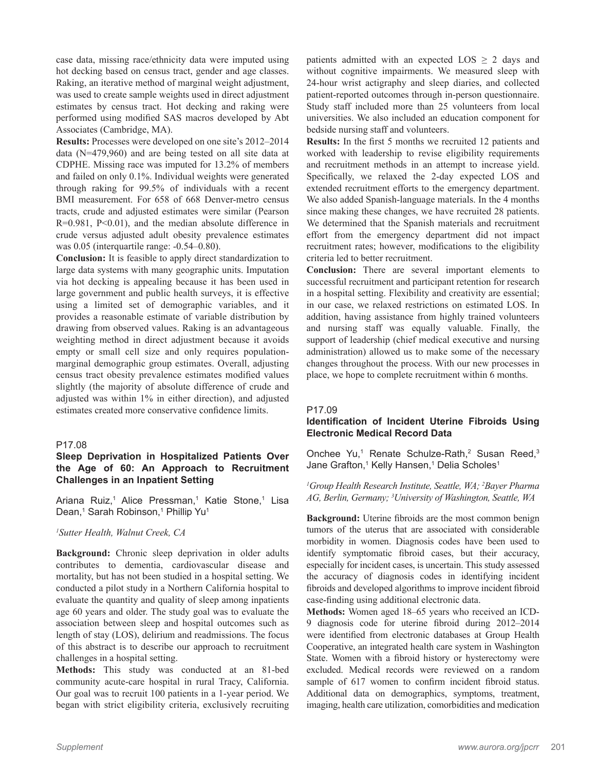case data, missing race/ethnicity data were imputed using hot decking based on census tract, gender and age classes. Raking, an iterative method of marginal weight adjustment, was used to create sample weights used in direct adjustment estimates by census tract. Hot decking and raking were performed using modified SAS macros developed by Abt Associates (Cambridge, MA).

**Results:** Processes were developed on one site's 2012–2014 data (N=479,960) and are being tested on all site data at CDPHE. Missing race was imputed for 13.2% of members and failed on only 0.1%. Individual weights were generated through raking for 99.5% of individuals with a recent BMI measurement. For 658 of 668 Denver-metro census tracts, crude and adjusted estimates were similar (Pearson R=0.981, P<0.01), and the median absolute difference in crude versus adjusted adult obesity prevalence estimates was  $0.05$  (interquartile range:  $-0.54-0.80$ ).

**Conclusion:** It is feasible to apply direct standardization to large data systems with many geographic units. Imputation via hot decking is appealing because it has been used in large government and public health surveys, it is effective using a limited set of demographic variables, and it provides a reasonable estimate of variable distribution by drawing from observed values. Raking is an advantageous weighting method in direct adjustment because it avoids empty or small cell size and only requires populationmarginal demographic group estimates. Overall, adjusting census tract obesity prevalence estimates modified values slightly (the majority of absolute difference of crude and adjusted was within 1% in either direction), and adjusted estimates created more conservative confidence limits.

#### P17.08

# **Sleep Deprivation in Hospitalized Patients Over the Age of 60: An Approach to Recruitment Challenges in an Inpatient Setting**

Ariana Ruiz,<sup>1</sup> Alice Pressman,<sup>1</sup> Katie Stone,<sup>1</sup> Lisa Dean,<sup>1</sup> Sarah Robinson,<sup>1</sup> Phillip Yu<sup>1</sup>

#### *1 Sutter Health, Walnut Creek, CA*

**Background:** Chronic sleep deprivation in older adults contributes to dementia, cardiovascular disease and mortality, but has not been studied in a hospital setting. We conducted a pilot study in a Northern California hospital to evaluate the quantity and quality of sleep among inpatients age 60 years and older. The study goal was to evaluate the association between sleep and hospital outcomes such as length of stay (LOS), delirium and readmissions. The focus of this abstract is to describe our approach to recruitment challenges in a hospital setting.

**Methods:** This study was conducted at an 81-bed community acute-care hospital in rural Tracy, California. Our goal was to recruit 100 patients in a 1-year period. We began with strict eligibility criteria, exclusively recruiting

patients admitted with an expected  $\text{LOS} \geq 2$  days and without cognitive impairments. We measured sleep with 24-hour wrist actigraphy and sleep diaries, and collected patient-reported outcomes through in-person questionnaire. Study staff included more than 25 volunteers from local universities. We also included an education component for bedside nursing staff and volunteers.

**Results:** In the first 5 months we recruited 12 patients and worked with leadership to revise eligibility requirements and recruitment methods in an attempt to increase yield. Specifically, we relaxed the 2-day expected LOS and extended recruitment efforts to the emergency department. We also added Spanish-language materials. In the 4 months since making these changes, we have recruited 28 patients. We determined that the Spanish materials and recruitment effort from the emergency department did not impact recruitment rates; however, modifications to the eligibility criteria led to better recruitment.

**Conclusion:** There are several important elements to successful recruitment and participant retention for research in a hospital setting. Flexibility and creativity are essential; in our case, we relaxed restrictions on estimated LOS. In addition, having assistance from highly trained volunteers and nursing staff was equally valuable. Finally, the support of leadership (chief medical executive and nursing administration) allowed us to make some of the necessary changes throughout the process. With our new processes in place, we hope to complete recruitment within 6 months.

#### P17.09

# **Identification of Incident Uterine Fibroids Using Electronic Medical Record Data**

Onchee Yu,<sup>1</sup> Renate Schulze-Rath,<sup>2</sup> Susan Reed,<sup>3</sup> Jane Grafton,<sup>1</sup> Kelly Hansen,<sup>1</sup> Delia Scholes<sup>1</sup>

#### *1 Group Health Research Institute, Seattle, WA; 2 Bayer Pharma AG, Berlin, Germany; 3 University of Washington, Seattle, WA*

**Background:** Uterine fibroids are the most common benign tumors of the uterus that are associated with considerable morbidity in women. Diagnosis codes have been used to identify symptomatic fibroid cases, but their accuracy, especially for incident cases, is uncertain. This study assessed the accuracy of diagnosis codes in identifying incident fibroids and developed algorithms to improve incident fibroid case-finding using additional electronic data.

**Methods:** Women aged 18–65 years who received an ICD-9 diagnosis code for uterine fibroid during 2012–2014 were identified from electronic databases at Group Health Cooperative, an integrated health care system in Washington State. Women with a fibroid history or hysterectomy were excluded. Medical records were reviewed on a random sample of 617 women to confirm incident fibroid status. Additional data on demographics, symptoms, treatment, imaging, health care utilization, comorbidities and medication